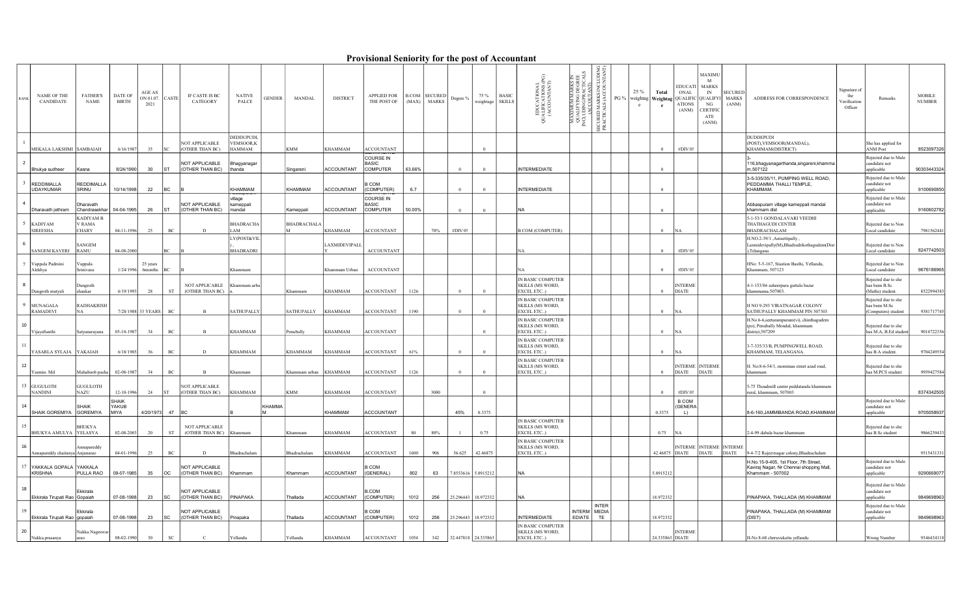## Provisional Seniority for the post of Accountant

| <b>NAME OF THE</b><br>CANDIDATE          | <b>FATHER'S</b><br>NAME             | DATE OF<br><b>BIRTH</b> | AGE AS<br>ON 01.07. CASTE<br>2021 |             | IF CASTE IS BC<br>CATEGORY                | <b>NATIVE</b><br>PALCE                   | <b>GENDER</b>       | MANDAL                | <b>DISTRICT</b>   | <b>APPLIED FOR</b><br>THE POST OF            | (MAX)  | <b>B.COM</b> SECURED<br><b>MARKS</b> | Degree % | 75 %<br>weightage SKILLS | <b>BASIC</b> | EDUCATIONAL<br>JALIFICATIONS (P<br>(ACCOUNTANT)<br>$\breve{\sigma}$ | ∺ ನ<br><b>JDING PRACTI</b><br><u>(ACCOUTANT)</u><br><b>NIX</b><br><b>ODI</b> | INCLUDING<br>COUNTANT)<br>SECURED MARKS I<br>PRACTICALS (ACC | 25 %<br>$\mathbf{c}$ | Total<br>e      | <b>EDUCATI</b><br><b>ONAL</b><br>ATIONS<br>(ANM) | MAXIMU<br>M<br><b>MARKS</b><br>IN<br>PG %   weightag   Weightag   QUALIFIC   QUALIFYI   MARKS<br>NG<br>CERTIFIC<br>ATE<br>(ANM) | <b>SECURED</b><br>(ANM) | ADDRESS FOR CORRESPONDENCE                                                                            | Signature of<br>the<br>Remarks<br>Verification<br>Officer                                                                                                                                                                                                                                                                                                                                                                                                          | <b>MOBILE</b><br><b>NUMBER</b> |
|------------------------------------------|-------------------------------------|-------------------------|-----------------------------------|-------------|-------------------------------------------|------------------------------------------|---------------------|-----------------------|-------------------|----------------------------------------------|--------|--------------------------------------|----------|--------------------------|--------------|---------------------------------------------------------------------|------------------------------------------------------------------------------|--------------------------------------------------------------|----------------------|-----------------|--------------------------------------------------|---------------------------------------------------------------------------------------------------------------------------------|-------------------------|-------------------------------------------------------------------------------------------------------|--------------------------------------------------------------------------------------------------------------------------------------------------------------------------------------------------------------------------------------------------------------------------------------------------------------------------------------------------------------------------------------------------------------------------------------------------------------------|--------------------------------|
| MEKALA LAKSHMI SAMBAIAH                  |                                     | 6/16/1987               | 35                                |             | <b>NOT APPLICABLE</b><br>(OTHER THAN BC)  | DEDDUPUDI,<br><b>VEMSOOR,K</b><br>HAMMAM |                     | <b>KMM</b>            | <b>KHAMMAM</b>    | <b>ACCOUNTANT</b>                            |        |                                      |          |                          |              |                                                                     |                                                                              |                                                              |                      | $\overline{0}$  | #DIV/0!                                          |                                                                                                                                 |                         | <b>DUDDEPUDI</b><br>(POST), VEMSOOR(MANDAL),<br>KHAMMAM(DISTRICT)                                     | She has applied for<br><b>ANM Post</b>                                                                                                                                                                                                                                                                                                                                                                                                                             | 8523097326                     |
| Bhukya sudheer                           | Kasna                               | 8/24/1990               | 30                                | <b>IST</b>  | NOT APPLICABLE<br>(OTHER THAN BC)         | Bhagyanagar<br>thanda                    |                     | Singareni             | <b>ACCOUNTANT</b> | COURSE IN<br><b>BASIC</b><br><b>COMPUTER</b> | 63.66% |                                      |          | $\Omega$                 |              | <b>INTERMEDIATE</b>                                                 |                                                                              |                                                              |                      | $\Omega$        |                                                  |                                                                                                                                 |                         | 116, bhagyanagarthanda, singareni, khamma<br>m,507122                                                 | Rejected due to Male<br>candidate not<br>applicable                                                                                                                                                                                                                                                                                                                                                                                                                | 90303443324                    |
| <b>REDDIMALLA</b><br><b>UDAYKUMAR</b>    | <b>REDDIMALLA</b><br>SRINU          | 10/14/1998              | 22                                | <b>BC</b>   |                                           | KHAMMAM                                  |                     | KHAMMAM               | <b>ACCOUNTANT</b> | B COM<br>(COMPUTER)                          | 6.7    |                                      | $\Omega$ | $\Omega$                 |              | <b>INTERMEDIATE</b>                                                 |                                                                              |                                                              |                      | $\Omega$        |                                                  |                                                                                                                                 |                         | 3-5-335/35/11, PUMPING WELL ROAD,<br>PEDDAMMA THALLI TEMPLE,<br>KHAMMAM.                              | Rejected due to Male<br>candidate not<br>applicable                                                                                                                                                                                                                                                                                                                                                                                                                | 9100690850                     |
| Dharavath jethram                        | )haravath<br>Chandrasekhar          | 04-04-1995              | 26                                | <b>IST</b>  | NOT APPLICABLE<br>(OTHER THAN BC)         | village<br>kameppali<br>mandal           |                     | Kameppali             | <b>ACCOUNTANT</b> | COURSE IN<br><b>BASIC</b><br><b>COMPUTER</b> | 50.00% |                                      |          | $\Omega$                 |              |                                                                     |                                                                              |                                                              |                      |                 |                                                  |                                                                                                                                 |                         | Abbaspuram village kameppali mandal<br>khammam dist                                                   | Rejected due to Male<br>candidate not<br>applicable                                                                                                                                                                                                                                                                                                                                                                                                                | 9160602782                     |
| <b>KADIYAM</b><br><b>SIREESHA</b>        | <b>KADIYAM B</b><br>/ RAMA<br>CHARY | 04-11-1996              | 25                                | $\rm BC$    | D                                         | <b>BHADRACHA</b><br>LAM                  |                     | <b>BHADRACHALA</b>    | <b>KHAMMAM</b>    | <b>ACCOUNTANT</b>                            |        | 70%                                  | #DIV/0!  |                          |              | <b>B COM (COMPUTER)</b>                                             |                                                                              |                                                              |                      | $\overline{0}$  | <b>NA</b>                                        |                                                                                                                                 |                         | 5-1-53/1 GONDALAVARI VEEDHI<br><b>THATHAGUDI CENTER</b><br>BHADRACHALAM                               | Rejected due to Non<br>Local candidate                                                                                                                                                                                                                                                                                                                                                                                                                             | 7981562441                     |
| <b>SANGEM KAVERI</b>                     | SANGEM<br>RAMU                      | 04-08-2000              |                                   |             |                                           | LY(POST&VIL<br><b>BHADRADRI</b>          |                     |                       | LAXMIDEVIPALI     | <b>ACCOUNTANT</b>                            |        |                                      |          |                          |              |                                                                     |                                                                              |                                                              |                      | $\Omega$        | #DIV/0!                                          |                                                                                                                                 |                         | H.NO.2-39/1 ,Anisettipally.<br>Laxmidevipally(M),Bhadradrikothagudem(Dist<br>),Telangana              | Rejected due to Non<br>Local candidate                                                                                                                                                                                                                                                                                                                                                                                                                             | 8247742503                     |
| uppala Padmini<br>Alekhya                | uppala<br>Srinivasu                 |                         | 25 years<br>$1/24/1996$ 6months   |             |                                           | Khammam                                  |                     |                       | Khammam Urban     | <b>ACCOUNTANT</b>                            |        |                                      |          |                          |              |                                                                     |                                                                              |                                                              |                      | $\Omega$        | #DIV/0!                                          |                                                                                                                                 |                         | HNo: 5-5-167, Stastion Basthi, Yellandu,<br>Khammam, 507123                                           | Rejected due to Non<br>Local candidate                                                                                                                                                                                                                                                                                                                                                                                                                             | 9676186965                     |
| Dungroth mutyali                         | Dungroth<br>shankar                 | 6/19/1993               | 28                                | $^{\rm ST}$ | NOT APPLICABLE<br>(OTHER THAN BC)         | Khammam.urba                             |                     | Khammam               | <b>KHAMMAM</b>    | ACCOUNTANT                                   | 1126   |                                      | $\Omega$ | $\Omega$                 |              | IN BASIC COMPUTER<br><b>SKILLS (MS WORD,</b><br>EXCEL ETC)          |                                                                              |                                                              |                      | $\Omega$        | <b>INTERME</b><br><b>DIATE</b>                   |                                                                                                                                 |                         | 4-1-153/86 zaheerpura guttala bazar<br>khammama.507003.                                               | Rejected due to she<br>has been B.Sc<br>(Maths) student.                                                                                                                                                                                                                                                                                                                                                                                                           | 8522994383                     |
| MUNAGALA<br>RAMADEVI                     | <b>RADHAKRISH</b><br>NA.            |                         | 7/28/1988 33 YEARS                | $_{\rm BC}$ | $\overline{B}$                            | <b>SATHUPALLY</b>                        |                     | <b>SATHUPALLY</b>     | <b>KHAMMAM</b>    | <b>ACCOUNTANT</b>                            | 1190   |                                      | $\Omega$ | $\Omega$                 |              | IN BASIC COMPUTER<br>SKILLS (MS WORD,<br>EXCEL ETC)                 |                                                                              |                                                              |                      | $\Omega$        | <b>NA</b>                                        |                                                                                                                                 |                         | H NO 9-293 VIRATNAGAR COLONY<br>SATHUPALLY KHAMMAM PIN 507303                                         | Rejected due to she<br>has been M.Sc<br>(Computers) student                                                                                                                                                                                                                                                                                                                                                                                                        | 9381717745                     |
| ijayaSanthi                              | atyanarayana                        | 05-10-1987              | 34                                | BC          | B                                         | <b>KHAMMAM</b>                           |                     | Penubally             | <b>KHAMMAM</b>    | <b>ACCOUNTANT</b>                            |        |                                      |          |                          |              | IN BASIC COMPUTER<br>SKILLS (MS WORD,<br>EXCEL ETC)                 |                                                                              |                                                              |                      | $\Omega$        | <b>NA</b>                                        |                                                                                                                                 |                         | H.No 6-6, seetarampuram(vi), chinthagudem<br>(po), Penubally Mondal, khammam<br>district, 507209      | Rejected due to she<br>as M.A, B.Ed studer                                                                                                                                                                                                                                                                                                                                                                                                                         | 9014722356                     |
| YASARLA SYLAJA YAKAIAH                   |                                     | 6/18/1985               | 36                                | $\rm BC$    | $\mathbf{D}$                              | <b>KHAMMAM</b>                           |                     | <b>KHAMMAM</b>        | KHAMMAM           | ACCOUNTANT                                   | 61%    |                                      |          | $\Omega$                 |              | IN BASIC COMPUTER<br>SKILLS (MS WORD,<br>EXCEL ETC)                 |                                                                              |                                                              |                      | $\Omega$        | <b>NA</b>                                        |                                                                                                                                 |                         | 3-7-335/33/B, PUMPINGWELL ROAD,<br>KHAMMAM, TELANGANA.                                                | Rejected due to she<br>has B.A student.                                                                                                                                                                                                                                                                                                                                                                                                                            | 9704249554                     |
| Yasmin. Md                               | Mahaboob pasha                      | 02-08-1987              | 34                                | BC          |                                           | Khammam                                  |                     | Khammam urban KHAMMAM |                   | <b>ACCOUNTANT</b>                            | 1126   |                                      |          | $\Omega$                 |              | IN BASIC COMPUTER<br><b>SKILLS (MS WORD,</b><br>EXCEL ETC)          |                                                                              |                                                              |                      | $\overline{0}$  | <b>DIATE</b>                                     | INTERME INTERME<br><b>DIATE</b>                                                                                                 |                         | H. No:8-6-54/1, mominan street azad road,<br>khammam                                                  | Rejected due to she<br>has M.PCS student                                                                                                                                                                                                                                                                                                                                                                                                                           | 9959427584                     |
| <b>GUGULOTH</b><br><b>NANDINI</b>        | <b>GUGULOTH</b><br>NAZU             | 12-10-1996              | 24                                |             | NOT APPLICABLE<br>(OTHER THAN BC)         | <b>KHAMMAM</b>                           |                     | <b>KMM</b>            | KHAMMAM           | <b>ACCOUNTANT</b>                            |        | 3000                                 |          |                          |              |                                                                     |                                                                              |                                                              |                      |                 | #DIV/0!                                          |                                                                                                                                 |                         | 5-75 Thoudmill center peddatanda khammam<br>rural, khammam, 507003                                    |                                                                                                                                                                                                                                                                                                                                                                                                                                                                    | 8374342505                     |
| SHAIK GOREMIYA GOREMIYA                  | SHAIK                               | SHAIK<br>YAKUB<br>MIYA  | 4/20/1973                         | $47$ BC     |                                           |                                          | <b>KHAMMA</b><br>lм |                       | KHAMMAM           | ACCOUNTANT                                   |        |                                      | 45%      | 0.3375                   |              |                                                                     |                                                                              |                                                              |                      | 0.3375          | <b>B COM</b><br><b>GENERA</b><br>L)              |                                                                                                                                 |                         | 8-6-160, JAMMIBANDA ROAD, KHAMMAM                                                                     | Rejected due to Male<br>candidate not<br>applicable                                                                                                                                                                                                                                                                                                                                                                                                                | 9705058937                     |
| BHUKYA AMULYA YELASYA                    | <b>BHUKYA</b>                       | 02-08-2003              | 20                                | ${\rm ST}$  | NOT APPLICABLE<br>(OTHER THAN BC) Khammam |                                          |                     | Khammam               | <b>KHAMMAM</b>    | <b>ACCOUNTANT</b>                            | 80     | 80%                                  |          | 0.75                     |              | IN BASIC COMPUTER<br><b>SKILLS (MS WORD,</b><br><b>EXCEL ETC)</b>   |                                                                              |                                                              |                      | 0.75            | INA                                              |                                                                                                                                 |                         | 2-4-99 dabala bazar khammam                                                                           | Rejected due to she<br>has B.Sc student                                                                                                                                                                                                                                                                                                                                                                                                                            | 9866239433                     |
| nnapareddy chaitanya Anjanarao           | <b>Annapareddy</b>                  | 04-01-1996              | 25                                | BC          | D                                         | <b>Bhadrachalam</b>                      |                     | Bhadrachalam          | <b>KHAMMAM</b>    | ACCOUNTANT                                   | 1600   | 906                                  | 56.625   | 42.46875                 |              | IN BASIC COMPUTER<br><b>SKILLS (MS WORD,</b><br>EXCEL ETC)          |                                                                              |                                                              |                      |                 | 42.46875 DIATE                                   | INTERME INTERME INTERME<br><b>DIATE</b>                                                                                         | <b>DIATE</b>            | 9-4-7/2 Rajeevnagar colony, Bhadrachalam                                                              |                                                                                                                                                                                                                                                                                                                                                                                                                                                                    | 9515431331                     |
| YAKKALA GOPALA YAKKALA<br><b>KRISHNA</b> | PULLA RAO                           | 09-07-1985              | $35$ OC                           |             | NOT APPLICABLE<br>(OTHER THAN BC)         | Khammam                                  |                     | Khammam               | <b>ACCOUNTANT</b> | 3 COM<br>(GENERAL)                           | 802    | 63                                   |          | 7.8553616 5.8915212      |              | INA.                                                                |                                                                              |                                                              |                      | 5.8915212       |                                                  |                                                                                                                                 |                         | H.No.15-9-405, 1st Floor, 7th Street,<br>Kaviraj Nagar, Nr Chennai shopping Mall,<br>Khammam - 507002 | Rejected due to Male<br>candidate not<br>applicable                                                                                                                                                                                                                                                                                                                                                                                                                | 9290669077                     |
| Ekkirala Tirupati Rao Gopaiah            | Ekkirala                            | 07-08-1998              | 23                                | <b>SC</b>   | NOT APPLICABLE<br>(OTHER THAN BC)         | PINAPAKA                                 |                     | Thallada              | <b>ACCOUNTANT</b> | <b>B.COM</b><br>(COMPUTER)                   | 1012   | 256                                  |          | 25.296443 18.972332      |              | <b>INA</b>                                                          |                                                                              |                                                              |                      | 18.972332       |                                                  |                                                                                                                                 |                         | PINAPAKA, THALLADA (M) KHAMMAM                                                                        | Rejected due to Male<br>candidate not<br>applicable                                                                                                                                                                                                                                                                                                                                                                                                                | 9849698963                     |
| Ekkirala Tirupati Rao gopaiah            | Ekkirala                            | 07-08-1998              | 23                                | <b>SC</b>   | NOT APPLICABLE<br>(OTHER THAN BC)         | Pinapaka                                 |                     | Thallada              | <b>ACCOUNTANT</b> | B COM<br>(COMPUTER)                          | 1012   | 256                                  |          | 25.296443 18.972332      |              | <b>INTERMEDIATE</b>                                                 | EDIATE                                                                       | <b>INTER</b><br>INTERM MEDIA<br>TE                           |                      | 18.972332       |                                                  |                                                                                                                                 |                         | PINAPAKA, THALLADA (M) KHAMMAM<br>(DIST)                                                              | Rejected due to Male<br>$% \left\vert \left( \mathbf{r},\mathbf{r},\mathbf{r},\mathbf{r},\mathbf{r},\mathbf{r},\mathbf{r},\mathbf{r},\mathbf{r},\mathbf{r},\mathbf{r},\mathbf{r},\mathbf{r},\mathbf{r},\mathbf{r},\mathbf{r},\mathbf{r},\mathbf{r},\mathbf{r},\mathbf{r},\mathbf{r},\mathbf{r},\mathbf{r},\mathbf{r},\mathbf{r},\mathbf{r},\mathbf{r},\mathbf{r},\mathbf{r},\mathbf{r},\mathbf{r},\mathbf{r},\mathbf{r},\mathbf{r},\mathbf{r},\math$<br>applicable | 9849698963                     |
| 20<br>Nakka.prasanya                     | Nakka.Nageswa<br>arao               | 08-02-1990              | 30                                | SC          |                                           | Yellandu                                 |                     | Yellandu              | <b>KHAMMAM</b>    | <b>ACCOUNTANT</b>                            | 1054   |                                      |          | 342 32.447818 24.335863  |              | IN BASIC COMPUTER<br><b>SKILLS (MS WORD,</b><br>EXCEL ETC)          |                                                                              |                                                              |                      | 24.335863 DIATE | <b>INTERME</b>                                   |                                                                                                                                 |                         | H-No 8-68 cheruvukatta yellandu                                                                       | Wrong Number                                                                                                                                                                                                                                                                                                                                                                                                                                                       | 9346434118                     |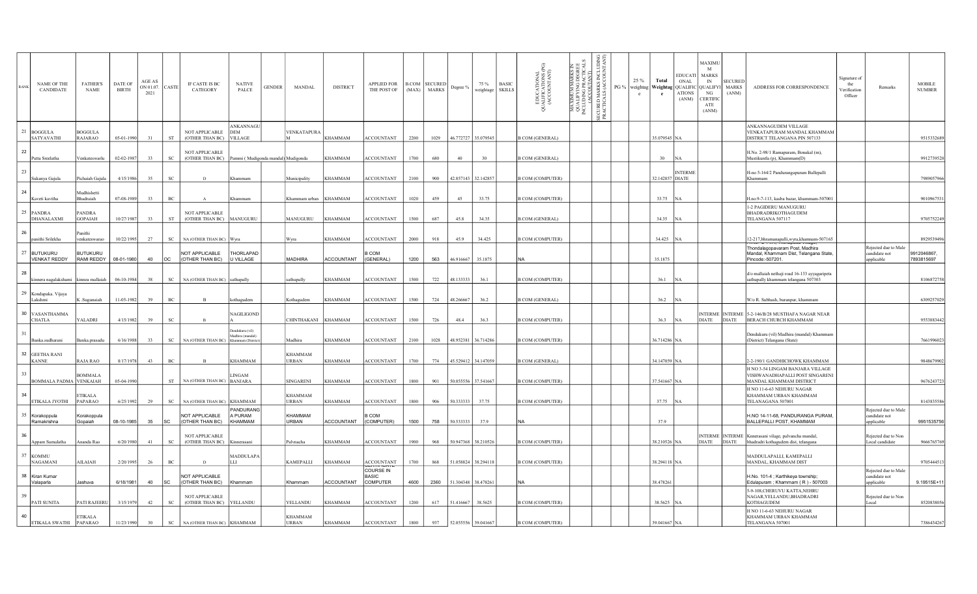| RANE | NAME OF THE<br>CANDIDATE           | <b>FATHER'S</b><br><b>NAME</b>   | DATE OF<br><b>BIRTH</b> | AGE AS<br>ON 01.07. CASTE<br>2021 |                             | IF CASTE IS BC<br>CATEGORY                | <b>NATIVE</b><br>PALCE                               | <b>GENDER</b> | MANDAL                         | <b>DISTRICT</b>   | APPLIED FOR<br>THE POST OF                   |      | B.COM SECURED<br>(MAX) MARKS | Degree %            | 75 %<br>weightage | <b>BASIC</b><br><b>SKILLS</b> | EDUCATIONAL<br>JALIFICATIONS (PG)<br>(ACCOUNTANT)<br>3 | F<br>MAXIMUM MARKS I<br>QUALIFYING DEGRE<br>INCLUDING PRACTICA<br>ALIFYING DEGR<br>JUDING PRACTIC<br>(ACCOUTANT) | ğ<br>MARKS<br>ALS (ACC<br>PG %<br><b>ECURED</b><br>PRACTIC | 25 %<br>$\mathbf{c}$ | Total           | EDUCATI MARKS<br>ONAL<br>weightag   Weightag   QUALIFIC   QUALIFYI   MARKS<br><b>ATIONS</b><br>(ANM) | MAXIMU<br>M<br>IN<br>NG<br>CERTIFIC<br>ATE<br>(ANM) | <b>SECURED</b><br>(ANM) | ADDRESS FOR CORRESPONDENCE                                                                               | Signature of<br>the<br>Verification<br>Officer | Remarks                                             | <b>MOBILE</b><br><b>NUMBER</b> |
|------|------------------------------------|----------------------------------|-------------------------|-----------------------------------|-----------------------------|-------------------------------------------|------------------------------------------------------|---------------|--------------------------------|-------------------|----------------------------------------------|------|------------------------------|---------------------|-------------------|-------------------------------|--------------------------------------------------------|------------------------------------------------------------------------------------------------------------------|------------------------------------------------------------|----------------------|-----------------|------------------------------------------------------------------------------------------------------|-----------------------------------------------------|-------------------------|----------------------------------------------------------------------------------------------------------|------------------------------------------------|-----------------------------------------------------|--------------------------------|
|      | 21 BOGGULA<br>SATYAVATHI           | <b>BOGGULA</b><br><b>RAJARAO</b> | 05-01-1990              | 31                                | ST                          | NOT APPLICABLE<br>(OTHER THAN BC) VILLAGE | ANKANNAGU<br>DEM                                     |               | VENKATAPURA                    | <b>KHAMMAM</b>    | <b>ACCOUNTANT</b>                            | 2200 | 1029                         | 46.772727 35.079545 |                   |                               | <b>B COM (GENERAL)</b>                                 |                                                                                                                  |                                                            |                      | 35.079545 NA    |                                                                                                      |                                                     |                         | ANKANNAGUDEM VILLAGE<br>VENKATAPURAM MANDAL KHAMMAM<br>DISTRICT TELANGANA PIN 507133                     |                                                |                                                     | 9515332689                     |
| 22   | Putta Sreelatha                    | Venkateswarlu                    | 02-02-1987              | 33                                | $\operatorname{SC}$         | <b>NOT APPLICABLE</b><br>(OTHER THAN BC)  | Pammi (Mudigonda mandal) Mudigonda                   |               |                                | <b>KHAMMAM</b>    | <b>ACCOUNTANT</b>                            | 1700 | 680                          | 40                  | 30                |                               | <b>B COM (GENERAL)</b>                                 |                                                                                                                  |                                                            |                      | 30 <sup>°</sup> | <b>NA</b>                                                                                            |                                                     |                         | H.No. 2-98/1 Ramapuram, Bonakal (m),<br>Mustikuntla (p), Khammam(D)                                      |                                                |                                                     | 9912739520                     |
| 23   | Sukanya Gajula                     | Pichaiah Gajula                  | 4/15/1986               | 35                                | $\rm{sc}$                   | D                                         |                                                      |               | Municipality                   | <b>KHAMMAM</b>    | <b>ACCOUNTANT</b>                            | 2100 | 900                          | 42.857143 32.142857 |                   |                               | <b>B COM (COMPUTER)</b>                                |                                                                                                                  |                                                            |                      | 32.142857 DIATE | <b>INTERMI</b>                                                                                       |                                                     |                         | H-no 5-164/2 Pandurangapuram Ballepalli<br>Khammam                                                       |                                                |                                                     | 7989057966                     |
| 24   | Kaveti kavitha                     | Audhishetti<br><b>Bhadraiah</b>  | 07-08-1989              | 33                                | BC                          | $\mathbf{A}$                              | <b>Chammam</b>                                       |               | Khammam urban                  | <b>KHAMMAM</b>    | <b>ACCOUNTANT</b>                            | 1020 | 459                          | 45                  | 33.75             |                               | <b>B COM (COMPUTER)</b>                                |                                                                                                                  |                                                            |                      | 33.75 NA        |                                                                                                      |                                                     |                         | H.no.9-7-113, kasba bazar, khammam-507001                                                                |                                                |                                                     | 9010967531                     |
|      | 25 PANDRA<br>DHANALAXMI            | <b>PANDRA</b><br><b>GOPAIAH</b>  | 10/27/1987              | 33                                | ST                          | <b>NOT APPLICABLE</b><br>(OTHER THAN BC)  | MANUGURU                                             |               | MANUGURU                       | <b>KHAMMAM</b>    | <b>ACCOUNTANT</b>                            | 1500 | 687                          | 45.8                | 34.35             |                               | <b>B.COM</b> (GENERAL)                                 |                                                                                                                  |                                                            |                      | 34.35 NA        |                                                                                                      |                                                     |                         | 1-2 PAGIDERU MANUGURU<br>BHADRADRIKOTHAGUDEM<br>TELANGANA 507117                                         |                                                |                                                     | 9705752249                     |
| 26   | panithi Srilekha                   | Panithi<br>venkateswarao         | 10/22/1995              | 27                                | SC                          | NA (OTHER THAN BC)                        | IW <sub>vra</sub>                                    |               | Wvra                           | <b>KHAMMAM</b>    | <b>ACCOUNTANT</b>                            | 2000 | 918                          | 45.9                | 34.425            |                               | <b>B COM (COMPUTER)</b>                                |                                                                                                                  |                                                            |                      | 34.425 NA       |                                                                                                      |                                                     |                         | 12-217, bhramanapalli, wyra, khamnam-507165                                                              |                                                |                                                     | 8929539496                     |
|      | 27 BUTUKURU<br><b>VENKAT REDDY</b> | <b>BUTUKURU</b><br>RAMI REDDY    | 08-01-1980              | 40                                | <b>OC</b>                   | NOT APPLICABLE<br>(OTHER THAN BC)         | THORLAPAD<br>U VILLAGE                               |               | <b>MADHIRA</b>                 | <b>ACCOUNTANT</b> | COM<br>(GENERAL)                             | 1200 | 563                          | 46.916667 35.1875   |                   |                               | NA)                                                    |                                                                                                                  |                                                            |                      | 35.1875         |                                                                                                      |                                                     |                         | Thondalagopavaram Post, Madhira<br>Mandal, Khammam Dist, Telangana State,<br>Pincode:-507201.            |                                                | Rejected due to Male<br>candidate not<br>applicable | 9912046867,<br>7893815697      |
| 28   | kinnera nagalakshami               | kinnea mallaiah                  | 06-10-1984              | 38                                | ${\rm SC}$                  | NA (OTHER THAN BC)                        | athupally                                            |               | athupally                      | <b>KHAMMAM</b>    | <b>ACCOUNTANT</b>                            | 1500 | 722                          | 48.133333           | 36.1              |                               | <b>B COM (COMPUTER)</b>                                |                                                                                                                  |                                                            |                      | 36.1            | <b>INA</b>                                                                                           |                                                     |                         | d/o mallaiah nethaji road 16-133 ayyagaripeta<br>sathupally khammam telangana 507303                     |                                                |                                                     | 8106872758                     |
|      | 29 Kondapaka. Vijaya<br>Lakshmi    | K.Sugunaiah                      | 11-05-1982              | 39                                | BC                          | B                                         | othagudem                                            |               | Kothagudem                     | <b>KHAMMAM</b>    | <b>ACCOUNTANT</b>                            | 1500 | 724                          | 48.266667           | 36.2              |                               | <b>B COM (GENERAL)</b>                                 |                                                                                                                  |                                                            |                      | 36.2 NA         |                                                                                                      |                                                     |                         | W/o R. Subhash, buranpur, khammam                                                                        |                                                |                                                     | 6309257029                     |
|      | 30 VASANTHAMMA<br><b>CHATLA</b>    | YALADRI                          | 4/15/1982               | 39                                | SC                          |                                           | NAGILIGOND                                           |               | CHINTHAKANI KHAMMAM            |                   | <b>ACCOUNTANT</b>                            | 1500 | 726                          | 48.4                | 36.3              |                               | <b>B COM (COMPUTER)</b>                                |                                                                                                                  |                                                            |                      | 36.3 NA         |                                                                                                      | <b>DIATE</b>                                        |                         | INTERME INTERME 5-2-146/B/28 MUSTHAFA NAGAR NEAR<br>DIATE BERACH CHURCH KHAMMAM                          |                                                |                                                     | 9553883442                     |
|      | Banka.sudharani                    | Banka.prasadu                    | 6/16/1988               | 33                                | $\protect\operatorname{SC}$ | NA (OTHER THAN BC)                        | adukuru (vil<br>Madhira (mandal)<br>Khammam (Distric |               | Madhira                        | <b>KHAMMAM</b>    | <b>ACCOUNTANT</b>                            | 2100 | 1028                         | 48.952381 36.714286 |                   |                               | <b>B COM (COMPUTER)</b>                                |                                                                                                                  |                                                            |                      | 36.714286 NA    |                                                                                                      |                                                     |                         | Dendukuru (vil) Madhira (mandal) Khammam<br>(District) Telangana (State)                                 |                                                |                                                     | 7661996023                     |
|      | 32 GEETHA RANI<br><b>KANNE</b>     | RAJA RAO                         | 8/17/1978               | 43                                | $_{\mathrm{BC}}$            | $\mathbf{B}$                              | KHAMMAM                                              |               | <b>KHAMMAM</b><br><b>URBAN</b> | <b>KHAMMAM</b>    | <b>ACCOUNTANT</b>                            | 1700 | 774                          | 45.529412 34.147059 |                   |                               | <b>B COM (GENERAL)</b>                                 |                                                                                                                  |                                                            |                      | 34.147059 NA    |                                                                                                      |                                                     |                         | 2-2-190/1 GANDHICHOWK KHAMMAM                                                                            |                                                |                                                     | 9848679902                     |
| 33   | BOMMALA PADMA VENKAIAH             | <b>BOMMALA</b>                   | 05-04-1990              |                                   | ST                          | NA (OTHER THAN BC) BANJARA                | LINGAM                                               |               | SINGARENI                      | <b>KHAMMAM</b>    | <b>ACCOUNTANT</b>                            | 1800 | 901                          | 50.055556 37.541667 |                   |                               | <b>B COM (COMPUTER)</b>                                |                                                                                                                  |                                                            |                      | 37.541667 NA    |                                                                                                      |                                                     |                         | H NO 3-54 LINGAM BANJARA VILLAGE<br>VISHWANADHAPALLI POST SINGARENI<br>MANDAL KHAMMAM DISTRICT           |                                                |                                                     | 9676243723                     |
| 34   | ETIKALA JYOTHI                     | ETIK ALA<br>PAPARAO              | 6/25/1992               | 29                                | $\operatorname{SC}$         | NA (OTHER THAN BC) KHAMMAM                |                                                      |               | <b>KHAMMAM</b><br>URBAN        | <b>KHAMMAM</b>    | <b>ACCOUNTANT</b>                            | 1800 | 906                          | 50.333333           | 37.75             |                               | <b>B COM (COMPUTER)</b>                                |                                                                                                                  |                                                            |                      | 37.75           |                                                                                                      |                                                     |                         | H NO 11-6-63 NEHURU NAGAR<br>KHAMMAM URBAN KHAMMAM<br>TELANAGANA 507001                                  |                                                |                                                     | 8143835586                     |
|      | 35 Korakoppula<br>Ramakrishna      | Korakoppula<br>Gopaiah           | 08-10-1985              | 35                                | <b>SC</b>                   | NOT APPLICABLE<br>(OTHER THAN BC)         | PANDURANG<br>A PURAM<br>KHAMMAM                      |               | KHAMMAM<br>URBAN               | <b>ACCOUNTANT</b> | COM<br>(COMPUTER)                            | 1500 | 758                          | 50.533333           | 37.9              |                               | <b>NA</b>                                              |                                                                                                                  |                                                            |                      | 37.9            |                                                                                                      |                                                     |                         | H.NO 14-11-68, PANDURANGA PURAM,<br>BALLEPALLI POST, KHAMMAM                                             |                                                | Rejected due to Male<br>candidate not<br>pplicable  | 9951535756                     |
| 36   | Appam Sumalatha                    | Ananda Rao                       | 6/20/1980               | 41                                | $_{\rm SC}$                 | NOT APPLICABLE<br>(OTHER THAN BC)         | <b>Kinnerasan</b>                                    |               | Palynacha                      | <b>KHAMMAM</b>    | <b>ACCOUNTANT</b>                            | 1900 | 968                          | 50.947368 38.210526 |                   |                               | <b>B COM (COMPUTER)</b>                                |                                                                                                                  |                                                            |                      | 38.210526 NA    |                                                                                                      | <b>DIATE</b>                                        |                         | INTERME   INTERME   Knnerasani vilage, palvancha mandal,<br>DIATE   bhadradri kothagudem dist, telangana |                                                | Rejected due to Non<br>Local candidate              | 9666765769                     |
| 37   | <b>KOMMU</b><br><b>NAGAMANI</b>    | AILAIAH                          | 2/20/1995               | 26                                | BC                          | D.                                        | MADDULAPA<br>LLI                                     |               | KAMEPALLI                      | <b>KHAMMAM</b>    | <b>ACCOUNTANT</b>                            | 1700 | 868                          | 51.058824 38.294118 |                   |                               | <b>B COM (COMPUTER)</b>                                |                                                                                                                  |                                                            |                      | 38.294118 NA    |                                                                                                      |                                                     |                         | MADDULAPALLI, KAMEPALLI<br>MANDAL, KHAMMAM DIST                                                          |                                                |                                                     | 9705444513                     |
|      | 38 Kiran Kumar<br>Valaparla        | Jashuva                          | 6/18/1981               | 40                                | <b>SC</b>                   | NOT APPLICABLE<br>(OTHER THAN BC)         | Khammam                                              |               | Khammam                        | <b>ACCOUNTANT</b> | COURSE IN<br><b>BASIC</b><br><b>COMPUTER</b> | 4600 | 2360                         | 51.304348 38.478261 |                   |                               | lna                                                    |                                                                                                                  |                                                            |                      | 38.478261       |                                                                                                      |                                                     |                         | H.No. 101-4 ; Karthikeya township;<br>Edulapuram ; Khammam (R) - 507003                                  |                                                | Rejected due to Male<br>candidate not<br>pplicable  | 9.19515E+11                    |
| 39   | PATI SUNITA                        | PATI RAJEERU                     | 3/15/1979               | 42                                | $_{\mathrm{SC}}$            | <b>NOT APPLICABLE</b><br>(OTHER THAN BC)  | YELLANDU                                             |               | YELLANDU                       | <b>KHAMMAM</b>    | <b>ACCOUNTANT</b>                            | 1200 | 617                          | 51.416667           | 38.5625           |                               | <b>B COM (COMPUTER)</b>                                |                                                                                                                  |                                                            |                      | 38.5625 NA      |                                                                                                      |                                                     |                         | 5-9-108, CHERUVU KATTA, NEHRU<br>NAGAR, YELLANDU, BHADRADRI<br><b>KOTHAGUDEM</b>                         |                                                | Rejected due to Non<br>Local                        | 8520838056                     |
| 40   | ETIKALA SWATHI                     | <b>ETIKALA</b><br><b>PAPARAO</b> | 11/23/1990              | 30                                | $_{\rm SC}$                 | NA (OTHER THAN BC) KHAMMAM                |                                                      |               | <b>KHAMMAM</b><br>URBAN        | <b>KHAMMAM</b>    | <b>ACCOUNTANT</b>                            | 1800 | 937                          | 52.055556 39.041667 |                   |                               | <b>B COM (COMPUTER)</b>                                |                                                                                                                  |                                                            |                      | 39.041667 NA    |                                                                                                      |                                                     |                         | H NO 11-6-63 NEHURU NAGAR<br>KHAMMAM URBAN KHAMMAM<br>TELANGANA 507001                                   |                                                |                                                     | 7386434267                     |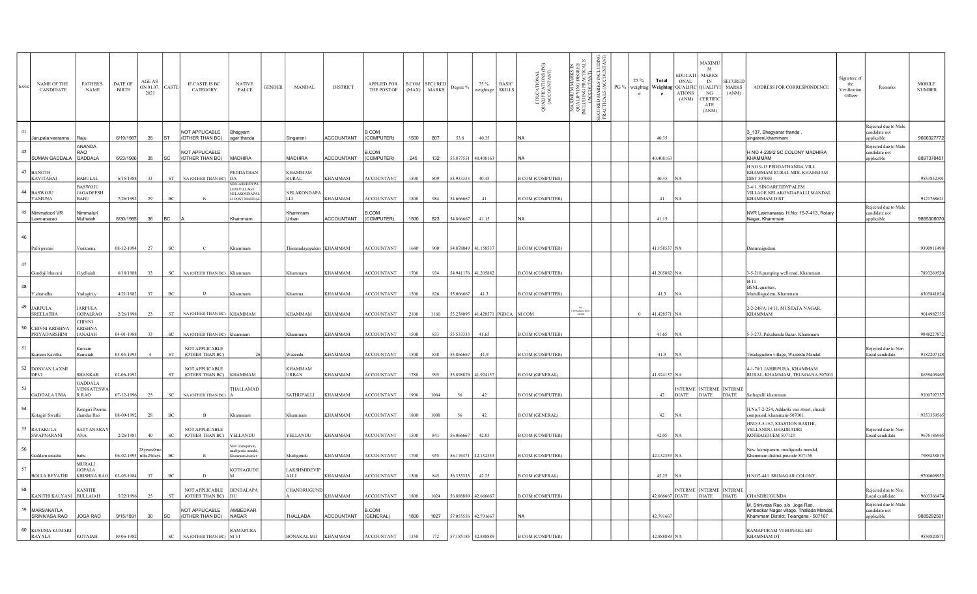|    | <b>NAME OF THE</b><br>CANDIDATE      | <b>FATHER'S</b><br><b>NAME</b>              | DATE OF<br>BIRTH      | <b>AGE AS</b><br>ON 01.07.<br>2021 | CASTE                       | IF CASTE IS BC<br>CATEGORY                | <b>NATIVE</b><br>PALCE                  | <b>GENDER</b> | MANDAL                     | <b>DISTRICT</b>   | <b>APPLIED FOR</b><br>THE POST OF |      | <b>B.COM</b> SECURED<br>(MAX) MARKS | Degree %                      | 75 %<br>weightage               | <b>BASIC</b><br><b>SKILLS</b> | EDUCATION AL<br>JALIFICATIONS (PG)<br>(ACCOUNTANT)<br>3 | а<br>ЖЕ<br><b>TARKS</b><br>DEGRI<br>LACTIC<br>LAMT)<br>XIMUM MA<br>ALIFYING I<br>UDING PRA<br>(ACCOUTA<br>MAXIMUM I<br>QUALIFYING P<br>INCLUDING P | ğ<br>MARKS<br>ALS (ACC<br><b>IECURED</b><br>PRACTIC | PG % | 25%<br>weightag<br>$\mathbf{e}$ | Total<br>Weightag QUALIFIC QUALIFYI<br>e | ONAL<br><b>ATIONS</b><br>(ANM) | MAXIMU<br>M<br>EDUCATI MARKS<br><b>IN</b><br>NG<br><b>CERTIFIC</b><br>ATE<br>(ANM) | <b>SECURED</b><br><b>MARKS</b><br>(ANM) | ADDRESS FOR CORRESPONDENCE                                                      | Signature of<br>the<br>Verification<br>Officer | Remarks                                 | <b>MOBILE</b><br><b>NUMBER</b> |
|----|--------------------------------------|---------------------------------------------|-----------------------|------------------------------------|-----------------------------|-------------------------------------------|-----------------------------------------|---------------|----------------------------|-------------------|-----------------------------------|------|-------------------------------------|-------------------------------|---------------------------------|-------------------------------|---------------------------------------------------------|----------------------------------------------------------------------------------------------------------------------------------------------------|-----------------------------------------------------|------|---------------------------------|------------------------------------------|--------------------------------|------------------------------------------------------------------------------------|-----------------------------------------|---------------------------------------------------------------------------------|------------------------------------------------|-----------------------------------------|--------------------------------|
| 41 |                                      |                                             |                       |                                    |                             | NOT APPLICABLE                            | Bhagyam                                 |               |                            |                   | COM                               |      |                                     |                               |                                 |                               |                                                         |                                                                                                                                                    |                                                     |      |                                 |                                          |                                |                                                                                    |                                         | 3_137, Bhagyanar thanda                                                         |                                                | Rejected due to Male<br>candidate not   |                                |
|    | Jarupala veeranna                    | Raiu                                        | 6/19/1987             | 35                                 | <b>ST</b>                   | (OTHER THAN BC)                           | agar thanda                             |               | Singareni                  | <b>ACCOUNTANT</b> | (COMPUTER)                        | 1500 | 807                                 | 53.8                          | 40.35                           |                               | NA                                                      |                                                                                                                                                    |                                                     |      |                                 | 40.35                                    |                                |                                                                                    |                                         | singareni, khammam                                                              |                                                | applicable                              | 9666327772                     |
| 42 |                                      | ANANDA<br><b>RAO</b>                        |                       |                                    |                             | NOT APPLICABLE                            |                                         |               |                            |                   | .COM                              |      |                                     |                               |                                 |                               |                                                         |                                                                                                                                                    |                                                     |      |                                 |                                          |                                |                                                                                    |                                         | H NO 4-239/2 SC COLONY MADHIRA                                                  |                                                | Rejected due to Male<br>andidate not    |                                |
|    | SUMAN GADDALA GADDALA                |                                             | 6/23/1986             | 35                                 | <b>SC</b>                   | (OTHER THAN BC)                           | MADHIRA                                 |               | <b>MADHIRA</b>             | <b>ACCOUNTANT</b> | (COMPUTER)                        | 245  | 132                                 | 53.877551 40.408163           |                                 |                               | lna                                                     |                                                                                                                                                    |                                                     |      |                                 | 40.408163                                |                                |                                                                                    |                                         | KHAMMAM<br>H NO 9-13 PEDDATHANDA VILL                                           |                                                | <i>s</i> pplicable                      | 8897370451                     |
| 43 | <b>BANOTH</b><br><b>KAVITABAI</b>    | <b>BABULAL</b>                              | 6/15/1988             | 33                                 | ${\cal S}{\cal T}$          | NA (OTHER THAN BC) DA                     | <b>PEDDATHAN</b>                        |               | KHAMMAM<br><b>RURAL</b>    | <b>KHAMMAM</b>    | <b>ACCOUNTANT</b>                 | 1500 | 809                                 | 53.933333                     | 40.45                           |                               | <b>B COM (COMPUTER)</b>                                 |                                                                                                                                                    |                                                     |      |                                 | 40.45                                    |                                |                                                                                    |                                         | KHAMMAM RURAL MDL KHAMMAM<br><b>DIST 507003</b>                                 |                                                |                                         | 9553832301                     |
|    |                                      | <b>BASWOJU</b>                              |                       |                                    |                             |                                           | <b>INGAREDDYI</b><br><b>LEM VILLAGE</b> |               |                            |                   |                                   |      |                                     |                               |                                 |                               |                                                         |                                                                                                                                                    |                                                     |      |                                 |                                          |                                |                                                                                    |                                         | 2-4/1, SINGAREDDYPALEM                                                          |                                                |                                         |                                |
|    | 44 BASWOJU<br>YAMUNA                 | <b>JAGADEESH</b><br><b>BABU</b>             | 7/26/1992             | 29                                 | BC                          |                                           | NELAKONDAPA<br>I POST MANDA             |               | NELAKONDAPA<br>LLI         | <b>KHAMMAM</b>    | <b>ACCOUNTANT</b>                 | 1800 | 984                                 | 54.666667                     | 41                              |                               | <b>B COM (COMPUTER)</b>                                 |                                                                                                                                                    |                                                     |      |                                 | 41                                       |                                |                                                                                    |                                         | VILLAGE, NELAKONDAPALLI MANDAL<br><b>KHAMMAM DIST</b>                           |                                                |                                         | 9121768621                     |
| 45 | Nimmatoori VR                        | Nimmaturi                                   |                       |                                    |                             |                                           |                                         |               | Khammam                    |                   | .COM                              |      |                                     |                               |                                 |                               |                                                         |                                                                                                                                                    |                                                     |      |                                 |                                          |                                |                                                                                    |                                         |                                                                                 |                                                | Rejected due to Male<br>candidate not   |                                |
|    | Laxmanarao                           | Muthaiah                                    | 8/30/1985             | 36                                 | <b>BC</b>                   |                                           | Khammam                                 |               | Urban                      | <b>ACCOUNTANT</b> | (COMPUTER)                        | 1500 | 823                                 | 54.866667                     | 41.15                           |                               | NA.                                                     |                                                                                                                                                    |                                                     |      |                                 | 41.15                                    |                                |                                                                                    |                                         | NVR Laxmanarao, H.No: 15-7-413, Rotary<br>Nagar, Khammam                        |                                                | applicable                              | 9885306070                     |
| 46 | Palli pavani                         | Venkanna                                    | 08-12-1994            | 27                                 | SC                          |                                           | Khammam                                 |               | Thirumalayapalem   KHAMMAM |                   | <b>ACCOUNTANT</b>                 | 1640 | 900                                 | 54.878049 41.158537           |                                 |                               | <b>B COM (COMPUTER)</b>                                 |                                                                                                                                                    |                                                     |      |                                 | 41.158537 NA                             |                                |                                                                                    |                                         | Dammaigudem                                                                     |                                                |                                         | 9390911498                     |
|    |                                      |                                             |                       |                                    |                             |                                           |                                         |               |                            |                   |                                   |      |                                     |                               |                                 |                               |                                                         |                                                                                                                                                    |                                                     |      |                                 |                                          |                                |                                                                                    |                                         |                                                                                 |                                                |                                         |                                |
| 47 | Gundoji bhavani                      |                                             | 6/18/1988             | 33                                 | SC                          | NA (OTHER THAN BC) Khammam                |                                         |               | Khammam                    | <b>KHAMMAM</b>    | <b>ACCOUNTANT</b>                 | 1700 | 934                                 | 54.941176 41.205882           |                                 |                               | <b>B COM (COMPUTER)</b>                                 |                                                                                                                                                    |                                                     |      |                                 | 41.205882 NA                             |                                |                                                                                    |                                         | 3-5-218, pumping well road, Khammam<br>$B-11$                                   |                                                |                                         | 7893269520                     |
| 48 | Y.sharadha                           | Yadagiri.y                                  | 4/21/1982             | 37                                 | $_{\mathrm{BC}}$            | D                                         |                                         |               | Khamma                     | <b>KHAMMAM</b>    | <b>ACCOUNTANT</b>                 | 1500 | 826                                 | 55.066667                     | 41.3                            |                               | <b>B COM (COMPUTER)</b>                                 |                                                                                                                                                    |                                                     |      |                                 | 41.3                                     |                                |                                                                                    |                                         | <b>BSNL</b> quarters,<br>Mamillagudem, Khammam                                  |                                                |                                         | 6305841824                     |
| 49 | <b>JARPULA</b><br><b>SREELATHA</b>   | <b>JARPULA</b><br>GOPALRAO<br><b>CHINNI</b> | 2/26/1998             | 23                                 | <b>ST</b>                   | NA (OTHER THAN BC) KHAMMAM                |                                         |               | KHAMMAM                    | <b>KHAMMAM</b>    | ACCOUNTANT                        | 2100 | 1160                                |                               | 55.238095 41.428571 PGDCA M COM |                               |                                                         | <b>SOLIDATI</b><br>MEMO                                                                                                                            |                                                     |      | $\Omega$                        | 41.428571 NA                             |                                |                                                                                    |                                         | 2-2-248/A/14/11, MUSTAFA NAGAR,<br>KHAMMAM                                      |                                                |                                         | 9014982335                     |
| 50 | CHINNI KRISHNA<br>PRIYADARSHINI      | <b>KRISHNA</b><br><b>JANAIAH</b>            | 04-01-1988            | 33                                 | SC                          | NA (OTHER THAN BC) khammam                |                                         |               | Khammam                    | <b>KHAMMAM</b>    | <b>ACCOUNTANT</b>                 | 1500 | 833                                 | 55.533333                     | 41.65                           |                               | <b>B COM (COMPUTER)</b>                                 |                                                                                                                                                    |                                                     |      |                                 | 41.65 NA                                 |                                |                                                                                    |                                         | 5-3-273, Pakabanda Bazar, Khammam                                               |                                                |                                         | 9848227872                     |
| 51 | Kursam Kavitha                       | Kursam<br>Ramaiah                           | 05-05-1995            | $\overline{4}$                     | ST                          | NOT APPLICABLE<br>(OTHER THAN BC)         |                                         |               | Wazeedu                    | <b>KHAMMAM</b>    | <b>ACCOUNTANT</b>                 | 1500 | 838                                 | 55.866667                     | 41.9                            |                               | <b>B COM (COMPUTER)</b>                                 |                                                                                                                                                    |                                                     |      |                                 | 41.9                                     | - IN A                         |                                                                                    |                                         | Tekulagudem village, Wazeedu Mandal                                             |                                                | Rejected due to Non<br>Local candidate. | 9182207128                     |
| 52 | <b>DONVAN LAXMI</b><br><b>DEVI</b>   | <b>SHANKAR</b><br><b>GADDALA</b>            | 02-06-1992            |                                    | $^{\rm ST}$                 | NOT APPLICABLE<br>(OTHER THAN BC) KHAMMAM |                                         |               | KHAMMAM<br>URBAN           | <b>KHAMMAM</b>    | <b>ACCOUNTANT</b>                 | 1780 | 995                                 | 55.898876 41.924157           |                                 |                               | <b>B COM (GENERAL)</b>                                  |                                                                                                                                                    |                                                     |      |                                 | 11.924157 NA                             |                                |                                                                                    |                                         | 4-1-70/1 JAHIRPURA, KHAMMAM<br>RURAL, KHAMMAM, TELNGANA.507003                  |                                                |                                         | 8639403465                     |
| 53 | GADDALA UMA                          | <b>VENKATESWA</b><br>R RAO                  | 07-12-1996            | 25                                 | $_{\mathrm{SC}}$            | NA (OTHER THAN BC)                        | THALLAMAD                               |               | SATHUPALLI                 | <b>KHAMMAM</b>    | <b>ACCOUNTANT</b>                 | 1900 | 1064                                | 56                            | 42                              |                               | <b>B COM (COMPUTER)</b>                                 |                                                                                                                                                    |                                                     |      |                                 | 42                                       |                                | INTERME INTERME INTERME<br>DIATE DIATE DIATE                                       |                                         | Sathupalli khammam                                                              |                                                |                                         | 9100792357                     |
| 54 | Kotagiri Swathi                      | Kotagiri Poorna<br>chandar Rao              | 08-09-1992            | 28                                 | $_{\mathrm{BC}}$            | $\mathbf{R}$                              | Khammam                                 |               | Khammam                    | <b>KHAMMAM</b>    | <b>ACCOUNTANT</b>                 | 1800 | 1008                                | 56                            | 42                              |                               | <b>B COM (GENERAL)</b>                                  |                                                                                                                                                    |                                                     |      |                                 | 42 NA                                    |                                |                                                                                    |                                         | H.No:7-2-254, Addanki vari street, church<br>compound, khammam-507001.          |                                                |                                         | 9553359565                     |
| 55 | <b>RATAKULA</b><br><b>SWAPNARANI</b> | SATYANARAY<br>ANA                           | 2/26/1981             | 40                                 | $_{\rm SC}$                 | <b>NOT APPLICABLE</b><br>(OTHER THAN BC)  | YELLANDU                                |               | YELLANDU                   | <b>KHAMMAM</b>    | <b>ACCOUNTANT</b>                 | 1500 | 841                                 | 56.066667                     | 42.05                           |                               | <b>B COM (COMPUTER)</b>                                 |                                                                                                                                                    |                                                     |      |                                 | 42.05 NA                                 |                                |                                                                                    |                                         | HNO:5-5-167, STASTION BASTHI,<br>YELLANDU, BHADRADRI<br>KOTHAGDUEM 507123       |                                                | Rejected due to Non<br>Local candidate  | 9676186965                     |
| 56 |                                      |                                             |                       |                                    |                             |                                           | ew laxmipura                            |               |                            |                   |                                   |      |                                     |                               |                                 |                               |                                                         |                                                                                                                                                    |                                                     |      |                                 |                                          |                                |                                                                                    |                                         | New laxmipuram, mudigonda mandal,                                               |                                                |                                         |                                |
|    | Gaddam anusha                        |                                             | 06-02-1993 nths29days |                                    | BC                          |                                           | nudigonda mandal<br>mmam distric        |               | Mudigonda                  | <b>KHAMMAM</b>    | <b>ACCOUNTANT</b>                 | 1700 | 955                                 |                               | 56.176471 42.132353             |                               | <b>B COM (COMPUTER)</b>                                 |                                                                                                                                                    |                                                     |      |                                 | 42.132353 NA                             |                                |                                                                                    |                                         | Khammam district,pincode 507158                                                 |                                                |                                         | 7989238815                     |
|    |                                      | <b>MURALI</b><br>GOPALA                     |                       |                                    |                             |                                           | KOTHAGUDE                               |               | LAKSHMIDEVIP               |                   |                                   |      |                                     |                               |                                 |                               |                                                         |                                                                                                                                                    |                                                     |      |                                 |                                          |                                |                                                                                    |                                         |                                                                                 |                                                |                                         |                                |
|    | <b>BOLLA REVATHI</b>                 | <b>KRISHNA RAO</b>                          | 03-05-1984            | 37                                 | BC                          | D                                         |                                         |               | ALLI                       | <b>KHAMMAM</b>    | <b>ACCOUNTANT</b>                 | 1500 | 845                                 | 56.333333                     | 42.25                           |                               | <b>B COM (GENERAL)</b>                                  |                                                                                                                                                    |                                                     |      |                                 | 42.25                                    | <b>NA</b>                      |                                                                                    |                                         | H.NO7-44/1 SRINAGAR COLONY                                                      |                                                |                                         | 9700608952                     |
| 58 | KANITHI KALYANI BULLAIAH             | <b>KANITHI</b>                              | 5/22/1996             | 25                                 | ST                          | NOT APPLICABLE<br>(OTHER THAN BC)         | <b>BENDALAPA</b>                        |               | CHANDRUGUND                | <b>KHAMMAM</b>    | <b>ACCOUNTANT</b>                 | 1800 | 1024                                | 56.888889 42.666667           |                                 |                               | <b>B COM (COMPUTER)</b>                                 |                                                                                                                                                    |                                                     |      |                                 | 42.666667 DIATE                          |                                | INTERME INTERME INTERME<br><b>DIATE</b>                                            | <b>DIATE</b>                            | CHANDRUGUNDA                                                                    |                                                | Rejected due to Non<br>.ocal candidate  | 9603366474                     |
|    |                                      |                                             |                       |                                    |                             |                                           |                                         |               |                            |                   |                                   |      |                                     |                               |                                 |                               |                                                         |                                                                                                                                                    |                                                     |      |                                 |                                          |                                |                                                                                    |                                         | M. Srinivasa Rao, s/o. Joga Rao,                                                |                                                | Rejected due to Male                    |                                |
|    | 59 MARSAKATLA<br>SRINIVASA RAO       | JOGA RAO                                    | 9/15/1991             | 30                                 | <b>SC</b>                   | NOT APPLICABLE<br>(OTHER THAN BC)         | AMBEDKAR<br><b>NAGAR</b>                |               | THALLADA                   | <b>ACCOUNTANT</b> | .COM<br>(GENERAL)                 | 1800 | 1027                                | 57.055556 42.791667           |                                 |                               | NA.                                                     |                                                                                                                                                    |                                                     |      |                                 | 42.791667                                |                                |                                                                                    |                                         | Ambedkar Nagar village, Thallada Mandal<br>Khammam District, Telangana - 507167 |                                                | candidate not<br>applicable             | 9885292501                     |
|    | 60 KUSUMA KUMARI<br><b>RAYALA</b>    | <b>KOTAIAH</b>                              | 10-06-1982            |                                    | $\protect\operatorname{SC}$ | NA (OTHER THAN BC) M VI                   | <b>RAMAPURA</b>                         |               | BONAKAL MD KHAMMAM         |                   | <b>ACCOUNTANT</b>                 | 1350 |                                     | 772    57.185185    42.888889 |                                 |                               | <b>B COM (COMPUTER)</b>                                 |                                                                                                                                                    |                                                     |      |                                 | 42.888889 NA                             |                                |                                                                                    |                                         | RAMAPURAM VI BONAKL MD<br>KHAMMAM DT                                            |                                                |                                         | 9550820871                     |
|    |                                      |                                             |                       |                                    |                             |                                           |                                         |               |                            |                   |                                   |      |                                     |                               |                                 |                               |                                                         |                                                                                                                                                    |                                                     |      |                                 |                                          |                                |                                                                                    |                                         |                                                                                 |                                                |                                         |                                |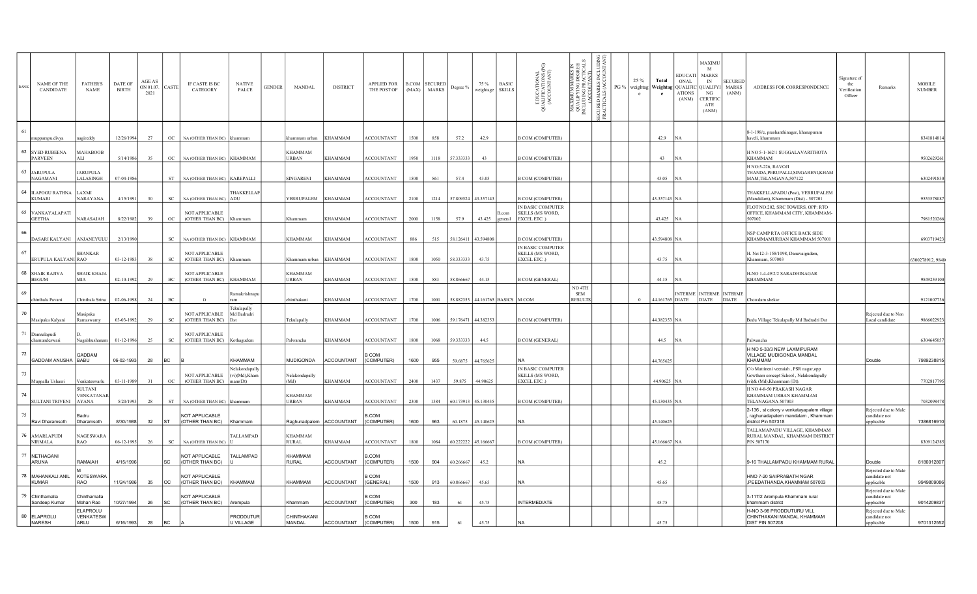|    | NAME OF THE<br>CANDIDATE           | <b>FATHER'S</b><br><b>NAME</b>        | <b>DATE OF</b><br><b>BIRTH</b> | AGE AS<br>ON 01.07.<br>2021 | CASTE               | IF CASTE IS BC<br>CATEGORY                       | <b>NATIVE</b><br>PALCE                     | <b>GENDER</b> | MANDAL                         | <b>DISTRICT</b>   | <b>APPLIED FOR</b><br>THE POST OF |      | <b>B.COM SECURED</b><br>(MAX) MARKS | Degree %            | 75 %<br><b>BASIC</b><br>weightage SKILLS | EDUCATIONAL<br>UALIFICATIONS (PC<br>(ACCOUNTANT)<br>$\overline{5}$ | ΞŘ<br>z<br>≨ ∺ à<br>≍೪ ≋<br>IMUM<br>LIFY II<br>DING<br><b>MAXI</b><br>QUAL<br>INCLUE | ž¤<br>MARKS<br>ALS (AC<br>SECURED<br>PRACTIC/ | $PG\%$ | 25 %<br>Total<br>weightag Weightag QUALIFIC<br>$^{\circ}$<br>e | MAXIMU<br>M<br><b>EDUCATI</b><br><b>MARKS</b><br>ONAL<br>IN<br><b>QUALIFYI</b><br>NG<br><b>ATIONS</b><br>CERTIFIC<br>(ANM)<br>ATE<br>(ANM) | <b>SECURED</b><br>MARKS<br>ADDRESS FOR CORRESPONDENCE<br>(ANM)                                               | Signature o:<br>the<br>erification<br>Officer | Remarks                                             | <b>MOBILE</b><br><b>NUMBER</b> |
|----|------------------------------------|---------------------------------------|--------------------------------|-----------------------------|---------------------|--------------------------------------------------|--------------------------------------------|---------------|--------------------------------|-------------------|-----------------------------------|------|-------------------------------------|---------------------|------------------------------------------|--------------------------------------------------------------------|--------------------------------------------------------------------------------------|-----------------------------------------------|--------|----------------------------------------------------------------|--------------------------------------------------------------------------------------------------------------------------------------------|--------------------------------------------------------------------------------------------------------------|-----------------------------------------------|-----------------------------------------------------|--------------------------------|
|    | nupparapu.divya                    | agireddy                              | 12/26/1994                     | 27                          |                     | OC NA (OTHER THAN BC) khammam                    |                                            |               | khammam urban                  | KHAMMAM           | <b>ACCOUNTANT</b>                 | 1500 | 858                                 | 57.2                | 42.9                                     | <b>B COM (COMPUTER)</b>                                            |                                                                                      |                                               |        | 42.9                                                           |                                                                                                                                            | 8-1-198/e, prashanthinagar, khanapuram<br>haveli, khammam                                                    |                                               |                                                     | 8341814814                     |
|    | 62 SYED RUBEENA<br><b>PARVEEN</b>  | <b>MAHABOOB</b><br>ALI                | 5/14/1986                      | 35                          | OC                  | NA (OTHER THAN BC) KHAMMAM                       |                                            |               | <b>KHAMMAM</b><br><b>URBAN</b> | <b>KHAMMAM</b>    | <b>ACCOUNTANT</b>                 | 1950 | 1118                                | 57.333333           | 43                                       | <b>B COM (COMPUTER)</b>                                            |                                                                                      |                                               |        | 43                                                             |                                                                                                                                            | H NO 5-1-162/1 SUGGALAVARITHOTA<br>KHAMMAM                                                                   |                                               |                                                     | 9502629261                     |
| 63 | <b>JARUPULA</b><br><b>NAGAMANI</b> | <b>JARUPULA</b><br>LALASINGH          | 07-04-1986                     |                             |                     | ST NA (OTHER THAN BC) KAREPALLI                  |                                            |               | <b>SINGARENI</b>               | KHAMMAM           | <b>ACCOUNTANT</b>                 | 1500 | 861                                 | 57.4                | 43.05                                    | <b>B COM (COMPUTER)</b>                                            |                                                                                      |                                               |        | 43.05                                                          |                                                                                                                                            | H NO:5-226, RAVOJI<br>THANDA, PERUPALLI, SINGARENI, KHAM<br>MAM,TELANGANA,507122                             |                                               |                                                     | 6302491830                     |
|    | 64 ILAPOGU RATHNA<br><b>KUMARI</b> | LAXMI<br>NARAYANA                     | 4/15/1991                      | 30                          | sc                  | NA (OTHER THAN BC) ADU                           | THAKKELLAP                                 |               | YERRUPALEM                     | <b>KHAMMAM</b>    | ACCOUNTANT                        | 2100 | 1214                                | 57.809524 43.357143 |                                          | <b>B COM (COMPUTER)</b>                                            |                                                                                      |                                               |        | 43.357143 NA                                                   |                                                                                                                                            | THAKKELLAPADU (Post), YERRUPALEM<br>(Mandalam), Khammam (Dist) - 507201                                      |                                               |                                                     | 9553578087                     |
|    | 65 VANKAYALAPATI<br><b>GEETHA</b>  | NARASAIAH                             | 8/22/1982                      | 39                          | OC                  | NOT APPLICABLE<br>(OTHER THAN BC)                | Khammam                                    |               | Khammam                        | <b>KHAMMAM</b>    | <b>ACCOUNTANT</b>                 | 2000 | 1158                                | 57.9                | B.com<br>43.425<br>general               | IN BASIC COMPUTER<br>SKILLS (MS WORD,<br>EXCEL ETC)                |                                                                                      |                                               |        | 43.425                                                         |                                                                                                                                            | FLOT NO:202, SRC TOWERS, OPP: RTO<br>OFFICE, KHAMMAM CITY, KHAMMAM-<br>507002                                |                                               |                                                     | 7981520266                     |
| 66 | DASARI KALYANI                     | ANJANEYULU                            | 2/13/1990                      |                             | SC                  | NA (OTHER THAN BC) KHAMMAM                       |                                            |               | KHAMMAM                        | KHAMMAM           | <b>ACCOUNTANT</b>                 | 886  | 515                                 | 58.126411           | 43.594808                                | <b>B COM (COMPUTER)</b>                                            |                                                                                      |                                               |        | 43.594808 NA                                                   |                                                                                                                                            | NSP CAMP RTA OFFICE BACK SIDE<br>KHAMMAMURBAN KHAMMAM 507001                                                 |                                               |                                                     | 690371942                      |
| 67 | ERUPULA KALYANI RAO                | <b>SHANKAR</b>                        | 03-12-1983                     | 38                          | SC                  | <b>NOT APPLICABLE</b><br>(OTHER THAN BC) Khammam |                                            |               | Khammam urban                  | <b>KHAMMAM</b>    | ACCOUNTANT                        | 1800 | 1050                                | 58.333333           | 43.75                                    | IN BASIC COMPUTER<br>SKILLS (MS WORD,<br>EXCEL ETC)                |                                                                                      |                                               |        | 43.75                                                          |                                                                                                                                            | H. No:12-3-158/1098, Danavaigudem,<br>Khammam, 507003                                                        |                                               |                                                     | 6300278912, 9848               |
|    | 68 SHAIK RAJIYA<br><b>BEGUM</b>    | SHAIK KHAJA<br>MIA                    | 02-10-1992                     | 29                          | $\operatorname{BC}$ | NOT APPLICABLE<br>(OTHER THAN BC)                | <b>KHAMMAM</b>                             |               | <b>KHAMMAM</b><br>URBAN        | KHAMMAM           | <b>ACCOUNTANT</b>                 | 1500 | 883                                 | 58.866667           | 44.15                                    | <b>B COM (GENERAL)</b>                                             |                                                                                      |                                               |        | 44.15                                                          |                                                                                                                                            | H-NO 1-4-49/2/2 SARADHINAGAR<br>KHAMMAM                                                                      |                                               |                                                     | 9849259100                     |
| 69 | chinthala Pavani                   | Chinthala Srinu                       | 02-06-1998                     | 24                          | BC                  |                                                  | Ramakrishnapı                              |               | hinthakani                     | KHAMMAM           | <b>ACCOUNTANT</b>                 | 1700 | 1001                                |                     | 58.882353 44.161765 BASICS M COM         |                                                                    | NO <sub>4TH</sub><br><b>SEM</b><br><b>RESULTS</b>                                    |                                               |        | 44.161765 DIATE<br>$\Omega$                                    | NTERME INTERME INTERME<br><b>DIATE</b>                                                                                                     | <b>DIATE</b><br>Chowdam shekar                                                                               |                                               |                                                     | 912100773                      |
| 70 | Masipaka Kalyani                   | Masipaka<br>Ramaswamy                 | 03-03-1992                     | 29                          | $\rm SC$            | NOT APPLICABLE<br>(OTHER THAN BC)                | Tekulapally<br>Md Badradri                 |               | Tekulapally                    | <b>KHAMMAM</b>    | <b>ACCOUNTANT</b>                 | 1700 | 1006                                | 59.176471 44.382353 |                                          | <b>B COM (COMPUTER)</b>                                            |                                                                                      |                                               |        | 44.382353 NA                                                   |                                                                                                                                            | Bodu Village Tekulapally Md Badradri Dst                                                                     |                                               | Rejected due to Non<br>Local candidate              | 9866022923                     |
| 71 | Damsalapudi<br>chamundeswari       | Nagabhushana                          | 01-12-1996                     | 25                          | SC                  | NOT APPLICABLE<br>(OTHER THAN BC) Kothagudem     |                                            |               | Palwancha                      | <b>KHAMMAM</b>    | <b>ACCOUNTANT</b>                 | 1800 | 1068                                | 59.333333           | 44.5                                     | <b>B COM (GENERAL)</b>                                             |                                                                                      |                                               |        | 44.5                                                           |                                                                                                                                            | Palwancha                                                                                                    |                                               |                                                     | 630464505                      |
| 72 | GADDAM ANUSHA BABU                 | GADDAM                                | 06-02-1993                     | 28                          | BC.                 |                                                  | KHAMMAM                                    |               | <b>MUDIGONDA</b>               | <b>ACCOUNTANT</b> | COM<br>(COMPUTER)                 | 1600 | 955                                 | 59.6875             | 44.765625                                |                                                                    |                                                                                      |                                               |        | 44.765625                                                      |                                                                                                                                            | H NO 5-33/3 NEW LAXMIPURAM<br>VILLAGE MUDIGONDA MANDAL<br>KHAMMAM                                            |                                               | Double                                              | 7989238815                     |
| 73 | Muppalla Ushasri                   | Venkateswarlu                         | 03-11-1989                     | 31                          | OC                  | NOT APPLICABLE<br>(OTHER THAN BC)                | Velakondapally<br>(vi)(Md),Kham<br>mam(Dt) |               | Nelakondapally<br>(Md)         | <b>KHAMMAM</b>    | <b>ACCOUNTANT</b>                 | 2400 | 1437                                | 59.875              | 44.90625                                 | IN BASIC COMPUTER<br>SKILLS (MS WORD,<br>EXCEL ETC)                |                                                                                      |                                               |        | 44.90625 NA                                                    |                                                                                                                                            | C/o Muttineni veeraiah, PSR nagar,opp<br>Gowtham concept School, Nelakondapally<br>(vi)& (Md), Khammam (Dt). |                                               |                                                     | 7702817795                     |
| 74 | <b>SULTANI TRIVENI</b>             | SULTANI<br><b>/ENKATANAR</b><br>AYANA | 5/20/1993                      | 28                          | <b>ST</b>           | NA (OTHER THAN BC)                               |                                            |               | <b>KHAMMAM</b><br><b>URBAN</b> | <b>KHAMMAM</b>    | <b>ACCOUNTANT</b>                 | 2300 | 1384                                | 60.173913           | 45.130435                                | <b>B COM (COMPUTER)</b>                                            |                                                                                      |                                               |        | 45.130435 NA                                                   |                                                                                                                                            | H NO 4-8-50 PRAKASH NAGAR<br>KHAMMAM URBAN KHAMMAM<br>TELANAGANA 507003                                      |                                               |                                                     | 7032098478                     |
| 75 | Ravi Dharamsoth                    | Badru<br>Dharamsoth                   | 8/30/1988                      | 32                          | <b>ST</b>           | NOT APPLICABLE<br>(OTHER THAN BC)                | <b>IKhammam</b>                            |               | Raghunadpalem                  | ACCOUNTANT        | COM.<br>(COMPUTER)                | 1600 | 963                                 | 60.1875             | 45.140625                                | NA                                                                 |                                                                                      |                                               |        | 45.140625                                                      |                                                                                                                                            | 2-136, st colony v venkatayapalem village<br>raghunadapalem mandalam, Khammam<br>district Pin 507318         |                                               | Rejected due to Male<br>candidate not<br>applicable | 7386816910                     |
|    | 76 AMARLAPUDI<br><b>NIRMALA</b>    | NAGESWARA<br>RAO                      | 06-12-1995                     | 26                          | SC                  | NA (OTHER THAN BC)                               | TALLAMPAD                                  |               | <b>KHAMMAM</b><br><b>RURAL</b> | <b>KHAMMAM</b>    | <b>ACCOUNTANT</b>                 | 1800 | 1084                                | 60.222222 45.166667 |                                          | <b>B COM (COMPUTER)</b>                                            |                                                                                      |                                               |        | 45.166667 NA                                                   |                                                                                                                                            | TALLAMAPADU VILLAGE, KHAMMAM<br>RURAL MANDAL, KHAMMAM DISTRICT<br>PIN 507170                                 |                                               |                                                     | 8309124385                     |
| 77 | <b>NETHAGANI</b><br><b>ARUNA</b>   | RAMAIAH                               | 4/15/1996                      |                             | SC                  | <b>NOT APPLICABLE</b><br>(OTHER THAN BC)         | TALLAMPAD                                  |               | KHAMMAM<br><b>RURAL</b>        | <b>ACCOUNTANT</b> | COM<br>(COMPUTER)                 | 1500 | 904                                 | 60.266667           | 45.2                                     | <b>NA</b>                                                          |                                                                                      |                                               |        | 45.2                                                           |                                                                                                                                            | 9-16 THALLAMPADU KHAMMAM RURAL                                                                               |                                               | Double                                              | 8186012807                     |
| 78 | MAHANKALI ANIL<br><b>KUMAR</b>     | KOTESWARA<br>RAO                      | 11/24/1986                     | 35                          | OC                  | NOT APPLICABLE<br>(OTHER THAN BC)                | KHAMMAM                                    |               | KHAMMAM                        | ACCOUNTANT        | COM<br>(GENERAL)                  | 1500 | 913                                 | 60.866667           | 45.65                                    | NA                                                                 |                                                                                      |                                               |        | 45.65                                                          |                                                                                                                                            | HNO 7-20 SAIPRABATH NGAR<br>,PEEDATHANDA,KHAMMAM 507003                                                      |                                               | Rejected due to Male<br>candidate not<br>applicable | 9949809086                     |
|    | 79 Chinthamalla<br>Sandeep Kumar   | Chinthamalla<br>Mohan Rao             | 10/27/1994                     | 26                          | <b>SC</b>           | NOT APPLICABLE<br>(OTHER THAN BC)                | Arempula                                   |               | Khammam                        | ACCOUNTANT        | B COM<br>(COMPUTER)               | 300  | 183                                 | 61                  | 45.75                                    | <b>INTERMEDIATE</b>                                                |                                                                                      |                                               |        | 45.75                                                          |                                                                                                                                            | 3-117/2 Arempula Khammam rural<br>khammam district                                                           |                                               | Rejected due to Male<br>andidate not<br>oplicable   | 9014209837                     |
|    | 80 ELAPROLU<br>NARESH              | ELAPROLU<br>VENKATESW<br>ARLU         | 6/16/1993                      | 28                          |                     |                                                  | PRODDUTUR<br>U VILLAGE                     |               | CHINTHAKANI<br><b>MANDAL</b>   | <b>ACCOUNTANT</b> | 3 COM<br>(COMPUTER)               | 1500 | 915                                 |                     | 45.75                                    |                                                                    |                                                                                      |                                               |        | 45.75                                                          |                                                                                                                                            | H-NO 3-98 PRODDUTURU VILL<br>CHINTHAKANI MANDAL KHAMMAM<br><b>DIST PIN 507208</b>                            |                                               | Rejected due to Male<br>candidate not<br>pplicable  | 9701312552                     |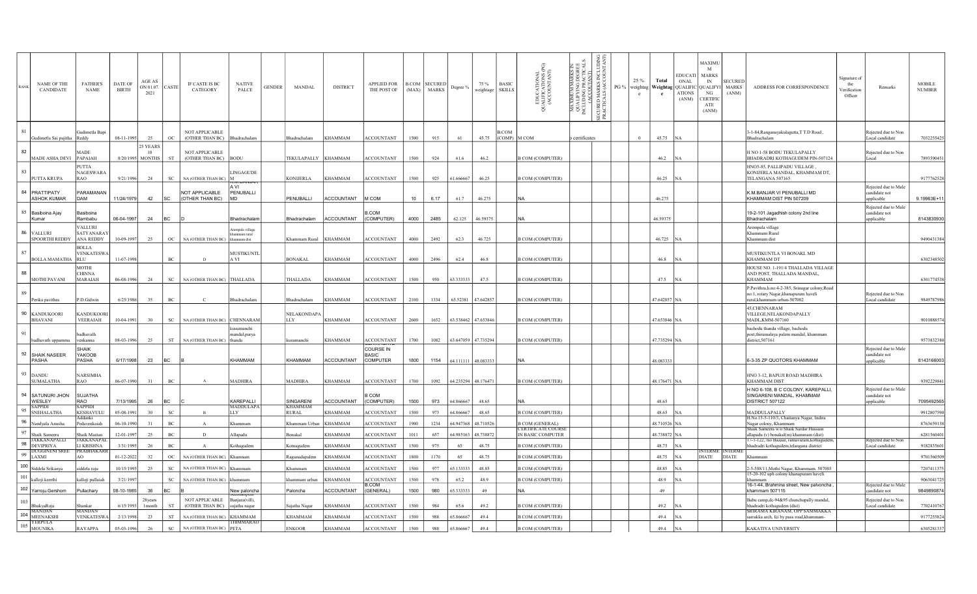| <b>RANK</b>             | NAME OF THE<br>CANDIDATE                                       | <b>FATHER'S</b><br><b>NAME</b>          | DATE OF<br><b>BIRTH</b> | AGE AS<br>ON 01.07.<br>2021        | CASTE               | IF CASTE IS BC<br>CATEGORY               | <b>NATIVE</b><br>PALCE                     | <b>GENDER</b> | MANDAL                         | <b>DISTRICT</b>   | APPLIED FOR<br>THE POST OF            | <b>B.COM SECURED</b><br>(MAX) | <b>MARKS</b> | Degree %            | 75 %<br>weightage | <b>BASIC</b><br><b>SKILLS</b>    | EDUCATIONAL<br>JALIFICATIONS (PG)<br>(ACCOUNTANT)<br>-8 | ⊞₹<br>KIMUM MARKS<br>LLIFY ING DEGR<br>JDING PRACTIC<br>(ACCOUTANT)<br>MAXIMU<br>QUALIFY<br>INCLUDINO | 3 E<br>ğ<br>MARKS<br>ALS (ACC<br><b>ECURED</b><br>PRACTIC | 25%<br>Total<br>PG % weightag Weightag QUALIFIC QUALIFYI<br>$\mathbf{c}$ | <b>EDUCATI</b><br>ONAL<br><b>ATIONS</b><br>(ANM) | MAXIMU<br><b>MARKS</b><br>IN<br>NG<br><b>CERTIFIC</b><br>ATE<br>(ANM) | <b>SECURED</b><br><b>MARKS</b><br>(ANM) | ADDRESS FOR CORRESPONDENCE                                                                                           | signature o:<br>the<br>erification<br>Officer | Remarks                                            | <b>MOBILE</b><br><b>NUMBER</b> |
|-------------------------|----------------------------------------------------------------|-----------------------------------------|-------------------------|------------------------------------|---------------------|------------------------------------------|--------------------------------------------|---------------|--------------------------------|-------------------|---------------------------------------|-------------------------------|--------------|---------------------|-------------------|----------------------------------|---------------------------------------------------------|-------------------------------------------------------------------------------------------------------|-----------------------------------------------------------|--------------------------------------------------------------------------|--------------------------------------------------|-----------------------------------------------------------------------|-----------------------------------------|----------------------------------------------------------------------------------------------------------------------|-----------------------------------------------|----------------------------------------------------|--------------------------------|
|                         | Gudimetla Sai pujitha                                          | iudimetla Bapi<br>Reddy                 | 08-11-1995              | 25                                 | OC                  | NOT APPLICABLE<br>(OTHER THAN BC)        | Bhadrachalam                               |               | <b>Bhadrachalam</b>            | KHAMMAM           | <b>ACCOUNTANT</b>                     | 1500                          | 915          | 61                  | 45.75             | <b>B.COM</b><br>$(COMP)$ M $COM$ |                                                         | certificates                                                                                          |                                                           | 45.75<br>$\theta$                                                        |                                                  |                                                                       |                                         | 3-1-84, Ranganayakulagutta, TT.D Road,<br>Bhadrachalam                                                               |                                               | Rejected due to Non<br>Local candidate             | 7032255425                     |
| 82                      | MADE ASHA DEVI                                                 | MADE<br>PAPAIAH                         |                         | 25 YEARS<br>10<br>8/20/1995 MONTHS | <b>ST</b>           | NOT APPLICABLE<br>(OTHER THAN BC) BODU   |                                            |               | TEKULAPALLY                    | <b>KHAMMAM</b>    | ACCOUNTANT                            | 1500                          | 924          | 61.6                | 46.2              |                                  | <b>B COM (COMPUTER)</b>                                 |                                                                                                       |                                                           | 46.2                                                                     |                                                  |                                                                       |                                         | H NO 1-58 BODU TEKULAPALLY<br>BHADRADRI KOTHAGUDEM PIN-507124                                                        |                                               | Rejected due to Non<br>Local                       | 7893590451                     |
| 83                      | PUTTA KRUPA                                                    | PUTTA<br>NAGESWARA<br>RAO               | 9/21/1996               | 24                                 | SC                  | NA (OTHER THAN BC)                       | LINGAGUDE                                  |               | <b>KONIJERLA</b>               | KHAMMAM           | <b>ACCOUNTANT</b>                     | 1500                          | 925          | 61.666667           | 46.25             |                                  | <b>B COM (COMPUTER)</b>                                 |                                                                                                       |                                                           | 46.25                                                                    |                                                  |                                                                       |                                         | HNO5-85, PALLIPADU VILLAGE,<br>KONIJERLA MANDAL, KHAMMAM DT,<br>TELANGANA 507165                                     |                                               |                                                    | 9177762528                     |
|                         | 84 PRATTIPATY<br><b>ASHOK KUMAR</b>                            | PARAMANAN<br>DAM                        | 11/24/1979              | 42                                 | SC                  | NOT APPLICABLE<br>(OTHER THAN BC)        | A VI<br>PENUBALLI<br><b>MD</b>             |               | PENUBALLI                      | <b>ACCOUNTANT</b> | M COM                                 | 10                            | 6.17         | 61.7                | 46.275            |                                  | <b>NA</b>                                               |                                                                                                       |                                                           | 46.275                                                                   |                                                  |                                                                       |                                         | K.M.BANJAR VI PENUBALLI MD<br>KHAMMAM DIST PIN 507209                                                                |                                               | Rejected due to Male<br>andidate not<br>pplicable  | 9.19963E+11                    |
|                         | 85 Basiboina Ajay<br>Kumar                                     | <b>Basiboina</b><br>Rambabu             | 06-04-1997              | 24                                 | Івс                 |                                          | Bhadrachalan                               |               | Bhadrachalam                   | <b>ACCOUNTANT</b> | 3.COM<br>(COMPUTER)                   | 4000                          | 2485         | 62.125              | 46.59375          |                                  | <b>NA</b>                                               |                                                                                                       |                                                           | 46.59375                                                                 |                                                  |                                                                       |                                         | 19-2-101 Jagadhish colony 2nd line<br>Bhadrachalam                                                                   |                                               | Rejected due to Male<br>candidate not<br>pplicable | 8143830930                     |
| 86 VALLURI              | <b>SPOORTHI REDDY</b>                                          | VALLURI<br>SATYANARA'<br>ANA REDDY      | 10-09-1997              | 25                                 | OC                  | NA (OTHER THAN BC)                       | rempala village<br>ımam rural<br>mmam dist |               | Khammam Rural                  | KHAMMAM           | <b>ACCOUNTANT</b>                     | 4000                          | 2492         | 62.3                | 46.725            |                                  | <b>B COM (COMPUTER)</b>                                 |                                                                                                       |                                                           | 46.725 NA                                                                |                                                  |                                                                       |                                         | Arempala village<br>Khammam Rural<br>Khammam dist                                                                    |                                               |                                                    | 9490431384                     |
| 87                      | <b>BOLLA MAMATHA</b>                                           | BOLLA<br><b>VENKATESW</b><br><b>RLU</b> | 11-07-1998              |                                    | $_{\mathrm{BC}}$    | D                                        | MUSTIKUNTI<br>A VI                         |               | <b>BONAKAL</b>                 | KHAMMAM           | <b>ACCOUNTANT</b>                     | 4000                          | 2496         | 62.4                | 46.8              |                                  | <b>B COM (COMPUTER)</b>                                 |                                                                                                       |                                                           | 46.8                                                                     |                                                  |                                                                       |                                         | MUSTIKUNTLA VI BONAKL MD<br>KHAMMAM DT                                                                               |                                               |                                                    | 6302348502                     |
| 88                      | MOTHI PAVANI                                                   | MOTHI<br>CHINNA<br><b>MARAIAH</b>       | 06-08-1996              | 24                                 | SC                  | NA (OTHER THAN BC)                       | THALLADA                                   |               | THALLADA                       | KHAMMAM           | <b>ACCOUNTANT</b>                     | 1500                          | 950          | 63.333333           | 47.5              |                                  | <b>B COM (COMPUTER)</b>                                 |                                                                                                       |                                                           | 47.5 NA                                                                  |                                                  |                                                                       |                                         | HOUSE NO. 1-191/4 THALLADA VILLAGE<br>AND POST, THALLADA MANDAL,<br><b>KHAMMAM</b>                                   |                                               |                                                    | 6301774538                     |
| 89                      | Perika pavithra                                                | P.D.Gidwin                              | 6/25/1986               | 35                                 | $_{\mathrm{BC}}$    | C.                                       | hadrachalam                                |               | Bhadrachalam                   | KHAMMAM           | ACCOUNTANT                            | 2100                          | 1334         | 63.52381            | 47.642857         |                                  | <b>B COM (COMPUTER)</b>                                 |                                                                                                       |                                                           | 47.642857 NA                                                             |                                                  |                                                                       |                                         | P.Pavithra,h.no:4-2-385, Srinagar colony,Road<br>no:1, rotary Nagar, khanapuram haveli<br>rural,khammam urban-507002 |                                               | Rejected due to Non<br>Local candidate             | 9849787986                     |
|                         | 90 KANDUKOORI<br><b>BHAVANI</b>                                | <b>KANDUKOOR</b><br><b>VEERAIAH</b>     | 10-04-1991              | 30                                 | $\operatorname{SC}$ | <b>NA (OTHER THAN BC)</b>                | CHENNARAM                                  |               | NELAKONDAP/<br><b>LLY</b>      | KHAMMAM           | <b>ACCOUNTANT</b>                     | 2600                          | 1652         | 63.538462           | 47.653846         |                                  | <b>B COM (COMPUTER)</b>                                 |                                                                                                       |                                                           | 47.653846 NA                                                             |                                                  |                                                                       |                                         | 45.CHENNARAM<br>VILLEGE, NELAKONDAPALLY<br>MADL, KMM-507160                                                          |                                               |                                                    | 9010888574                     |
| 91                      | badhavath uppamm                                               | adhavath<br>enkanna                     | 08-03-1996              | 25                                 | ST                  | NA (OTHER THAN BC)                       | umanchi<br>andal, purya<br>handa           |               | umanchi                        | KHAMMAM           | <b>ACCOUNTANT</b>                     | 1700                          | 1082         | 63.647059 47.735294 |                   |                                  | <b>B COM (COMPUTER)</b>                                 |                                                                                                       |                                                           | 47.735294 NA                                                             |                                                  |                                                                       |                                         | bachodu thanda village, bachodu<br>post, thirumalaya palem mandal, khammam<br>district, 507161                       |                                               |                                                    | 9573832380                     |
|                         | 92 SHAIK NASEER<br>PASHA                                       | SHAIK<br>YAKOOB<br>PASHA                | 6/17/1998               | 23                                 | BC                  |                                          | KHAMMAM                                    |               | KHAMMAM                        | <b>ACCOUNTANT</b> | COURSE IN<br><b>BASIC</b><br>COMPUTER | 1800                          | 1154         | 64.111111 48.083333 |                   |                                  | <b>NA</b>                                               |                                                                                                       |                                                           | 48.083333                                                                |                                                  |                                                                       |                                         | 6-3-35 ZP QUOTORS KHAMMAM                                                                                            |                                               | Rejected due to Male<br>candidate not<br>pplicable | 8143166003                     |
| 93 DANDU                | <b>SUMALATHA</b>                                               | <b>NARSIMHA</b><br>RAO                  | 06-07-1990              | 31                                 | $_{\mathrm{BC}}$    |                                          | <b>MADHIRA</b>                             |               | <b>MADHIRA</b>                 | <b>KHAMMAM</b>    | <b>ACCOUNTANT</b>                     | 1700                          | 1092         | 64.235294 48.176471 |                   |                                  | <b>B COM (COMPUTER)</b>                                 |                                                                                                       |                                                           | 48.176471 NA                                                             |                                                  |                                                                       |                                         | HNO 3-12, BAPUJI ROAD MADHIRA<br><b>KHAMMAM DIST</b>                                                                 |                                               |                                                    | 9392229841                     |
|                         | 94 SATUNURI JHON<br>WESLEY                                     | <b>SUJATHA</b><br>RAO                   | 7/13/1995               | 26                                 | BC                  |                                          | KAREPALLI                                  |               | SINGARENI                      | <b>ACCOUNTANT</b> | COM<br>(COMPUTER)                     | 1500                          | 973          | 64.866667           | 48.65             |                                  | <b>NA</b>                                               |                                                                                                       |                                                           | 48.65                                                                    |                                                  |                                                                       |                                         | H NO 6-108, B C COLONY, KAREPALLI,<br>SINGARENI MANDAL, KHAMMAM<br>DISTRICT 507122                                   |                                               | Rejected due to Male<br>andidate not<br>pplicable  | 7095492565                     |
| 95                      | <b>SAPPIDI</b><br><b>SNEHALATHA</b>                            | SAPPID<br>KESHAVULU                     | 05-08-1991              | 30                                 | $_{\rm SC}$         |                                          | MADDULAPA<br>LLY                           |               | <b>KHAMMAM</b><br><b>RURAL</b> | KHAMMAM           | <b>ACCOUNTANT</b>                     | 1500                          | 973          | 64.866667           | 48.65             |                                  | <b>B COM (COMPUTER)</b>                                 |                                                                                                       |                                                           | 48.65                                                                    |                                                  |                                                                       |                                         | MADDULAPALLY                                                                                                         |                                               |                                                    | 9912807590                     |
| 96                      | Nandyala Anusha                                                | ⊾ddanki<br>edavenkaiah                  | 06-10-1990              | 31                                 | $\operatorname{BC}$ | $\mathbf{A}$                             | Chammam                                    |               | Khammam Urban                  | KHAMMAM           | <b>ACCOUNTANT</b>                     | 1900                          | 1234         | 64.947368           | 48.710526         |                                  | <b>B COM (GENERAL)</b>                                  |                                                                                                       |                                                           | 48.710526 NA                                                             |                                                  |                                                                       |                                         | H.No.15-5-110/3, Chaitanya Nagar, Indira<br>Nagar colony, Khammam                                                    |                                               |                                                    | 8763659138                     |
| 97                      | Shaik Sameera                                                  | Shaik Mastan                            | 12-01-1997              | 25                                 | $\rm BC$            | $\mathbf{D}$                             | <b>Ilapadu</b>                             |               | <b>Bonakal</b>                 | KHAMMAM           | ACCOUNTANT                            | 1011                          | 657          | 64.985163           | 48.738872         |                                  | <b>CERTIFICATE COURSE</b><br>IN BASIC COMPUTER          |                                                                                                       |                                                           | 48.738872 NA                                                             |                                                  |                                                                       |                                         | Shaik Sameera w/o Shaik Sardar Hussain<br>allapadu (v) bonakal(m) khammam (dist)                                     |                                               |                                                    | 6281560401                     |
|                         | <b>JAKKANAPALLI</b><br>$98$ $DEVIPRIYA$                        | JAKKANAPAI<br>LI KRISHNA                | 3/31/1995               | 26                                 | $\rm BC$            |                                          | .othagudem                                 |               | <b>Cotnagudem</b>              | KHAMMAM           | <b>ACCOUNTANT</b>                     | 1500                          | 975          | 65                  | 48.75             |                                  | <b>B COM (COMPUTER)</b>                                 |                                                                                                       |                                                           | 48.75                                                                    |                                                  |                                                                       |                                         | 17-1-122,7no Bazaar, ramavaram, kothaguder<br>bhadradri kothagudem,telangana district                                |                                               | Rejected due to Nor<br>Local candidate.            | 9182835601                     |
| $99$ $\overline{LAXMI}$ | <b>DUGGINENI SREI</b>                                          | <b>PRABHAKARI</b><br>AO.                | 01-12-2022              | 32                                 | OC                  | <b>NA (OTHER THAN BC)</b>                | Khamnan                                    |               | Ragunadapalem                  | KHAMMAM           | ACCOUNTANT                            | 1800                          | 1170         | 65                  | 48.75             |                                  | <b>B COM (COMPUTER)</b>                                 |                                                                                                       |                                                           | 48.75 NA                                                                 |                                                  | <b>DIATE</b>                                                          | NTERME INTERME<br><b>DIATE</b>          | Khamman                                                                                                              |                                               |                                                    | 9701560509                     |
|                         | $\left\lceil \frac{100}{\text{Siddela Srikanya}} \right\rceil$ | iddela raju                             | 10/15/1995              | 25                                 | $_{\rm SC}$         | NA (OTHER THAN BC)                       | Chammam                                    |               | Khammam                        | KHAMMAM           | <b>ACCOUNTANT</b>                     | 1500                          | 977          | 65.133333           | 48.85             |                                  | <b>B COM (COMPUTER)</b>                                 |                                                                                                       |                                                           | 48.85                                                                    |                                                  |                                                                       |                                         | 2-5-588/11, Mothi Nagar, Khammam. 507003                                                                             |                                               |                                                    | 7207411375                     |
|                         | $101\;$ ka <u>lloji keerthi</u>                                | alloji pullaiah                         | 3/21/1997               |                                    | SC                  | NA (OTHER THAN BC)                       | hammam:                                    |               | chammam urban                  | KHAMMAM           | ACCOUNTANT                            | 1500                          | 978          | 65.2                | 48.9              |                                  | <b>B COM (COMPUTER)</b>                                 |                                                                                                       |                                                           | 48.9                                                                     |                                                  |                                                                       |                                         | 15-20-102 uph colony khanapuram haveli<br>khammam                                                                    |                                               |                                                    | 9063041725                     |
|                         | 102 Yarroju.Gershom                                            | <sup>2</sup> ullachary                  | 08-10-1985              | 36                                 | <b>BC</b>           |                                          | <b>New paloncha</b>                        |               | Paloncha                       | <b>ACCOUNTANT</b> | 3.COM<br>(GENERAL)                    | 1500                          | 980          | 65.333333           | 49                |                                  | <b>NA</b>                                               |                                                                                                       |                                                           | 49                                                                       |                                                  |                                                                       |                                         | 16-1-44, Brahmina street, New palvoncha<br>khammam 507115                                                            |                                               | Rejected due to Male<br>andidate not               | 9849890874                     |
| 103                     | BhukyaRoja                                                     | Shankar                                 | 6/15/1993               | 28 vears<br>1 <sub>month</sub>     | <b>ST</b>           | <b>NOT APPLICABLE</b><br>(OTHER THAN BC) | aniara(vill).<br>ajatha nagar              |               | Sujatha Nagar                  | KHAMMAM           | <b>ACCOUNTANT</b>                     | 1500                          | 984          | 65.6                | 49.2              |                                  | <b>B COM (COMPUTER)</b>                                 |                                                                                                       |                                                           | 49.2                                                                     | <b>INA</b>                                       |                                                                       |                                         | Babu camp, dc-94&95 chunchupally mandal,<br>bhadradri kothagudem (dist)                                              |                                               | Rejected due to Non<br>Local candidate             | 7702410767                     |
|                         | <b>MANDAN</b><br>$104$ MEENAKSHI                               | <b>MANDAN</b><br><b>VENKATESWA</b>      | 2/13/1998               | 23                                 | ${\rm ST}$          | NA (OTHER THAN BC)                       | KHAMMAM                                    |               | <b>KHAMMAM</b>                 | KHAMMAM           | <b>ACCOUNTANT</b>                     | 500                           | 988          | 5.866667            | 49.4              |                                  | <b>B COM (COMPUTER)</b>                                 |                                                                                                       |                                                           | 49.4                                                                     |                                                  |                                                                       |                                         | SRIRAMA KIRANAM, OPP SAMMAKKA<br>sarrakka arch, fci by pass road, khammam-                                           |                                               |                                                    | 9177255824                     |
| $105$ MOUNIKA           | <b>YERPULA</b>                                                 | RAYAPPA                                 | 05-03-1996              | 26                                 | $_{\rm SC}$         | NA (OTHER THAN BC) PETA                  | <b>HIMMARAO</b>                            |               | <b>ENKOOR</b>                  | KHAMMAM           | <b>ACCOUNTANT</b>                     | 1500                          | 988          | 5.86666             | 49.4              |                                  | <b>B COM (COMPUTER)</b>                                 |                                                                                                       |                                                           | 49.4 NA                                                                  |                                                  |                                                                       |                                         | KAKATIYA UNIVERSITY                                                                                                  |                                               |                                                    | 6305281337                     |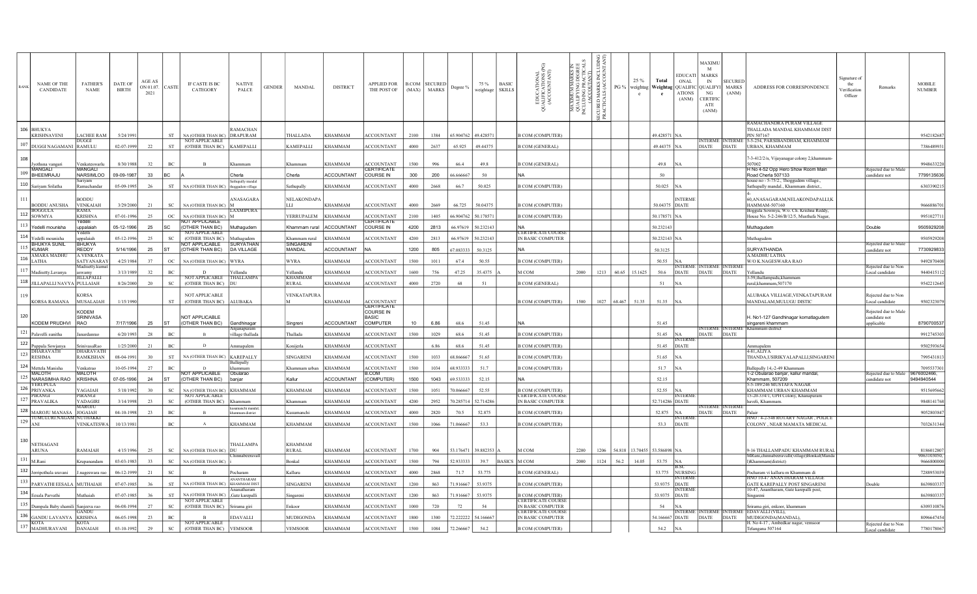| RANE | <b>NAME OF THE</b><br>CANDIDATE   | <b>FATHER'S</b><br><b>NAME</b>                 | DATE OF<br><b>BIRTH</b> | AGE AS<br>ON 01.07.<br>2021 | CASTE                       | IF CASTE IS BC<br>CATEGORY               | <b>NATIVE</b><br>PALCE         | <b>GENDER</b> | <b>MANDAL</b>                                                                                                                                                                                                                                                                                                                                                                           | <b>DISTRICT</b>   | <b>APPLIED FOR</b><br>THE POST OF                           | (MAX)           | <b>B.COM SECURED</b><br><b>MARKS</b> | Degree %            | 75 %<br>weightage | <b>BASIC</b><br><b>SKILLS</b> | JCATIONAL<br>FICATIONS (PG)<br>COUNTANT)<br>표<br>사<br>사<br>(XC<br>ಕ | ∄∄<br>ន ម<br>XIMUM MARKS<br>ALIFYING DEGR<br>UDING PRACTIC<br>(ACCOUTANT)<br>MAXIMUN<br>QUALIFY!<br>INCLUDING | e<br>S<br>R S<br>ã,<br>ਣੇ ਤੋ<br><b>BECURED</b><br>PRACTIC | PG %        | 25%<br>$\mathbf{c}$ | Total<br>e                        | <b>EDUCATI</b><br>ONAL<br>weightag Weightag QUALIFIC QUALIFYI<br>ATIONS<br>(ANM) | <b>MAXIMU</b><br>M<br><b>MARKS</b><br>IN<br>NG<br><b>CERTIFI</b><br>ATE<br>(ANM) | <b>SECURE</b><br><b>MARKS</b><br>(ANM) | ADDRESS FOR CORRESPONDENCE                                                           | Signature of<br>the<br>Verification<br>Officer | Remarks                                             | <b>MOBILE</b><br><b>NUMBER</b> |
|------|-----------------------------------|------------------------------------------------|-------------------------|-----------------------------|-----------------------------|------------------------------------------|--------------------------------|---------------|-----------------------------------------------------------------------------------------------------------------------------------------------------------------------------------------------------------------------------------------------------------------------------------------------------------------------------------------------------------------------------------------|-------------------|-------------------------------------------------------------|-----------------|--------------------------------------|---------------------|-------------------|-------------------------------|---------------------------------------------------------------------|---------------------------------------------------------------------------------------------------------------|-----------------------------------------------------------|-------------|---------------------|-----------------------------------|----------------------------------------------------------------------------------|----------------------------------------------------------------------------------|----------------------------------------|--------------------------------------------------------------------------------------|------------------------------------------------|-----------------------------------------------------|--------------------------------|
|      | 106 BHUKYA<br><b>KRISHNAVENI</b>  | LACHEE RAM                                     | 5/24/1991               |                             | <b>ST</b>                   | NA (OTHER THAN BC) DRAPURAM              | RAMACHAN                       |               | THALLADA                                                                                                                                                                                                                                                                                                                                                                                | <b>KHAMMAM</b>    | <b>ACCOUNTANT</b>                                           | 2100            | 1384                                 | 65.904762 49.428571 |                   |                               | <b>B COM (COMPUTER)</b>                                             |                                                                                                               |                                                           |             |                     | 49.428571 NA                      |                                                                                  |                                                                                  |                                        | RAMACHANDRA PURAM VILLAGE<br>THALLADA MANDAL KHAMMAM DIST<br>PIN 507167              |                                                |                                                     | 9542182687                     |
|      | $107$ DUGGI NAGAMANI RAMULU       | DHGGL                                          | 02-07-1999              | 22                          | ST                          | NOT APPLICABLE<br>(OTHER THAN BC)        | <b>KAMEPALLI</b>               |               | <b>KAMEPALLI</b>                                                                                                                                                                                                                                                                                                                                                                        | KHAMMAM           | <b>ACCOUNTANT</b>                                           | 4000            | 2637                                 | 65.925              | 49.44375          |                               | <b>B COM (GENERAL)</b>                                              |                                                                                                               |                                                           |             |                     | 49.44375 NA                       |                                                                                  | NTERME IINTERMI<br><b>DIATE</b>                                                  | <b>DIATE</b>                           | 5-5-254. PARSIBANDHAM. KHAMMAM<br>URBAN, KHAMMAM                                     |                                                |                                                     | 7386489931                     |
| 108  |                                   |                                                |                         |                             |                             |                                          |                                |               |                                                                                                                                                                                                                                                                                                                                                                                         |                   |                                                             |                 |                                      |                     |                   |                               |                                                                     |                                                                                                               |                                                           |             |                     |                                   |                                                                                  |                                                                                  |                                        | '-3-412/2/n, Vijayanagar colony 2,khammam                                            |                                                |                                                     |                                |
|      | Jyothsna vangari<br>MANGALI       | Venkateswarlu<br><b>MANGALI</b>                | 8/30/1988               | 32                          | $_{\mathrm{BC}}$            | $\overline{B}$                           | hammam                         |               | Khammam                                                                                                                                                                                                                                                                                                                                                                                 | KHAMMAM           | <b>ACCOUNTANT</b><br>CERTIFICATE                            | 500             | 996                                  | 66.4                | 49.8              |                               | <b>B COM (GENERAL)</b>                                              |                                                                                                               |                                                           |             |                     | 49.8                              |                                                                                  |                                                                                  |                                        | 507002<br>H No 4-52 Opp Hero Show Room Main                                          |                                                | Rejected due to Ma                                  | 9948633220                     |
|      | 109 BHEEMRAJU                     | <b>NARSIMLOO</b>                               | 09-09-1987              | 33                          | BC                          |                                          | Cherla<br>athupally manda      |               | Cherla                                                                                                                                                                                                                                                                                                                                                                                  | <b>ACCOUNTANT</b> | COURSE IN                                                   | 300             | 200                                  | 6666667             | 50                |                               | <b>NA</b>                                                           |                                                                                                               |                                                           |             |                     | 50                                |                                                                                  |                                                                                  |                                        | Road Cherla 507133<br>house no - 5-75/2., Thoggudem village.,                        |                                                | andidate not                                        | 7799135636                     |
|      | 110 Sariyam Srilatha              | amachandar                                     | 05-09-1995              | 26                          | $^{\rm ST}$                 | NA (OTHER THAN BC)                       | oggudem village                |               | athupally                                                                                                                                                                                                                                                                                                                                                                               | KHAMMAM           | <b>ACCOUNTANT</b>                                           | 4000            | 2668                                 | 66.7                | 50.025            |                               | <b>B COM (COMPUTER)</b>                                             |                                                                                                               |                                                           |             |                     | 50.025                            |                                                                                  |                                                                                  |                                        | Sathupally mandal., Khammam district.,                                               |                                                |                                                     | 630339021:                     |
| 111  | <b>BODDU ANUSHA</b>               | <b>BODDU</b><br><b>VENKAIAH</b>                | 3/29/2000               | 21                          | $\operatorname{SC}$         | NA (OTHER THAN BC)                       | ANASAGARA                      |               | NELAKONDAPA<br>HТ                                                                                                                                                                                                                                                                                                                                                                       | KHAMMAM           | <b>ACCOUNTANT</b>                                           | 4000            | 2669                                 | 66.725              | 50.04375          |                               | <b>B COM (COMPUTER)</b>                                             |                                                                                                               |                                                           |             |                     | 50.04375 DIATE                    | <b>INTERME</b>                                                                   |                                                                                  |                                        | 60, ANASAGARAM, NELAKONDAPALLI, K<br>HAMMAM-507160                                   |                                                |                                                     | 9666886701                     |
| 112  | <b>BOGGUL/</b><br><b>SOWMYA</b>   | ₹AMA<br><b>KRISHNA</b>                         | 07-01-1996              | 25                          | $_{\rm OC}$                 | NA (OTHER THAN BC)                       | <b>AXMIPURA</b>                |               | YERRUPALEM                                                                                                                                                                                                                                                                                                                                                                              | <b>KHAMMAM</b>    | <b>ACCOUNTANT</b>                                           | 2100            | 1405                                 | 66.904762           | 50.178571         |                               | <b>B COM (COMPUTER)</b>                                             |                                                                                                               |                                                           |             |                     | 50.178571 NA                      |                                                                                  |                                                                                  |                                        | Boggula Sowmya, W/o. Ch. Krishna Reddy,<br>House No. 5-2-246/B/12/5, Musthafa Nagar, |                                                |                                                     | 9951027711                     |
|      | 113 Yedelli mounisha              | Yedelli<br>unnalaiah                           | 05-12-1996              | 25                          | <b>SC</b>                   | <b>VOT APPLICABLE</b><br>(OTHER THAN BC) | Muthagudem                     |               | Khammam rural                                                                                                                                                                                                                                                                                                                                                                           | <b>ACCOUNTANT</b> | <b>ERTIFICATE</b><br>COURSE IN                              | 4200            | 2813                                 | 66.97619            | 50.232143         |                               |                                                                     |                                                                                                               |                                                           |             |                     | 50.232143                         |                                                                                  |                                                                                  |                                        | Muthagudem                                                                           |                                                | Double                                              | 9505929208                     |
| 114  | Yedelli mounisha                  | edelli<br>ppalaiah                             | $05 - 12 - 1996$        | 25                          | $_{\rm SC}$                 | <b>NOT APPLICABLE</b><br>(OTHER THAN BC) | Muthaouden                     |               | Khammam rural                                                                                                                                                                                                                                                                                                                                                                           | KHAMMAM           | <b>ACCOUNTANT</b>                                           | 4200            | 2813                                 | 66.97619            | 50.232143         |                               | <b>CERTIFICATE COURSE</b><br>IN BASIC COMPUTER                      |                                                                                                               |                                                           |             |                     | 50.232143 NA                      |                                                                                  |                                                                                  |                                        | Muthagudem                                                                           |                                                |                                                     | 9505929208                     |
|      | <b>BHUKYA SUNIL</b><br>KIIMAR     | <b>BHUKYA</b><br><b>REDDY</b>                  | 5/14/1996               | 25                          | <b>ST</b>                   | <b>OT APPLICABLE</b><br>(OTHER THAN BC)  | SURYATHAN<br><b>DA VILLAGE</b> |               | <b>SINGARENT</b><br><b>MANDAL</b>                                                                                                                                                                                                                                                                                                                                                       | <b>ACCOUNTANT</b> |                                                             | 1200            | 805                                  | 67.083333           | 50.3125           |                               |                                                                     |                                                                                                               |                                                           |             |                     | 50.3125                           |                                                                                  |                                                                                  |                                        | SURYATHANDA                                                                          |                                                | Rejected due to Ma<br>andidate not                  | 7730929833                     |
|      | AMARA MADH<br>LATHA               | A.VENKAT.<br>SATYANARAY                        | 4/25/1984               | 37                          | OC                          | <b>NA (OTHER THAN BC)</b>                | <b>WYRA</b>                    |               | WYRA                                                                                                                                                                                                                                                                                                                                                                                    | KHAMMAM           | <b>ACCOUNTANT</b>                                           | 1500            | 1011                                 | 67.4                | 50.55             |                               | <b>B COM (COMPUTER)</b>                                             |                                                                                                               |                                                           |             |                     | 50.55                             |                                                                                  |                                                                                  |                                        | A.MADHU LATHA<br>W/O K.NAGESWARA RAO                                                 |                                                |                                                     | 9492870408                     |
|      | Madisetty.Lavanya                 | Madisetty.ku<br>aswamy                         | 3/13/1989               | 32                          | BC                          | $\mathbf{D}$                             | Yellandı:                      |               | Yellandu                                                                                                                                                                                                                                                                                                                                                                                | KHAMMAM           | <b>ACCOUNTANT</b>                                           | 1600            | 756                                  | 47.25               | 35.4375           |                               | M COM                                                               | 2000                                                                                                          | 1213                                                      | 60.65       | 15.1625             | 50.6                              | JTER)<br><b>DIATE</b>                                                            | <b>INTERME INTERM</b><br><b>DIATE</b>                                            | <b>DIATE</b>                           |                                                                                      |                                                | Rejected due to Non<br>Local candidate              | 9440415112                     |
|      | 118 JILLAPALLI NAVYA PULLAIAH     | <b>JILLAPALLI</b>                              | 8/26/2000               | 20                          | <b>SC</b>                   | <b>NOT APPLICABLE</b><br>(OTHER THAN BC) | THALLAMP/<br>IDE               |               | KHAMMAM<br><b>RURAL</b>                                                                                                                                                                                                                                                                                                                                                                 | <b>KHAMMAM</b>    | <b>ACCOUNTANT</b>                                           | 4000            | 2720                                 | 68                  | 51                |                               | <b>B COM (GENERAL)</b>                                              |                                                                                                               |                                                           |             |                     | 51                                | <b>NA</b>                                                                        |                                                                                  |                                        | 5-59,thallampadu,khamman<br>rural,khammam,507170                                     |                                                |                                                     | 9542212645                     |
|      | <b>KORSA RAMANA</b>               | <b>CORSA</b><br><b>MUSALAIAH</b>               | 1/15/1990               |                             | ST                          | <b>NOT APPLICABLE</b><br>(OTHER THAN BC) | <b>ALUBAKA</b>                 |               | <b>VENKATAPURA</b>                                                                                                                                                                                                                                                                                                                                                                      | KHAMMAM           | <b>ACCOUNTANT</b>                                           |                 |                                      |                     |                   |                               | <b>B COM (COMPUTER)</b>                                             | 1500                                                                                                          |                                                           | 1027 68.467 | 51.35               | 51.35                             | <b>INA</b>                                                                       |                                                                                  |                                        | ALUBAKA VILLIAGE, VENKATAPURAM<br>MANDALAM, MULUGU DISTIC                            |                                                | ceiected due to Non<br>Local candidate              | 9502323079                     |
| 120  | KODEM PRUDHVI                     | <b>CODEM</b><br><b>SRINIVASA</b><br><b>RAO</b> | 7/17/1996               | 25                          | <b>ST</b>                   | NOT APPLICABLE<br>(OTHER THAN BC)        | Gandhinagar                    |               | Singreni                                                                                                                                                                                                                                                                                                                                                                                | <b>ACCOUNTANT</b> | CERTIFICATE<br>COURSE IN<br><b>BASIC</b><br><b>COMPUTER</b> | 10 <sub>1</sub> | 6.86                                 | 68.6                | 51.45             |                               | NA                                                                  |                                                                                                               |                                                           |             |                     | 51.45                             |                                                                                  |                                                                                  |                                        | H. No1-127 Gandhinagar komatlagudem<br>singareni khammam                             |                                                | Rejected due to Male<br>candidate not<br>upplicable | 8790700537                     |
|      | 121 Palavelli sunitha             | anardanrao                                     | 6/20/1993               | 28                          | $_{\rm BC}$                 |                                          | Anjanapuram<br>illage thallada |               | Thallada                                                                                                                                                                                                                                                                                                                                                                                | KHAMMAM           | <b>ACCOUNTANT</b>                                           | 1500            | 1029                                 | 68.6                | 51.45             |                               | <b>B COM (COMPUTER)</b>                                             |                                                                                                               |                                                           |             |                     | 51.45                             | <b>NA</b>                                                                        | <b>DIATE</b>                                                                     | DIATE                                  | <b>INTERME INTERME Khammam district</b>                                              |                                                |                                                     | 9912745303                     |
|      | $122$ Puppala Sowjanya            | SriniyasaRao                                   | 1/25/2000               | 2.1                         | BC                          | $\mathbf{D}$                             | mmapalem                       |               | Konijerla                                                                                                                                                                                                                                                                                                                                                                               | KHAMMAM           | <b>ACCOUNTANT</b>                                           |                 | 6.86                                 | 68.6                | 51.45             |                               | <b>B COM (COMPUTER)</b>                                             |                                                                                                               |                                                           |             |                     | 51.45                             | JTER<br><b>DIATE</b>                                                             |                                                                                  |                                        |                                                                                      |                                                |                                                     | 9502593654                     |
| 123  | <b>DHARAVATH</b><br><b>RESHMA</b> | <b>DHARAVATH</b><br>RAMKISHAN                  | 08-04-1991              | 30                          | <b>ST</b>                   | NA (OTHER THAN BC)                       | KAREPALLY                      |               | SINGARENI                                                                                                                                                                                                                                                                                                                                                                               | KHAMMAM           | <b>CCOUNTANT</b>                                            | 1500            | 1033                                 | 8.86666             | 51.65             |                               | <b>B COM (COMPUTER)</b>                                             |                                                                                                               |                                                           |             |                     | 51.65                             |                                                                                  |                                                                                  |                                        | 4-81.ALIYA<br>THANDA,USIRIKYALAPALLI,SINGARENI                                       |                                                |                                                     | 7995431813                     |
|      | 124 Mettela Manisha               | Venkatrao                                      | 10-05-1994              | 27                          | BC                          |                                          | allepally<br>mmam              |               | Khammam urban                                                                                                                                                                                                                                                                                                                                                                           | KHAMMAM           | <b>ACCOUNTANT</b>                                           | 1500            | 1034                                 | 68.933333           | 51.7              |                               | <b>B COM (COMPUTER)</b>                                             |                                                                                                               |                                                           |             |                     | 51.7                              |                                                                                  |                                                                                  |                                        | allenally 14.-2-49 Khammam                                                           |                                                |                                                     | 7095537301                     |
|      | MALOTH<br>125 NARASIMHA RAO       | MALOTH<br>KRISHNA                              | 07-05-1996              | 24                          | <b>ST</b>                   | <b>IOT APPLICABLE</b><br>(OTHER THAN BC) | Obularao<br>paniar             |               | <allur< td=""><td>ACCOUNTANT</td><td>.CON<br/>(COMPUTER)</td><td>1500</td><td>1043</td><td>69.533333</td><td>52.15</td><td></td><td></td><td></td><td></td><td></td><td></td><td>52.15</td><td></td><td></td><td></td><td>1-2 Obularao banjar, kallur mandal,<br/>Khammam, 507209</td><td></td><td>ceiected due to Mal<br/>ndidate not</td><td>9676002466,<br/>9494940544</td></allur<> | ACCOUNTANT        | .CON<br>(COMPUTER)                                          | 1500            | 1043                                 | 69.533333           | 52.15             |                               |                                                                     |                                                                                                               |                                                           |             |                     | 52.15                             |                                                                                  |                                                                                  |                                        | 1-2 Obularao banjar, kallur mandal,<br>Khammam, 507209                               |                                                | ceiected due to Mal<br>ndidate not                  | 9676002466,<br>9494940544      |
| 126  | YERUPULA<br><b>PRIYANKA</b>       | <b>YAGAIAH</b>                                 | 5/18/1992               | 30                          | SC                          | NA (OTHER THAN BC)                       | <b>KHAMMAM</b>                 |               | KHAMMAM                                                                                                                                                                                                                                                                                                                                                                                 | KHAMMAM           | <b>ACCOUNTANT</b>                                           | 1500            | 1051                                 | 70.066667           | 52.55             |                               | <b>B COM (COMPUTER)</b>                                             |                                                                                                               |                                                           |             |                     | 52.55 NA                          |                                                                                  |                                                                                  |                                        | 5-5-189/246 MUSTAFA NAGAR<br>KHAMMAM URBAN KHAMMAM                                   |                                                |                                                     | 9515695662                     |
| 127  | PIRANGI<br><b>PRAVALIKA</b>       | PIRANGI<br>YADAGIRI                            | 3/14/1998               | 23                          | $_{\rm SC}$                 | NOT APPLICABLE<br>(OTHER THAN BC)        |                                |               |                                                                                                                                                                                                                                                                                                                                                                                         | KHAMMAM           | <b>ACCOUNTANT</b>                                           | 4200            | 2952                                 | 70.285714           | 52.714286         |                               | <b>ERTIFICATE COURS</b><br><b>IN BASIC COMPUTER</b>                 |                                                                                                               |                                                           |             |                     | 52.714286 DIATE                   | <b>INTERN</b>                                                                    |                                                                                  |                                        | 5-20-334/1, UPH Colony, Khanapuram<br>haveli, Khammam                                |                                                |                                                     | 9848141768                     |
|      | 128 MAROJU MANASA                 | <b>1AROJU</b><br><b>JOGAIAH</b>                | 04-10-1998              | 23                          | $_{\rm BC}$                 |                                          | nanchi manda<br>nmam district  |               | <b>Cusumanchi</b>                                                                                                                                                                                                                                                                                                                                                                       | KHAMMAM           | <b>ACCOUNTANT</b>                                           | 4000            | 2820                                 | 70.5                | 52.875            |                               | <b>B COM (COMPUTER)</b>                                             |                                                                                                               |                                                           |             |                     | 52.875 NA                         |                                                                                  | DIATE DIATE                                                                      |                                        |                                                                                      |                                                |                                                     | 9052803847                     |
| 129  | TUMULURI.NAGA!<br>ANI             | <b>JUTHAKK</b><br><b>VENKATESWA</b>            | 10/13/1981              |                             | $_{\mathrm{BC}}$            | $\mathbf{A}$                             | KHAMMAM                        |               | KHAMMAM                                                                                                                                                                                                                                                                                                                                                                                 | KHAMMAM           | <b>ACCOUNTANT</b>                                           | 1500            | 1066                                 | 71.06666            | 53.3              |                               | <b>B COM (COMPUTER)</b>                                             |                                                                                                               |                                                           |             |                     | 53.3                              | <b>NTERM</b><br><b>DIATE</b>                                                     |                                                                                  |                                        | INO: 4-2-548 ROTARY NAGAR, POLICE<br>COLONY, NEAR MAMATA MEDICAL                     |                                                |                                                     | 7032631344                     |
| 130  | <b>NETHAGANI</b><br><b>ARUNA</b>  | RAMAJAH                                        | 4/15/1996               | 25                          | SC                          | NA (OTHER THAN BC)                       | THALLAMPA                      |               | <b>KHAMMAM</b><br>RURAL                                                                                                                                                                                                                                                                                                                                                                 | KHAMMAM           | <b>ACCOUNTANT</b>                                           | 1700            | 904                                  | 53.176471           | 39.882353         |                               | M COM                                                               | 2200                                                                                                          |                                                           |             |                     | 1206 54.818 13.70455 53.586898 NA |                                                                                  |                                                                                  |                                        | 9-16 THALLAMPADU KHAMMAM RURAL<br>MRani,chinnabeeravalli(village)Bonkal(Manda        |                                                |                                                     | 8186012807<br>9063103050.      |
| 131  | M.Rani                            | .<br>Crunanandan                               | 03-03-1983              | 33                          | $\operatorname{SC}$         | NA (OTHER THAN BC)                       |                                |               | <b>Bonkal</b>                                                                                                                                                                                                                                                                                                                                                                           | KHAMMAM           | <b>ACCOUNTANT</b>                                           | 1500            | 794                                  | 52.933333           | 39.7              | <b>BASICS</b>                 | Ім сом                                                              | 2000                                                                                                          | 1124                                                      | 56.2        | 14.05               | 53.75                             | <b>NA</b><br>B.SC                                                                |                                                                                  |                                        | ()Khammam(district)                                                                  |                                                |                                                     | 9666800000                     |
|      | 132 Jerripothula sravani          | .nageswara rao                                 | 06-12-1999              | 21                          | $\protect\operatorname{SC}$ |                                          | ocharam<br><b>NANTHARAM</b>    |               | Kalluru                                                                                                                                                                                                                                                                                                                                                                                 | KHAMMAM           | <b>ACCOUNTANT</b>                                           | 4000            | 2868                                 | 71.7                | 53.775            |                               | <b>B COM (GENERAL)</b>                                              |                                                                                                               |                                                           |             |                     | 53.775                            | <b>NURSING</b><br><b>NTERM</b>                                                   |                                                                                  |                                        | Pocharam vi kalluru m Khammam di<br>HNO 10-47 ANANTHARAM VILLAG                      |                                                |                                                     | 7288953039                     |
|      | 133 PARVATHI EESALA MUTHAIAH      |                                                | 07-07-1985              | 36                          | ST                          | NA (OTHER THAN BC)                       | <b>CHAMMAM DIST</b>            |               | <b>SINGARENI</b>                                                                                                                                                                                                                                                                                                                                                                        | KHAMMAM           | <b>ACCOUNTANT</b>                                           | 1200            | 863                                  | 71.916667           | 53.9375           |                               | <b>B COM (COMPUTER)</b>                                             |                                                                                                               |                                                           |             |                     |                                   | 53.9375 DIATE<br>VIERM                                                           |                                                                                  |                                        | GATE KAREPALLY POST SINGARENI<br>10-47, Anantharam, Gate karepalli post,             |                                                | Double                                              | 8639803337                     |
| 134  | Eesala Parvathi                   |                                                | 07-07-1985              |                             | $^{\rm ST}$                 | NA (OTHER THAN BC)<br>NOT APPLICABLE     | Gate karepalli                 |               | ingaren                                                                                                                                                                                                                                                                                                                                                                                 | <b>CHAMMAM</b>    | <b>ACCOUNTANT</b>                                           | 1200            | 863                                  | 71.916667           | 53.9375           |                               | <b>B COM (COMPUTER)</b><br>CERTIFICATE COURS                        |                                                                                                               |                                                           |             |                     | 53.9375                           | <b>DIATE</b>                                                                     |                                                                                  |                                        | ingareni                                                                             |                                                |                                                     | 8639803337                     |
| 135  | Dumpala Baby shamili              | Sanieeva rac<br>iANDI                          | 06-08-1994              | 27                          | SC                          | (OTHER THAN BC)                          | Srirama giri                   |               | Enkoor                                                                                                                                                                                                                                                                                                                                                                                  | KHAMMAM           | <b>ACCOUNTANT</b>                                           | 1000            | 720                                  | 72                  | 54                |                               | IN BASIC COMPUTER<br><b>ERTIFICATE COURSE</b>                       |                                                                                                               |                                                           |             |                     | 54                                | <b>NA</b><br>VTERM                                                               | <b>INTERM</b>                                                                    | <b>INTERM</b>                          | rirama giri, enkoor, khammar<br>EDAVALLI (VILL),                                     |                                                |                                                     | 6309310876                     |
|      | 136 GANDU LAVANYA<br>KOTA         | <b>KRISHNA</b>                                 | 06-05-1998              | 23                          | $\rm BC$                    | <b>NOT APPLICABLE</b>                    | EDAVALLI                       |               | <b>MUDIGONDA</b>                                                                                                                                                                                                                                                                                                                                                                        | KHAMMAM           | <b>ACCOUNTANT</b>                                           | 1800            | 1300                                 | 72.222222           | 54.166667         |                               | IN BASIC COMPUTER                                                   |                                                                                                               |                                                           |             |                     | 54.166667 DIATE                   |                                                                                  | <b>DIATE</b>                                                                     | <b>DIATE</b>                           | MUDIGONDA(MANDAL),                                                                   |                                                |                                                     | 8096647454                     |
| 137  | MADHURAVANI                       | KOTA<br><b>DANAIAH</b>                         | 03-10-1992              | 29                          | $_{\rm SC}$                 | (OTHER THAN BC)                          | <b>VEMSOOR</b>                 |               | VEMSOOR                                                                                                                                                                                                                                                                                                                                                                                 | KHAMMAM           | <b>ACCOUNTANT</b>                                           | 1500            | 1084                                 | 72.266667           | 54.2              |                               | <b>B COM (COMPUTER)</b>                                             |                                                                                                               |                                                           |             |                     | 54.2 NA                           |                                                                                  |                                                                                  |                                        | H. No 4-17, Ambedkar nagar, vemsoor<br>Telangana 507164                              |                                                | Rejected due to Non<br>seal candidat                | 7780178067                     |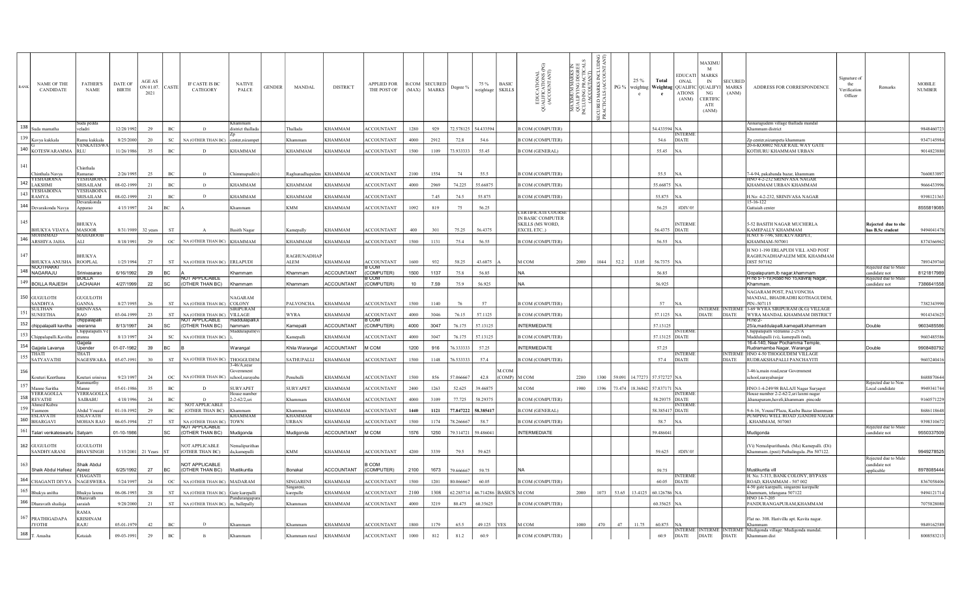| RANE | <b>NAME OF THE</b><br>CANDIDATE                                        | <b>FATHER'S</b><br>NAME            | DATE OF<br><b>BIRTH</b> | AGE AS<br>ON 01.07.<br>2021 | CASTE               | IF CASTE IS BC<br>CATEGORY                         | <b>NATIVE</b><br>PALCE          | <b>GENDER</b> | MANDAL                       | <b>DISTRICT</b>   | <b>APPLIED FOR</b><br>THE POST OF | (MAX)           | <b>B.COM SECURED</b><br><b>MARKS</b> | Degree %  | 75 %<br>weightage      | <b>BASIC</b><br><b>SKILLS</b> | EDUCATIONAL<br>JALIFICATIONS (<br>(ACCOUNTANT)<br>ರ | 빠져<br><b>ARK</b><br>DEG<br>ANT<br><b>XIMUM M.</b><br>ALIFY ING<br>UDING PR.<br>(ACCOUT.<br>MAXIMI<br>QUALIFY<br>INCLUDIN | ¥ξ<br>MARKS<br>ALS (AC<br>SECURED<br>PRACTIC, | PG 9   | 25 %<br>weightag | Total<br>e                   | <b>EDUCATI</b><br><b>ONAL</b><br>Weightag QUALIFIC QUALIFYI<br><b>ATIONS</b><br>(ANM) | <b>MAXIMU</b><br>M<br><b>MARKS</b><br>IN<br>NG<br><b>CERTIFIC</b><br>ATE<br>(ANM) | <b>SECUREI</b><br>MARKS<br>(ANM) | ADDRESS FOR CORRESPONDENCE                                                      | Signature of<br>the<br>Verification<br>Officer | Remarks                               | <b>MOBILE</b><br><b>NUMBER</b> |
|------|------------------------------------------------------------------------|------------------------------------|-------------------------|-----------------------------|---------------------|----------------------------------------------------|---------------------------------|---------------|------------------------------|-------------------|-----------------------------------|-----------------|--------------------------------------|-----------|------------------------|-------------------------------|-----------------------------------------------------|--------------------------------------------------------------------------------------------------------------------------|-----------------------------------------------|--------|------------------|------------------------------|---------------------------------------------------------------------------------------|-----------------------------------------------------------------------------------|----------------------------------|---------------------------------------------------------------------------------|------------------------------------------------|---------------------------------------|--------------------------------|
|      | $138$ Suda mamatha                                                     | ıda pedd                           | 12/28/1992              | 29                          | BC                  | $\overline{D}$                                     | istrict thallad:                |               | <b>Thallada</b>              | <b>KHAMMAM</b>    | <b>ACCOUNTANT</b>                 | 1280            | 929                                  | 72.578125 | 54.433594              |                               | <b>B COM (COMPUTER)</b>                             |                                                                                                                          |                                               |        |                  | 54.433594 NA                 |                                                                                       |                                                                                   |                                  | nnarugudem village thallada manda<br>Khammam district                           |                                                |                                       | 9848460723                     |
|      | 139 Kavya kukkala                                                      | Ramu kukkala                       | 8/25/2000               | 20                          | $_{\rm SC}$         | NA (OTHER THAN BC)                                 | center.nizampe                  |               | Khammam                      | <b>KHAMMAM</b>    | <b>ACCOUNTANT</b>                 | 4000            | 2912                                 | 72.8      | 54.6                   |                               | <b>B COM (COMPUTER)</b>                             |                                                                                                                          |                                               |        |                  | 54.6                         | <b>INTERM</b><br><b>DIATE</b>                                                         |                                                                                   |                                  | Zo center.nizampeta khammam                                                     |                                                |                                       | 9347145984                     |
|      | 140 KOTESWARAMMA                                                       | VENKATESW<br><b>RLU</b>            | 11/26/1986              | 35                          | $_{\rm BC}$         | D                                                  | <b>CHAMMAM</b>                  |               | KHAMMAM                      | KHAMMAM           | <b>ACCOUNTANT</b>                 | 1500            | 1109                                 | 73.933333 | 55.45                  |                               | <b>B COM (GENERAL)</b>                              |                                                                                                                          |                                               |        |                  | 55.45                        |                                                                                       |                                                                                   |                                  | 20-6-KO0002 NEAR RAIL WAY GATI<br>KOTHURU KHAMMAM URBAN                         |                                                |                                       | 9014823880                     |
|      |                                                                        |                                    |                         |                             |                     |                                                    |                                 |               |                              |                   |                                   |                 |                                      |           |                        |                               |                                                     |                                                                                                                          |                                               |        |                  |                              |                                                                                       |                                                                                   |                                  |                                                                                 |                                                |                                       |                                |
| 141  |                                                                        | ™hinthala                          |                         |                             |                     |                                                    |                                 |               |                              |                   |                                   |                 |                                      |           |                        |                               |                                                     |                                                                                                                          |                                               |        |                  |                              |                                                                                       |                                                                                   |                                  |                                                                                 |                                                |                                       |                                |
|      | Chinthala Navva<br><b>YESHABOINA</b>                                   | <b>Ramarac</b><br><b>YESHABOIN</b> | 2/26/1995               | 25                          | BC                  | D                                                  | Chimmapudi(v                    |               | Raghunadhapalem              | <b>KHAMMAM</b>    | <b>ACCOUNTANT</b>                 | 2100            | 1554                                 | 74        | 55.5                   |                               | <b>B COM (COMPUTER)</b>                             |                                                                                                                          |                                               |        |                  | 55.5                         | <b>NA</b>                                                                             |                                                                                   |                                  | '-4-94, pakabanda bazar, khammam<br>HNO 4-2-232 SRINIVASA NAGAR                 |                                                |                                       | 7660033897                     |
|      | $142$ $\frac{14KSHMI}{LAKSHMI}$<br><b>YESHABOIN</b>                    | SRISAILAM<br><b>YESHABOIN</b>      | 08-02-1999              | 2.1                         | $\operatorname{BC}$ | $\overline{D}$                                     | KHAMMAM                         |               | <b>KHAMMAM</b>               | KHAMMAM           | <b>ACCOUNTANT</b>                 | 4000            | 2969                                 | 74.225    | 55.66875               |                               | <b>B COM (COMPUTER)</b>                             |                                                                                                                          |                                               |        |                  | 55.66875 NA                  |                                                                                       |                                                                                   |                                  | KHAMMAM URBAN KHAMMAM                                                           |                                                |                                       | 9666433996                     |
| 143  | <b>RAMYA</b>                                                           | SRISAILAM<br><b>Jevarakonda</b>    | 08-02-1999              | 2.1                         | $\operatorname{BC}$ | $\mathbf{D}$                                       | KHAMMAM                         |               | <b>KHAMMAM</b>               | KHAMMAM           | <b>ACCOUNTANT</b>                 |                 | 7.45                                 | 74.5      | 55.875                 |                               | <b>B COM (COMPUTER)</b>                             |                                                                                                                          |                                               |        |                  | 55.875 NA                    |                                                                                       |                                                                                   |                                  | H.No: 4-2-232, SRINIVASA NAGAR<br>$5 - 16 - 122$                                |                                                |                                       | 9398121363                     |
|      | 144 $\sqrt{\frac{\text{Devarakonda Navya}}{\text{Devarakonda Navya}}}$ | Apparao                            | 4/15/1997               | 24                          |                     |                                                    | Khammam                         |               | <b>KMM</b>                   | KHAMMAM           | <b>ACCOUNTANT</b>                 | 1092            | 819                                  | 75        | 56.25                  |                               | ERTIFICATE COUR                                     |                                                                                                                          |                                               |        |                  | 56.25                        | #DIV/0                                                                                |                                                                                   |                                  | Gattaiah center                                                                 |                                                |                                       | 8555819085                     |
| 145  |                                                                        | BHUKYA                             |                         |                             |                     |                                                    |                                 |               |                              |                   |                                   |                 |                                      |           |                        |                               | IN BASIC COMPUTER<br>SKILLS (MS WORD,               |                                                                                                                          |                                               |        |                  |                              | <b>INTERME</b>                                                                        |                                                                                   |                                  | 5-52 BASITH NAGAR MUCHERLA                                                      |                                                | Rejected due to she                   |                                |
|      | <b>BHUKYA VIJAYA</b><br><b>MOHMMAD</b>                                 | <b>MASOOR</b><br><b>MAHABOO</b>    | 8/31/1989 32 years      |                             | ${\cal S}{\cal T}$  |                                                    | <b>Basith Nagar</b>             |               | Kamepally                    | <b>KHAMMAM</b>    | <b>ACCOUNTANT</b>                 | 400             | 301                                  | 75.25     | 56.4375                |                               | EXCEL ETC)                                          |                                                                                                                          |                                               |        |                  | 56.4375                      | <b>DIATE</b>                                                                          |                                                                                   |                                  | KAMEPALLY KHAMMAM<br>H.NO: 8-7-96. SHUKUVARIPET                                 |                                                | has B.Sc student                      | 9494041478                     |
|      | 146 ARSHIYA JAHA                                                       | A1.1                               | 8/18/1991               | 29                          | $_{\mathrm{OC}}$    | NA (OTHER THAN BC)                                 | <b>KHAMMAM</b>                  |               | KHAMMAM                      | KHAMMAM           | ACCOUNTANT                        | 1500            | 1131                                 | 75.4      | 56.55                  |                               | <b>B COM (COMPUTER)</b>                             |                                                                                                                          |                                               |        |                  | 56.55                        |                                                                                       |                                                                                   |                                  | KHAMMAM-507001                                                                  |                                                |                                       | 8374366962                     |
| 147  |                                                                        | <b>BHUKYA</b>                      |                         |                             |                     |                                                    |                                 |               | <b>RAGHUNADHA</b>            |                   |                                   |                 |                                      |           |                        |                               |                                                     |                                                                                                                          |                                               |        |                  |                              |                                                                                       |                                                                                   |                                  | H NO 1-190 ERLAPUDI VILL AND POST<br>RAGHUNADHAPALEM MDL KHAMMAM                |                                                |                                       |                                |
|      | <b>BHUKYA ANUSHA</b><br><b>NOOTHAKKI</b>                               | <b>ROOPLAL</b>                     | 1/25/1994               | 27                          | ST                  | NA (OTHER THAN BC) ERLAPUDI                        |                                 |               | ALEM                         | KHAMMAM           | <b>ACCOUNTANT</b><br><b>CON</b>   | 1600            | 932                                  | 58.25     | 43.6875                |                               | M COM                                               | 2000                                                                                                                     | 1044                                          | 52.2   | 13.05            | 56.7375 NA                   |                                                                                       |                                                                                   |                                  | DIST 507182                                                                     |                                                |                                       | 7893439760                     |
|      | 148 NAGARAJU                                                           | Srinivasarao                       | 6/16/1992               | 29                          | BC                  |                                                    | Khammam                         |               | Khammam                      | ACCOUNTANT        | (COMPUTER)                        | 1500            | 1137                                 | 75.8      | 56.85                  |                               | N <sub>A</sub>                                      |                                                                                                                          |                                               |        |                  | 56.85                        |                                                                                       |                                                                                   |                                  | Gopalapuram, Ib nagar, khammam                                                  |                                                | Rejected due to Mal<br>andidate not   | 8121817989                     |
|      | 149 BOILLA RAJESH                                                      | <b>BOILLA</b><br>LACHAIAH          | 4/27/1999               | 22                          | <b>SC</b>           | <b>VOT APPLICABLE</b><br>(OTHER THAN BC)           | Khammam                         |               | Khammam                      | <b>ACCOUNTANT</b> | CON<br>(COMPUTER)                 | 10 <sub>1</sub> | 7.59                                 | 75.9      | 56.925                 |                               | <b>NA</b>                                           |                                                                                                                          |                                               |        |                  | 56.925                       |                                                                                       |                                                                                   |                                  | H no 5-1-19, Road No 15, kaviraj Nagar,<br>Khammam.                             |                                                | Rejected due to Mal<br>andidate not   | 7386641558                     |
|      | 150 GUGULOTH                                                           | <b>GUGULOTH</b>                    |                         |                             |                     |                                                    | <b>NAGARAM</b>                  |               |                              |                   |                                   |                 |                                      |           |                        |                               |                                                     |                                                                                                                          |                                               |        |                  |                              |                                                                                       |                                                                                   |                                  | NAGARAM POST, PALVONCHA<br>MANDAL, BHADRADRI KOTHAGUDEM                         |                                                |                                       |                                |
|      | <b>SANDHYA</b><br><b>SULTHAN</b>                                       | <b>GANNA</b><br><b>SRINIVAS</b>    | 8/27/1995               | 26                          | $^{\rm ST}$         | NA (OTHER THAN BC)                                 | <b>COLONY</b><br><b>RIPURAM</b> |               | PALVONCHA                    | <b>KHAMMAM</b>    | <b>ACCOUNTANT</b>                 | 1500            | 1140                                 | 76        | 57                     |                               | <b>B COM (COMPUTER)</b>                             |                                                                                                                          |                                               |        |                  | 57                           | IN A                                                                                  | <b>NTERME INTERM</b>                                                              |                                  | PIN:-507115<br>3-69 WYRA SIRIPURAM (K.G) VILLAGE                                |                                                |                                       | 7382343990                     |
|      | 151 SUNEETHA                                                           | RAO.                               | 03-04-1999              | 23                          | $^{\rm ST}$         | <b>NA (OTHER THAN BC)</b><br><b>NOT APPLICARLE</b> | <b>VILLAGE</b>                  |               | WYRA                         | KHAMMAM           | <b>ACCOUNTANT</b>                 | 4000            | 3046                                 | 76.15     | 57.1125                |                               | <b>B COM (COMPUTER)</b>                             |                                                                                                                          |                                               |        |                  | 57.1125 NA                   |                                                                                       | <b>DIATE</b>                                                                      | <b>DIATE</b>                     | WYRA MANDAL KHAMMAM DISTRICT                                                    |                                                |                                       | 9014343625                     |
|      | 152 chippalapalli kavitha                                              | chippalapall<br>veeranna           | 8/13/1997               | 24                          | <b>SC</b>           | (OTHER THAN BC)                                    | maddulapalli,<br>ammam          |               | <b>Kamepalli</b>             | <b>ACCOUNTANT</b> | 3 COM<br>(COMPUTER)               | 4000            | 3047                                 | 76.175    | 57.13125               |                               | <b>INTERMEDIATE</b>                                 |                                                                                                                          |                                               |        |                  | 57.13125                     |                                                                                       |                                                                                   |                                  | $H:nn:2-$<br>25/a,maddulapalli,kamepalli,khammam                                |                                                | Double                                | 9603485586                     |
| 153  | Chippalapalli. Kavitha                                                 | ranna                              | 8/13/1997               | 24                          | SC                  | NA (OTHER THAN BC)                                 | <b>faddulapalli</b>             |               | Camepall                     | KHAMMAM           | <b>ACCOUNTANT</b>                 | 4000            | 3047                                 | 76.175    | 57.13125               |                               | <b>B COM (COMPUTER)</b>                             |                                                                                                                          |                                               |        |                  | 57.13125 DIATE               |                                                                                       |                                                                                   |                                  | hippalapalli veeranna 2-25/A<br>Maddulapalli (vi), kamepalli (md).              |                                                |                                       | 9603485586                     |
|      | $154$ Gajjela Lavanya                                                  | Upender                            | 01-07-1982              | 39                          | BC.                 |                                                    | Warangal                        |               | Khila Waranga                | <b>ACCOUNTANT</b> | M COM                             | 1200            | 916                                  | 76.333333 | 57.25                  |                               | <b>INTERMEDIATE</b>                                 |                                                                                                                          |                                               |        |                  | 57.25                        |                                                                                       |                                                                                   |                                  | 16-4-140, Near Pochamma Temple<br>Rudramamba Nagar, Warangal                    |                                                | Double                                | 9908480792                     |
| 155  | THATI<br>SATYAVATHI                                                    | HATI<br>NAGESWARA                  | 05-07-1991              | $30^{\circ}$                | ${\rm ST}$          | NA (OTHER THAN BC)                                 | <b>THOGGUDE</b>                 |               | SATHUPALLI                   | KHAMMAM           | <b>ACCOUNTANT</b>                 | 1500            | 1148                                 | 76.533333 | 57.4                   |                               | <b>B COM (COMPUTER)</b>                             |                                                                                                                          |                                               |        |                  |                              | <b>TERM</b><br>57.4 DIATE                                                             |                                                                                   | <b>NTERM</b><br>DIATE            | HNO 4-50 THOGGUDEM VILLAGE<br>RUDRAKSHAPALLI PANCHAYITI                         |                                                |                                       | 9603240416                     |
| 156  |                                                                        |                                    |                         |                             |                     |                                                    | 46/A.near<br>overnment          |               |                              |                   |                                   |                 |                                      |           |                        | M.COM                         |                                                     |                                                                                                                          |                                               |        |                  |                              |                                                                                       |                                                                                   |                                  | -46/a,main road,near Government                                                 |                                                |                                       |                                |
|      | Kouturi Keerthana                                                      | Kouturi srinivas<br>?ammurthy      | 9/23/1997               | 24                          | $_{\mathrm{OC}}$    | NA (OTHER THAN BC)                                 | school, suravab                 |               | Penuballi                    | <b>KHAMMAM</b>    | <b>ACCOUNTANT</b>                 | 1500            | 856                                  | 57.066667 | 42.8                   | (COMP)                        | M COM                                               | 2200                                                                                                                     | 1300                                          |        |                  | 59.091 14.77273 57.572727 NA |                                                                                       |                                                                                   |                                  | school.suravabaniar                                                             |                                                | Rejected due to Non                   | 8688870644                     |
|      | $157$ Manne Saritha<br>YERRAGOLLA                                      | Manne<br>YERRAGOLL                 | $05-01-1986$            | 35                          | $_{\rm BC}$         |                                                    | <b>SURYAPET</b><br>ouse numb    |               | SURYAPET                     | KHAMMAM           | <b>ACCOUNTANT</b>                 | 2400            | 1263                                 | 52.625    | 39.46875               |                               | A COM                                               | 1900                                                                                                                     | 396                                           | 73.474 |                  | 18.36842 57.837171 NA        | VTERM                                                                                 |                                                                                   |                                  | HNO: 1-4-249/98 BALAJI Nagar Suryapet<br>House number 2-2-62/2, sri laxmi nagai |                                                | .ocal candidate                       | 9949341744                     |
|      | 158 REVATHI<br>Ahmed Kubra                                             | <b>SAIBABU</b>                     | 4/18/1996               | 24                          | BC                  | $\overline{D}$<br>NOT APPLICABLE                   | $-2 - 62/2, sri$                |               | Chamman                      | KHAMMAM           | <b>ACCOUNTANT</b>                 | 4000            | 3109                                 | 77.725    | 58.29375               |                               | <b>B COM (COMPUTER)</b>                             |                                                                                                                          |                                               |        |                  | 58.29375 DIATE               | VTERM                                                                                 |                                                                                   |                                  | ,khanapuram,haveli,khammam.pincode                                              |                                                |                                       | 9160571229                     |
|      | $159$ Yasmeen<br><b>ESLAVATE</b>                                       | Abdul Yousuf<br><b>ESLAVATH</b>    | 01-10-1992              | 29                          | $\rm BC$            | (OTHER THAN BC)                                    | /hommom<br><b>CHAMMAM</b>       |               | Chamman<br><b>KHAMMAM</b>    | KHAMMAM           | <b>ACCOUNTANT</b>                 | 1440            | 1121                                 | 77.847222 | 58.385411              |                               | <b>B.COM</b> (GENERAL)                              |                                                                                                                          |                                               |        |                  | 58.385417 DIATE              |                                                                                       |                                                                                   |                                  | 9-6-16, Yousuf Plaza, Kasba Bazar khamma<br>PUMPING WELL ROAD ,GANDHI NAGAR     |                                                |                                       | 8686118648                     |
|      | $160$ BHARGAVI                                                         | <b>MOHAN RAO</b>                   | 06-05-1994              | 27                          | ST                  | <b>NA (OTHER THAN BC)</b>                          | <b>TOWN</b>                     |               | URBAN                        | <b>KHAMMAM</b>    | <b>ACCOUNTANT</b>                 | 1500            | 1174                                 | 78.26666  | 58.7                   |                               | <b>B COM (COMPUTER)</b>                             |                                                                                                                          |                                               |        |                  | 58.7                         |                                                                                       |                                                                                   |                                  | <b>KHAMMAM, 507003</b>                                                          |                                                |                                       | 9398310672                     |
|      | $161$ Talari venkateswarlu                                             | Satvam                             | 01-10-1986              |                             | <b>SC</b>           | <b>IOT APPLICABLE</b><br>(OTHER THAN BC)           | Mudigonda                       |               | Mudigonda                    | <b>ACCOUNTANT</b> | M COM                             | 1576            | 1250                                 | 79.314721 | 59.486041              |                               | <b>INTERMEDIATE</b>                                 |                                                                                                                          |                                               |        |                  | 59 48604                     |                                                                                       |                                                                                   |                                  | Mudigonda                                                                       |                                                | Rejected due to Male<br>candidate not | 9550337509                     |
|      | 162 GUGULOTH                                                           | <b>GUGULOTH</b>                    |                         |                             |                     | <b>NOT APPLICABLE</b>                              | lemalipuritha                   |               |                              |                   |                                   |                 |                                      |           |                        |                               |                                                     |                                                                                                                          |                                               |        |                  |                              |                                                                                       |                                                                                   |                                  | Vi) Nemalipurithanda. (Ma) Kamepalli. (Di)                                      |                                                |                                       |                                |
|      | SANDHYARANI                                                            | <b>BHAVSINGH</b>                   | 3/15/2001 21 Years      |                             |                     | OTHER THAN BC)                                     | da,kamepalli                    |               | <b>KMM</b>                   | KHAMMAM           | <b>ACCOUNTANT</b>                 | 4200            | 3339                                 | 79.5      | 59.625                 |                               |                                                     |                                                                                                                          |                                               |        |                  |                              | 59.625 #DIV/0!                                                                        |                                                                                   |                                  | Khammam(post) PathalingalaPin 507122.                                           |                                                | Rejected due to Male                  | 9949278525                     |
| 163  |                                                                        | Shaik Abdul                        |                         |                             |                     | <b>NOT APPLICABLE</b>                              |                                 |               |                              |                   | 3 COM                             |                 |                                      |           |                        |                               |                                                     |                                                                                                                          |                                               |        |                  |                              |                                                                                       |                                                                                   |                                  |                                                                                 |                                                | candidate not                         |                                |
|      | Shaik Abdul Hafeez Azeez                                               | 'HAGANT                            | 6/25/1992               | 27                          | <b>BC</b>           | <b>OTHER THAN BC)</b>                              | Mustikuntla                     |               | Bonakal                      | <b>ACCOUNTANT</b> | (COMPUTER)                        | 2100            | 1673                                 | 79.666667 | 59.75                  |                               | NΑ                                                  |                                                                                                                          |                                               |        |                  | 59.75                        | <b>TERMI</b>                                                                          |                                                                                   |                                  | Mustikuntla vill<br>H. No. 3-313. BANK COLONY. BYPASS                           |                                                | applicable                            | 8978085444                     |
|      | $164$ CHAGANTI DIVYA                                                   | <b>NAGESWERA</b>                   | 5/24/1997               | 24                          | OC                  | NA (OTHER THAN BC)                                 | <b>MADARAM</b>                  |               | <b>SINGARENI</b><br>ingareni | KHAMMAM           | <b>ACCOUNTANT</b>                 | 1500            | 1201                                 | 30.06666  | 60.05                  |                               | <b>B COM (COMPUTER)</b>                             |                                                                                                                          |                                               |        |                  | 60.05                        | <b>DIATE</b>                                                                          |                                                                                   |                                  | ROAD, KHAMMAM - 507 002<br>4-50 gate karepalli, singareni karepalle             |                                                |                                       | 8367058406                     |
|      | 165 Bhukya anitha                                                      | Bhukya laxma<br><b>)</b> haravath  | 06-08-1993              | 28                          | <b>ST</b>           | <b>NA (OTHER THAN BC)</b>                          | Gate karepalli<br>andurangap    |               | arepalle                     | KHAMMAM           | <b>ACCOUNTANT</b>                 | 2100            | 1308                                 | 62.285714 | 46.714286 BASICS M COM |                               |                                                     | 2000                                                                                                                     | 1073                                          | 53.65  | 13.4125          | 60.126786 NA                 |                                                                                       |                                                                                   |                                  | khammam, telangana 507122<br>HNO 14-7-205                                       |                                                |                                       | 9494121714                     |
|      | 166 Dharavath shailaja                                                 | araiah<br>RAMA                     | 9/28/2000               | 21                          | ${\rm ST}$          | NA (OTHER THAN BC)                                 | m, ballepally                   |               | Chammam                      | KHAMMAM           | <b>CCOUNTANT</b>                  | 4000            | 3219                                 | 80.475    | 60.35625               |                               | <b>B COM (COMPUTER)</b>                             |                                                                                                                          |                                               |        |                  | 60.35625 NA                  |                                                                                       |                                                                                   |                                  | PANDURANGAPURAM, KHAMMAM                                                        |                                                |                                       | 7075828080                     |
|      | 167 PRATHIGADAPA                                                       | <b>KRISHNAM</b>                    |                         |                             |                     |                                                    |                                 |               |                              |                   |                                   |                 |                                      |           |                        |                               |                                                     |                                                                                                                          |                                               |        |                  |                              |                                                                                       |                                                                                   |                                  | Flat no. 308. Harivillu apt. Kavita nagar.                                      |                                                |                                       |                                |
|      | <b>JYOTHI</b>                                                          | <b>RAJU</b>                        | 05-01-1979              | 42                          | BC                  | $\mathbf{D}$                                       | Khammam                         |               | Khammam                      | <b>KHAMMAM</b>    | <b>ACCOUNTANT</b>                 | 1800            | 1179                                 | 65.5      | 49.125                 | <b>YES</b>                    | M COM                                               | 1000                                                                                                                     | 470                                           | 47     | 11.75            | 60.875                       | <b>NA</b>                                                                             |                                                                                   |                                  | Khammam<br>INTERME INTERME INTERME Mudigonda village. Mudigonda manda           |                                                |                                       | 9849162589                     |
|      | 168 T. Anusha                                                          | Kotaiah                            | 09-03-1991              | 29                          | $\rm BC$            |                                                    |                                 |               | Khammam rural                | <b>KHAMMAM</b>    | <b>ACCOUNTANT</b>                 | 1000            | 812                                  | 81.2      | 60.9                   |                               | <b>B COM (COMPUTER)</b>                             |                                                                                                                          |                                               |        |                  |                              | 60.9 DIATE DIATE DIATE                                                                |                                                                                   |                                  | Khammam dist                                                                    |                                                |                                       | 8008583213                     |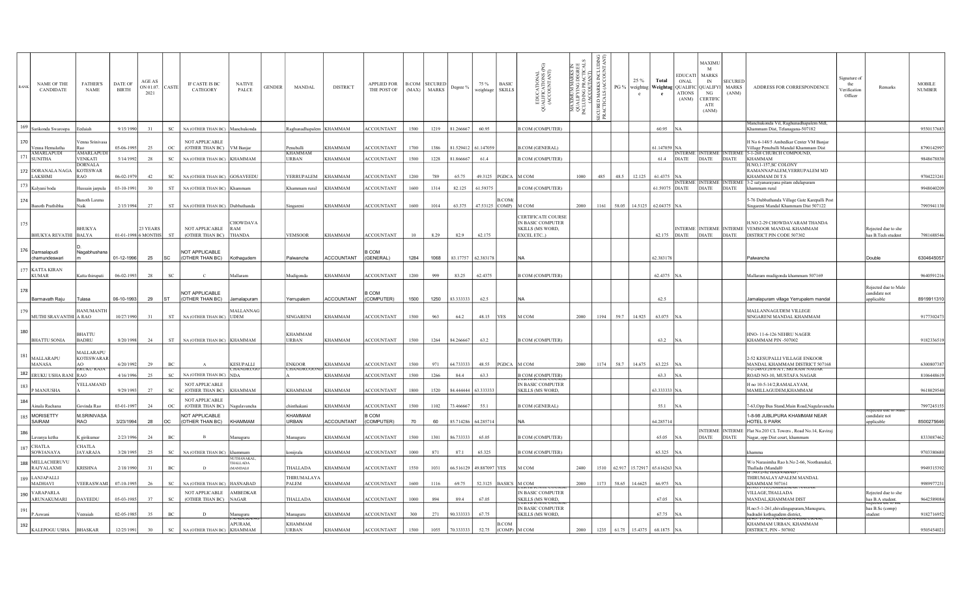|     | <b>NAME OF THE</b><br><b>CANDIDATE</b> | <b>FATHER'S</b><br><b>NAME</b>                           | DATE OF<br><b>BIRTH</b> | AGE AS<br>ON 01.07.<br>2021 | CASTE                       | IF CASTE IS BC<br>CATEGORY                         | <b>NATIVE</b><br>PALCE                 | <b>GENDER</b> | MANDAL                           | <b>DISTRICT</b>   | <b>APPLIED FOR</b><br>THE POST OF |      | <b>B.COM</b> SECURED<br>(MAX) MARKS | Degree %                | 75 %<br>weightage       | <b>BASIC</b><br><b>SKILLS</b> | EDUCATIONAL<br>JALIFICATIONS (PG)<br>(ACCOUNTANT)<br>$\overline{5}$       | ≀ ≍<br>MAXIMUM MARKSI<br>QUALIFYING DEGRE<br>INCLUDING PRACTICA<br>(ACCOUTANT) | žặ<br>MARKS I<br>ALS (ACC<br>PG %<br><b>SECURED I</b><br>PRACTICA | 25 %<br>$\mathbf{c}$ | Total<br>e                | ONAL<br>weightag   Weightag   QUALIFIC   QUALIFYI   MARKS<br>ATIONS<br>(ANM) | MAXIMU<br>M<br>EDUCATI MARKS<br>IN<br>NG<br><b>CERTIFIC</b><br>ATE<br>(ANM) | <b>SECURED</b><br>(ANM) | ADDRESS FOR CORRESPONDENCE                                                                                 | signature of<br>the<br>Verification<br>Officer | Remarks                                            | <b>MOBILE</b><br><b>NUMBER</b> |
|-----|----------------------------------------|----------------------------------------------------------|-------------------------|-----------------------------|-----------------------------|----------------------------------------------------|----------------------------------------|---------------|----------------------------------|-------------------|-----------------------------------|------|-------------------------------------|-------------------------|-------------------------|-------------------------------|---------------------------------------------------------------------------|--------------------------------------------------------------------------------|-------------------------------------------------------------------|----------------------|---------------------------|------------------------------------------------------------------------------|-----------------------------------------------------------------------------|-------------------------|------------------------------------------------------------------------------------------------------------|------------------------------------------------|----------------------------------------------------|--------------------------------|
|     | 169 Sarikonda Swaroopa                 | edaiah                                                   | 9/15/1990               | 31                          | SC                          | NA (OTHER THAN BC) Manchukonda                     |                                        |               | Raghunadhapalem KHAMMAM          |                   | <b>ACCOUNTANT</b>                 | 1500 | 1219                                | 81.266667               | 60.95                   |                               | <b>B COM (COMPUTER)</b>                                                   |                                                                                |                                                                   |                      | 60.95 NA                  |                                                                              |                                                                             |                         | Aanchukonda Vil, Raghunadhapalem Mdl,<br>Chammam Dist, Telanagana-507182                                   |                                                |                                                    | 9550137683                     |
| 170 | Venna Hemalatha                        | /enna Srinivasa                                          | 05-06-1995              | 25                          | $_{\mathrm{OC}}$            | <b>NOT APPLICABLE</b><br>(OTHER THAN BC) VM Banjar |                                        |               | Penuballi                        | <b>KHAMMAM</b>    | <b>ACCOUNTANT</b>                 | 1700 | 1386                                | 81.529412 61.147059     |                         |                               | <b>B.COM</b> (GENERAL)                                                    |                                                                                |                                                                   |                      | 61.147059 NA              |                                                                              |                                                                             |                         | H No 6-148/5 Ambedkar Center VM Banjar<br>Village Penuballi Mandal Khammam Dist                            |                                                |                                                    | 8790142997                     |
| 171 | AMARLAPUDI<br><b>SUNITHA</b>           | AMARLAPUL<br>VENKATI                                     | 5/14/1992               | 28                          | $_{\rm SC}$                 | NA (OTHER THAN BC) KHAMMAM                         |                                        |               | KHAMMAM<br>URBAN                 | <b>KHAMMAM</b>    | <b>ACCOUNTANT</b>                 | 1500 | 1228                                | 81.866667               | 61.4                    |                               | <b>B COM (COMPUTER)</b>                                                   |                                                                                |                                                                   |                      |                           |                                                                              | VTERME INTERME INTERM                                                       |                         | 5-1-268 CHURCH COMPOUND,<br>61.4 DIATE DIATE DIATE KHAMMAM                                                 |                                                |                                                    | 9848678830                     |
|     | 172 DORANALA NAGA                      | DORNALA<br><b>KOTESWAR</b>                               |                         |                             |                             |                                                    |                                        |               |                                  |                   |                                   |      |                                     |                         |                         |                               |                                                                           |                                                                                |                                                                   |                      |                           |                                                                              |                                                                             |                         | <b>I.NO,1-157,SC COLONY</b><br>RAMANNAPALEM, YERRUPALEM MD                                                 |                                                |                                                    |                                |
|     | <b>LAKSHMI</b>                         | R A O                                                    | 06-02-1979              | 42                          | SC                          | NA (OTHER THAN BC) GOSAVEEDU                       |                                        |               | YERRUPALEM                       | KHAMMAM           | <b>ACCOUNTANT</b>                 | 1200 | 789                                 | 65.75                   | 49.3125   PGDCA   M COM |                               |                                                                           | 1000                                                                           | 48.5<br>485                                                       | 12.125               | $61.4375$ NA              |                                                                              |                                                                             |                         | KHAMMAM DI T.S<br>INTERME INTERME INTERME 3-2 satyanarayana pitam edulapuram                               |                                                |                                                    | 9704223241                     |
| 174 | 173 $\big $ Kalyani boda               | <del>I</del> ussain jarpula<br>anoth Laxma               | 03-10-1991              | 30                          | ${\rm ST}$                  | NA (OTHER THAN BC) Khamman                         |                                        |               | Khammam rural                    | <b>KHAMMAM</b>    | ACCOUNTANT                        | 1600 | 1314                                | 82.125                  | 61.59375                | B.COM(                        | <b>B COM (COMPUTER)</b>                                                   |                                                                                |                                                                   |                      |                           |                                                                              |                                                                             |                         | 61.59375 DIATE DIATE DIATE khammam rural<br>-76 Dubbathanda Village Gate Karepalli Post                    |                                                |                                                    | 9948040209                     |
|     | Banoth Prathibha                       | Naik                                                     | 2/15/1994               | 27                          | $_{\rm ST}$                 | NA (OTHER THAN BC) Dubbathanda                     |                                        |               | singareni                        | <b>KHAMMAM</b>    | <b>ACCOUNTANT</b>                 | 1600 | 1014                                | 63.375                  | 47.53125 COMP)          |                               | M COM                                                                     | 2000                                                                           | 1161                                                              |                      | 58.05 14.5125 62.04375 NA |                                                                              |                                                                             |                         | ngareni Mandal Khammam Dist 507122                                                                         |                                                |                                                    | 7993941130                     |
| 175 | <b>BHUKYA REVATHI</b>                  | <b>BHUKYA</b><br><b>BALYA</b>                            | 01-01-1998 6 MONTHS     | 23 YEARS                    | ST                          | NOT APPLICABLE<br>(OTHER THAN BC)                  | <b>HOWDAVA</b><br>RAM<br><b>THANDA</b> |               | <b>VEMSOOR</b>                   | <b>KHAMMAM</b>    | <b>ACCOUNTANT</b>                 | 10   | 8.29                                | 82.9                    | 62.175                  |                               | CERTIFICATE COURSE<br>IN BASIC COMPUTER<br>SKILLS (MS WORD,<br>EXCEL ETC) |                                                                                |                                                                   |                      |                           | 62.175 DIATE                                                                 | <b>DIATE</b>                                                                | <b>DIATE</b>            | I.NO 2-29 CHOWDAVARAM THANDA<br>INTERME INTERME INTERME VEMSOOR MANDAL KHAMMAM<br>DISTRICT PIN CODE 507302 |                                                | Rejected due to she<br>has B.Tech student          | 7981688546                     |
|     | 176 Damsalapudi                        | Nagabhushana                                             |                         |                             |                             | NOT APPLICABLE                                     |                                        |               |                                  |                   | COM                               |      |                                     |                         |                         |                               |                                                                           |                                                                                |                                                                   |                      |                           |                                                                              |                                                                             |                         |                                                                                                            |                                                |                                                    |                                |
|     | chamundeswari                          |                                                          | 01-12-1996              | 25                          | <b>SC</b>                   | (OTHER THAN BC)                                    | Kothagudem                             |               | Palwancha                        | <b>ACCOUNTANT</b> | (GENERAL)                         | 1284 | 1068                                | 83.17757                | 62.383178               |                               | <b>NA</b>                                                                 |                                                                                |                                                                   |                      | 62.383178                 |                                                                              |                                                                             |                         | Palwancha                                                                                                  |                                                | Double                                             | 6304645057                     |
|     | 177 KATTA KIRAN<br><b>KUMAR</b>        | Katta thirupati                                          | 06-02-1993              | 28                          | $_{\rm SC}$                 |                                                    | Mallaram                               |               | Mudigonda                        | <b>KHAMMAM</b>    | <b>ACCOUNTANT</b>                 | 1200 | 999                                 | 83.25                   | 62.4375                 |                               | <b>B COM (COMPUTER)</b>                                                   |                                                                                |                                                                   |                      | 62.4375 NA                |                                                                              |                                                                             |                         | Mallaram mudigonda khammam 507169                                                                          |                                                |                                                    | 9640591216                     |
| 178 | Barmavath Raju                         | Tulasa                                                   | 06-10-1993              | 29                          | lst.                        | NOT APPLICABLE<br>(OTHER THAN BC)                  | Jamalapuran                            |               | Yerrupalem                       | <b>ACCOUNTANT</b> | COM<br>(COMPUTER)                 | 1500 | 1250                                | 83.333333               | 62.5                    |                               | lna                                                                       |                                                                                |                                                                   |                      | 62.5                      |                                                                              |                                                                             |                         | Jamalapuram village Yerrupalem mandal                                                                      |                                                | Rejected due to Male<br>andidate not<br>applicable | 8919911310                     |
| 179 |                                        | <b>HANUMANTH</b>                                         |                         |                             |                             |                                                    | MALLANNAG                              |               |                                  |                   |                                   |      |                                     |                         |                         |                               |                                                                           |                                                                                |                                                                   |                      |                           |                                                                              |                                                                             |                         | MALLANNAGUDEM VILLEGE                                                                                      |                                                |                                                    |                                |
|     | MUTHI SRAVANTHI A RAO                  |                                                          | 10/27/1990              | 31                          | <b>ST</b>                   | NA (OTHER THAN BC) UDEM                            |                                        |               | SINGARENI                        | <b>KHAMMAM</b>    | <b>ACCOUNTANT</b>                 | 1500 | 963                                 | 64.2                    | 48.15                   | <b>YES</b>                    | M COM                                                                     | 2000                                                                           | 59.7<br>1194                                                      | 14.925               | 63.075 NA                 |                                                                              |                                                                             |                         | SINGARENI MANDAL KHAMMAM                                                                                   |                                                |                                                    | 9177302473                     |
| 180 | <b>BHATTU SONIA</b>                    | <b>BHATTU</b><br><b>BADRU</b>                            | 8/20/1998               | 24                          | <b>ST</b>                   | NA (OTHER THAN BC) KHAMMAM                         |                                        |               | <b>KHAMMAM</b><br>URBAN          | <b>KHAMMAM</b>    | <b>ACCOUNTANT</b>                 | 1500 | 1264                                | 84.266667               | 63.2                    |                               | <b>B COM (COMPUTER)</b>                                                   |                                                                                |                                                                   |                      | 63.2 NA                   |                                                                              |                                                                             |                         | HNO-11-6-126 NEHRU NAGER<br>KHAMMAM PIN -507002                                                            |                                                |                                                    | 9182336519                     |
| 181 | MALLARAPU<br><b>MANASA</b>             | MALLARAPU<br><b>KOTESWARAR</b><br>AO<br><b>EKUKU KAJ</b> | 6/20/1992               | 29                          | BC                          |                                                    | <b>KESUPALLI</b>                       |               | <b>ENKOOR</b><br><b>HANDRUGO</b> | <b>KHAMMAM</b>    | <b>ACCOUNTANT</b>                 | 1500 | 971                                 | 64.733333               | 48.55                   | PGDCA                         | M COM                                                                     | 2000                                                                           | 58.7<br>1174                                                      | 14.675               | 63.225                    |                                                                              |                                                                             |                         | 2-52 KESUPALLI VILLAGE ENKOOR<br>MANDAL KHAMMAM DISTRICT 507168<br>2-248/G/20/6/A/1, SRI RAM NAGA          |                                                |                                                    | 6300807387                     |
|     | 182 ERUKU USHA RANI RAO                |                                                          | 4/16/1996               | 25                          | $_{\rm SC}$                 | NA (OTHER THAN BC) NDA                             |                                        |               |                                  | <b>KHAMMAM</b>    | <b>ACCOUNTANT</b>                 | 1500 | 1266                                | 84.4                    | 63.3                    |                               | <b>B COM (COMPUTER)</b>                                                   |                                                                                |                                                                   |                      | 63.3 NA                   |                                                                              |                                                                             |                         | ROAD NO-10, MUSTAFA NAGAR                                                                                  |                                                |                                                    | 8106448619                     |
| 183 | P MANJUSHA                             | YELLAMAND                                                | 9/29/1993               | 27                          | SC                          | <b>NOT APPLICABLE</b><br>(OTHER THAN BC)           | <b>KHAMMAM</b>                         |               | KHAMMAM                          | <b>KHAMMAM</b>    | <b>ACCOUNTANT</b>                 | 1800 | 1520                                | 84.444444 63.333333     |                         |                               | IN BASIC COMPUTER<br><b>SKILLS (MS WORD,</b>                              |                                                                                |                                                                   |                      | 63.333333 NA              |                                                                              |                                                                             |                         | H no 10-5-14/2.RAMALAYAM.<br>MAMILLAGUDEM, KHAMMAM                                                         |                                                |                                                    | 9618029540                     |
| 184 | Ainala Rachana                         | Govinda Rao                                              | 03-01-1997              | 24                          | $_{\rm OC}$                 | <b>NOT APPLICABLE</b><br>(OTHER THAN BC)           | Vagulavancha                           |               | hinthakani                       | <b>KHAMMAM</b>    | <b>ACCOUNTANT</b>                 | 1500 | 1102                                | 73.466667               | 55.1                    |                               | <b>B COM (GENERAL)</b>                                                    |                                                                                |                                                                   |                      | 55.1                      |                                                                              |                                                                             |                         | 7-63, Opp Bus Stand, Main Road, Nagulavancha                                                               |                                                |                                                    | 7997245155                     |
| 185 | MORISETTY<br>SAIRAM                    | <b>M.SRINIVASA</b><br>RAO                                | 3/23/1994               | 28                          | OC                          | NOT APPLICABLE<br>(OTHER THAN BC)                  | KHAMMAM                                |               | KHAMMAM<br>URBAN                 | <b>ACCOUNTANT</b> | COM<br>COMPUTER)                  | 70   | 60                                  | 85.714286 64.285714     |                         |                               | NA.                                                                       |                                                                                |                                                                   |                      | 64.285714                 |                                                                              |                                                                             |                         | 1-8-98 JUBLIPURA KHAMMAM NEAR<br>HOTEL S PARK                                                              |                                                | candidate not<br>pplicable                         | 8500275646                     |
| 186 |                                        |                                                          |                         |                             |                             |                                                    |                                        |               |                                  |                   |                                   |      |                                     |                         |                         |                               |                                                                           |                                                                                |                                                                   |                      |                           |                                                                              |                                                                             |                         | INTERME   INTERME   Flat No.203 CL Towers, Road No.14, Kaviraj                                             |                                                |                                                    |                                |
|     | Lavanya ketha<br>$187$ CHATLA          | K girikumar<br>CHATLA                                    | 2/23/1996               | 24                          | BC                          | $\mathbf{B}$                                       | Manuguru                               |               | Manuguru                         | <b>KHAMMAM</b>    | <b>ACCOUNTANT</b>                 | 1500 | 1301                                | 86.733333               | 65.05                   |                               | <b>B COM (COMPUTER)</b>                                                   |                                                                                |                                                                   |                      | 65.05 NA                  |                                                                              |                                                                             |                         | DIATE   DIATE   Nagar, opp Dist court, khammam                                                             |                                                |                                                    | 8333087462                     |
|     | SOWJANAYA                              | <b>JAYARAJA</b>                                          | 3/28/1995               | 25                          | $_{\rm SC}$                 | NA (OTHER THAN BC)                                 | khammam<br><b>UTHANAKAL</b>            |               | konijrala                        | <b>KHAMMAM</b>    | <b>ACCOUNTANT</b>                 | 1000 | 871                                 | 87.1                    | 65.325                  |                               | <b>B COM (COMPUTER)</b>                                                   |                                                                                |                                                                   |                      | 65.325 NA                 |                                                                              |                                                                             |                         |                                                                                                            |                                                |                                                    | 9703380680                     |
|     | 188 MELLACHERUVL<br>RAJYALAXMI         | <b>KRISHNA</b>                                           | 2/18/1990               | 31                          | $_{\rm BC}$                 | D                                                  | <b>HALLADA</b><br>MANDAL <sub>0</sub>  |               | THALLADA                         | <b>KHAMMAM</b>    | <b>ACCOUNTANT</b>                 | 1550 | 1031                                | 66.516129 49.887097 YES |                         |                               | M COM                                                                     | 2400                                                                           | 1510<br>62.917                                                    |                      | 15.72917 65.616263 NA     |                                                                              |                                                                             |                         | W/o Narasimha Rao h.No 2-66, Noothanakal,<br>Thallada (Mandal0<br><b>LIVOL2-02 HANDIVAD</b>                |                                                |                                                    | 9949315392                     |
|     | 189 LANJAPALLI<br>MADHAVI              | VEERASWAMI                                               | 07-10-1995              | 26                          | $\protect\operatorname{SC}$ | NA (OTHER THAN BC) HASNABAD                        |                                        |               | <b>THIRUMALAYA</b><br>PALEM      | <b>KHAMMAM</b>    | <b>ACCOUNTANT</b>                 | 1600 | 1116                                | 69.75                   | 52.3125                 | BASICS M COM                  |                                                                           | 2000                                                                           | 1173<br>58.65                                                     | 14.6625              | 66.975 NA                 |                                                                              |                                                                             |                         | THIRUMALAYAPALEM MANDAL<br><b>KHAMMAM 507161</b>                                                           |                                                |                                                    | 9989977231                     |
|     | 190 VARAPARLA<br>ARUNAKUMARI           | <b>DAVEEDU</b>                                           | 05-03-1985              | 37                          | SC                          | <b>NOT APPLICABLE</b><br>(OTHER THAN BC)           | <b>AMBEDKAR</b><br><b>NAGAR</b>        |               | THALLADA                         | <b>KHAMMAM</b>    | <b>ACCOUNTANT</b>                 | 1000 | 894                                 | 89.4                    | 67.05                   |                               | IN BASIC COMPUTER<br><b>SKILLS (MS WORD,</b>                              |                                                                                |                                                                   |                      | 67.05 NA                  |                                                                              |                                                                             |                         | VILLAGE, THALLADA<br>MANDAL, KHAMMAM DIST                                                                  |                                                | Rejected due to she<br>has B.A student.            | 9642589084                     |
| 191 | P.Aswani                               | /eeraiah                                                 | 02-05-1985              | 35                          | $_{\rm BC}$                 | D                                                  | Manuguru                               |               | Manuguru                         | <b>KHAMMAM</b>    | <b>ACCOUNTANT</b>                 | 300  | 271                                 | 90.333333               | 67.75                   |                               | IN BASIC COMPUTER<br><b>SKILLS (MS WORD,</b>                              |                                                                                |                                                                   |                      | 67.75 NA                  |                                                                              |                                                                             |                         | H.no:5-1-261,shivalingapuram,Manuguru<br>badradri kothagudem district,                                     |                                                | has B.Sc (comp)<br>student                         | 9182716952                     |
| 192 |                                        |                                                          |                         |                             |                             |                                                    | APURAM,                                |               | KHAMMAM                          |                   |                                   |      |                                     |                         |                         | B.COM                         |                                                                           |                                                                                |                                                                   |                      |                           |                                                                              |                                                                             |                         | INU: 11-96. PAINDURAING<br>KHAMMAM URBAN, KHAMMAM                                                          |                                                |                                                    |                                |
|     | KALEPOGU USHA                          | <b>BHASKAR</b>                                           | 12/25/1991              | 30                          | $\protect\operatorname{SC}$ | NA (OTHER THAN BC)                                 | <b>KHAMMAM</b>                         |               | <b>URBAN</b>                     | <b>KHAMMAM</b>    | <b>ACCOUNTANT</b>                 | 1500 | 1055                                | 70.333333               | 52.75                   | $(COMP)$ M $COM$              |                                                                           | 2000                                                                           | 1235<br>61.75                                                     | 15.4375              | 68.1875 NA                |                                                                              |                                                                             |                         | DISTRICT, PIN - 507002                                                                                     |                                                |                                                    | 9505454021                     |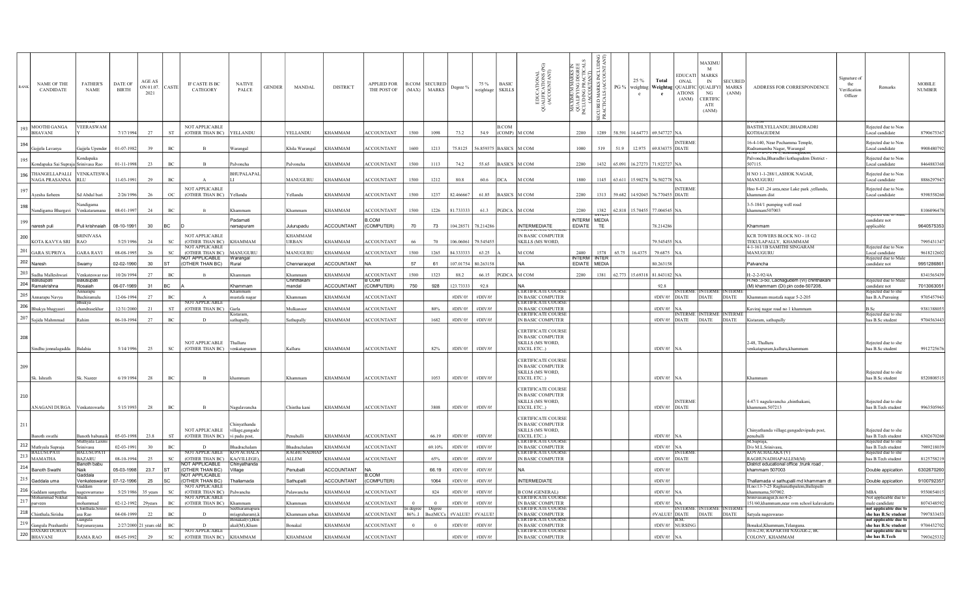| RANK | <b>NAME OF THE</b><br>CANDIDATE                                                            | <b>FATHER'S</b><br><b>NAME</b>    | DATE OF<br><b>BIRTH</b> | AGE AS<br>ON 01.07.<br>2021 | CASTE               | IF CASTE IS BC<br>CATEGORY                          | <b>NATIVE</b><br>PALCE          | <b>GENDER</b> | MANDAL                  | <b>DISTRICT</b>   | <b>APPLIED FOR</b><br>THE POST OF |       | <b>B.COM</b> SECURED<br>(MAX) MARKS | Degree %                       | 75 %<br>weightage      | <b>BASIC</b><br><b>SKILLS</b> | EDUCATIONAL<br>JALIFICATIONS (<br>(ACCOUNTANT)<br>$\overline{\circ}$                          | <b>ARKS</b><br>DEGR<br>ACTIC<br>MAXIMUM MA<br>QUALIFY ING I<br>INCLUDING PRA<br>(ACCOUTA | žặ<br>MARKS<br>ALS (AC<br>PG %<br>SECURED<br>PRACTIC. | 25 %<br>$_{\rm c}$              | Total<br>e             | <b>EDUCATI</b><br>ONAL<br>weightag   Weightag   QUALIFIC   QUALIFYI  <br><b>ATIONS</b><br>(ANM) | <b>MAXIMU</b><br>M<br><b>MARKS</b><br>IN<br>NG<br><b>CERTIFIC</b><br>ATE<br>(ANM) | <b>SECURED</b><br><b>MARKS</b><br>(ANM) | ADDRESS FOR CORRESPONDENCE                                                 | Signature of<br>the<br><i>V</i> erification<br>Officer | Remarks                                       | <b>MOBILE</b><br>$\ensuremath{\mathrm{NUMBER}}$ |
|------|--------------------------------------------------------------------------------------------|-----------------------------------|-------------------------|-----------------------------|---------------------|-----------------------------------------------------|---------------------------------|---------------|-------------------------|-------------------|-----------------------------------|-------|-------------------------------------|--------------------------------|------------------------|-------------------------------|-----------------------------------------------------------------------------------------------|------------------------------------------------------------------------------------------|-------------------------------------------------------|---------------------------------|------------------------|-------------------------------------------------------------------------------------------------|-----------------------------------------------------------------------------------|-----------------------------------------|----------------------------------------------------------------------------|--------------------------------------------------------|-----------------------------------------------|-------------------------------------------------|
|      | MOOTHI GANGA<br><b>BHAVANI</b>                                                             | VEERASWAM                         | 7/17/1994               | 27                          | ST                  | <b>NOT APPLICABLE</b><br>(OTHER THAN BC)            | YELLANDU                        |               | YELLANDU                | <b>KHAMMAM</b>    | <b>ACCOUNTANT</b>                 | 1500  | 1098                                | 73.2                           | 54.9                   | <b>B.COM</b><br>(COMP)        | M COM                                                                                         | 2200                                                                                     | 1289<br>58.591                                        |                                 | 4.64773 69.547727 NA   |                                                                                                 |                                                                                   |                                         | BASTHI, YELLANDU, BHADRADRI<br><b>KOTHAGUDEM</b>                           |                                                        | Rejected due to Non<br>Local candidate        | 8790675367                                      |
| 194  | Gajjela Lavanya                                                                            | Gajjela Upender                   | 01-07-1982              | 39                          | $_{\mathrm{BC}}$    | $\,$ B                                              | Warangal                        |               | Khila Warangal          | <b>KHAMMAM</b>    | <b>ACCOUNTANT</b>                 | 1600  | 1213                                | 75.8125                        | 56.859375 BASICS M COM |                               |                                                                                               | 1000                                                                                     | 519<br>51.9                                           |                                 | 12.975 69.834375 DIATE | <b>INTERME</b>                                                                                  |                                                                                   |                                         | 16-4-140, Near Pochamma Temple,<br>Rudramamba Nagar, Warangal              |                                                        | Rejected due to Nor<br>Local candidate        | 9908480792                                      |
| 195  | Kondapaka Sai Supraja Srinivasa Rao                                                        | Kondapaka                         | 01-11-1998              | 23                          | BC                  | $\overline{B}$                                      | Palvoncha                       |               | Palvoncha               | <b>KHAMMAM</b>    | <b>ACCOUNTANT</b>                 | 1500  | 1113                                | 74.2                           | 55.65                  | BASICS M COM                  |                                                                                               | 2200                                                                                     | 1432 65.091 16.27273 71.922727 NA                     |                                 |                        |                                                                                                 |                                                                                   |                                         | Palvoncha, Bharadhri kothagudem District -<br>507115.                      |                                                        | Reiected due to Non<br>Local candidate        | 8464883368                                      |
|      | 196 THANGELLAPALLI<br>NAGA PRASANNA RLU                                                    | <b>VENKATESWA</b>                 | 11-03-1991              | 29                          | BC                  |                                                     | BHUPALAPAI                      |               | MANUGURU                | <b>KHAMMAM</b>    | <b>ACCOUNTANT</b>                 | 1500  | 1212                                | 80.8                           | 60.6                   | <b>DCA</b>                    | Ім сом                                                                                        | 1800                                                                                     | 1145 63.611 15.90278 76.502778 NA                     |                                 |                        |                                                                                                 |                                                                                   |                                         | H NO 1-1-288/1, ASHOK NAGAR,<br><b>MANUGURU</b>                            |                                                        | Rejected due to Non<br>Local candidate        | 8886297947                                      |
| 197  | Avesha farheer                                                                             | Sd Abdul bari                     | 2/26/1996               | 26                          | $_{\rm OC}$         | <b>NOT APPLICABLE</b><br>(OTHER THAN BC)            | Yellandu                        |               | Yellandu                | <b>KHAMMAM</b>    | <b>ACCOUNTANT</b>                 | 1500  | 1237                                | 82.46666                       | 61.85                  | <b>BASICS M COM</b>           |                                                                                               | 2200                                                                                     | 1313                                                  | 59.682 14.92045 76.770455 DIATE |                        | <b>INTERME</b>                                                                                  |                                                                                   |                                         | Hno 8-43 ,24 area, near Lake park , yellandu,<br>khammam dist              |                                                        | Rejected due to Non<br>Local candidate        | 9398558260                                      |
| 198  | Nandigama Bhargavi                                                                         | Nandigama<br>Venkataramana        | 08-01-1997              | 24                          | BC                  |                                                     | .hammam                         |               | Khammam                 | <b>KHAMMAM</b>    | <b>ACCOUNTANT</b>                 | 1500  | 1226                                | 81.733333                      | 61.3                   | PGDCA M COM                   |                                                                                               | 2200                                                                                     | 1382 62.818 15.70455 77.004545 NA                     |                                 |                        |                                                                                                 |                                                                                   |                                         | 3-5-184/1 pumping well road<br>khammam507003                               |                                                        | क्टास्त तार 10                                | 8106096478                                      |
| 199  | naresh puli                                                                                | Puli krishnaiah                   | 08-10-1991              | 30                          | BC                  |                                                     | Padamati<br>narsapuram          |               | Julurupadu              | <b>ACCOUNTANT</b> | .COM<br>(COMPUTER)                | 70    | 73                                  | 104.28571 78.214286            |                        |                               | <b>INTERMEDIATE</b>                                                                           | INTERM MEDIA<br>EDIATE                                                                   | ᆏ다<br>TE                                              |                                 | 78.214286              |                                                                                                 |                                                                                   |                                         | Khammam                                                                    |                                                        | candidate not<br>applicable                   | 9640575353                                      |
| 200  | KOTA KAVYA SRI                                                                             | <b>SRINIVASA</b><br>RAO.          | 5/25/1996               | 24                          | SC.                 | <b>NOT APPLICABLE</b><br>(OTHER THAN BC)            | <b>KHAMMAM</b>                  |               | <b>KHAMMAM</b><br>URBAN | <b>KHAMMAM</b>    | <b>ACCOUNTANT</b>                 | 66    | 70                                  | 106.06061                      | 79.54545               |                               | <b>ENTIFICATE CU</b><br>IN BASIC COMPUTER<br><b>SKILLS (MS WORD,</b>                          |                                                                                          |                                                       |                                 | 79.545455 NA           |                                                                                                 |                                                                                   |                                         | KCR TOWERS BLOCK NO - 18 G2<br>TEKULAPALLY, KHAMMAM                        |                                                        |                                               | 7995431347                                      |
| 201  | <b>GARA SUPRIYA</b>                                                                        | <b>GARA RAVI</b>                  | 08-08-1995              | 26                          | $_{\rm SC}$         | NOT APPLICABLE<br>(OTHER THAN BC) MANUGURU          |                                 |               | MANUGURU                | <b>KHAMMAM</b>    | <b>ACCOUNTANT</b>                 | 1500  | 1265                                | 84.333333                      | 63.25                  |                               | M COM                                                                                         | 2400                                                                                     | 65.75<br>1578                                         | 164375                          | 79.6875 NA             |                                                                                                 |                                                                                   |                                         | 4-1-161/1B SAMITHI SINGARAM<br><b>MANUGURU</b>                             |                                                        | Rejected due to Nor<br>Local candidate        | 9618212602                                      |
|      | $202$ Naresh                                                                               | Swamy                             | 02-02-1990              | 30                          | lst.                | OT APPLICABLE<br>(OTHER THAN BC)                    | <b>Warangal</b><br>Rural        |               | Chennaraopet            | <b>ACCOUNTANT</b> |                                   | 57    | 61                                  |                                | 107.01754 80.263158    |                               | lna                                                                                           | nterm inter<br>EDIATE MEDIA                                                              |                                                       |                                 | 80.263158              |                                                                                                 |                                                                                   |                                         | Palvancha                                                                  |                                                        | Rejected due to Male<br>candidate not         | 9951286861                                      |
|      | $\mid$ 203 $\mid$ Sudha Malleshwari<br>Balusupati                                          | Venkateswar rao<br>Balusupati     | 10/26/1994              | 27                          | BC                  |                                                     | Khammam                         |               | Khammam<br>Chinthakani  | <b>KHAMMAM</b>    | <b>ACCOUNTANT</b><br>COM          | 1500  | 1323                                | 88.2                           | 66.15                  | PGDCA M COM                   |                                                                                               | 2200                                                                                     | 1381 62.773 15.69318 81.843182 NA                     |                                 |                        |                                                                                                 |                                                                                   |                                         | $H - 2 - 2 - 97/4A$<br>H.No.:3-50, Lachagudem (Vi) chinthakani             |                                                        | Rejected due to Mal                           | 8341565439                                      |
|      | 204 Ramakrishna                                                                            | Rosaiah<br>nnarapu                | 06-07-1989              | 31                          | <b>BC</b>           |                                                     | Khammam                         |               | mandal                  | <b>ACCOUNTANT</b> | (COMPUTER)                        | 750   | 928                                 | 123,73333                      | 92.8                   |                               | lna<br><b>CERTIFICATE COURSE</b>                                                              |                                                                                          |                                                       |                                 | 92.8                   | VTERME                                                                                          | INTERME INTERM                                                                    |                                         | (M) khammam (Di) pin code-507208,                                          |                                                        | andidate not<br>Rejected due to she           | 7013063051                                      |
| 205  | Annarapu Navva                                                                             | Buchiramulu<br>Bhukye             | 12-06-1994              | 27                          | BC.                 | $\Lambda$<br><b>NOT APPLICABLE</b>                  | ustafa nagar                    |               | Khammam                 | <b>KHAMMAM</b>    | <b>ACCOUNTANT</b>                 |       |                                     | #DIV/0!                        | #DIV/0!                |                               | IN BASIC COMPUTER<br><b>CERTIFICATE COURSE</b>                                                |                                                                                          |                                                       |                                 |                        | #DIV/0! DIATE                                                                                   | <b>DIATE</b>                                                                      | <b>DIATE</b>                            | Khammam mustafa nagar 5-2-205                                              |                                                        | has B.A.Pursuing                              | 9705457943                                      |
|      | $\mid$ 206 $\mid$ Bhu <u>kya bhagyasri</u>                                                 | chandrasekhar                     | 12/31/2000              | 21                          | ST                  | (OTHER THAN BC)                                     | Garla                           |               | Mulkanoor               | <b>KHAMMAM</b>    | <b>ACCOUNTANT</b>                 |       | 80%                                 | #DIV/0!                        | #DIV/0!                |                               | IN BASIC COMPUTER<br><b>ERTIFICATE COURSE</b>                                                 |                                                                                          |                                                       |                                 | #DIV/0! NA             | <b>INTERME</b>                                                                                  | <b>INTERME</b>                                                                    | <b>INTERM</b>                           | Kaviraj nagar road no 1 khammam                                            |                                                        | B.Sc<br>Rejected due to she                   | 9381388055                                      |
| 207  | Sajida Mahmmad                                                                             |                                   | 06-10-1994              | 27                          | BC                  | D                                                   | istaram.<br>athupally           |               | athupally               | <b>KHAMMAM</b>    | <b>ACCOUNTANT</b>                 |       | 1682                                | #DIV/0!                        | #DIV/0!                |                               | IN BASIC COMPUTER                                                                             |                                                                                          |                                                       |                                 |                        | $#DIV/0!$ DIATE                                                                                 | <b>DIATE</b>                                                                      | <b>DIATE</b>                            | Kistaram, sathupally                                                       |                                                        | has B.Sc student                              | 9704563443                                      |
| 208  | Sindhu jonnalagadda                                                                        | Balahia                           | 5/14/1996               | 25                          | $\operatorname{SC}$ | NOT APPLICABLE<br>(OTHER THAN BC)                   | Thalluru<br>venkatapuram        |               | Kalluru                 | <b>KHAMMAM</b>    | <b>ACCOUNTANT</b>                 |       | 82%                                 | #DIV/0!                        | #DIV/0!                |                               | CERTIFICATE COURSE<br>IN BASIC COMPUTER<br><b>SKILLS (MS WORD,</b><br>EXCEL ETC)              |                                                                                          |                                                       |                                 | #DIV/0! NA             |                                                                                                 |                                                                                   |                                         | 2-48, Thalluru<br>venkatapuram,kalluru,khamman                             |                                                        | Rejected due to she<br>has B.Sc student       | 9912725676                                      |
| 209  | Sk. Ishrath                                                                                | Sk. Nazeer                        | 6/19/1994               | 28                          | $_{\mathrm{BC}}$    | $\overline{B}$                                      | chammam                         |               | Khammam                 | <b>KHAMMAM</b>    | <b>ACCOUNTANT</b>                 |       | 1053                                | #DIV/0!                        | #DIV/0!                |                               | CERTIFICATE COURSE<br>IN BASIC COMPUTER<br><b>SKILLS (MS WORD,</b><br>EXCEL ETC)              |                                                                                          |                                                       |                                 | $#DIV/0!$ NA           |                                                                                                 |                                                                                   |                                         | Khammam                                                                    |                                                        | Rejected due to she<br>has B.Sc student       | 8520808515                                      |
| 210  | ANAGANI DURGA Venkateswarlu                                                                |                                   | 5/15/1993               | 28                          | $_{\mathrm{BC}}$    | $\overline{B}$                                      | Vagulavancha                    |               | Chintha kani            | <b>KHAMMAM</b>    | <b>ACCOUNTANT</b>                 |       | 3808                                | #DIV/0!                        | #DIV/0!                |                               | CERTIFICATE COURSE<br>IN BASIC COMPUTER<br><b>SKILLS (MS WORD,</b><br>EXCEL ETC)              |                                                                                          |                                                       |                                 | #DIV/0! DIATE          | <b>INTERMI</b>                                                                                  |                                                                                   |                                         | 4-47/1 nagulavancha ,chinthakani,<br>khammam.507213                        |                                                        | Rejected due to she<br>has B.Tech student     | 9963505965                                      |
| 211  | Banoth swathi                                                                              | <b>Banoth</b> babunaik            | 05-03-1998              | 23.8                        | ST                  | NOT APPLICABLE<br>(OTHER THAN BC) vi padu post,     | hinyathanda<br>village, gangade |               | Penuballi               | <b>KHAMMAM</b>    | <b>ACCOUNTANT</b>                 |       | 66.19                               | #DIV/0!                        | #DIV/0!                |                               | <b>ERTIFICATE COURSE</b><br><b>IN BASIC COMPUTER</b><br><b>SKILLS (MS WORD,</b><br>EXCEL ETC) |                                                                                          |                                                       |                                 | $#DIV/0!$ NA           |                                                                                                 |                                                                                   |                                         | Chinyathanda village.gangadevipadu post,<br>penuballi                      |                                                        | Rejected due to she<br>has B.Tech student     | 6302670260                                      |
|      | 212 Muthyala Supraja                                                                       | Muthyala Laxm<br>Srinivasu        | 02-03-1991              | 30                          | BC                  | $\mathbf{D}$                                        | <b>Bhadrachalan</b>             |               | Bhadrachalam            | <b>KHAMMAM</b>    | <b>CCOUNTANT</b>                  |       | 69.10%                              | #DIV/0!                        | #DIV/0!                |                               | ERTIFICATE COURSE<br>IN BASIC COMPUTER                                                        |                                                                                          |                                                       |                                 | #DIV/0!                |                                                                                                 |                                                                                   |                                         | M.Supraja,<br>D/o M.L.Srinivasu                                            |                                                        | Rejected due to she<br>has B.Tech student     | 7989218039                                      |
|      | <b>BALÚSUPATI</b><br>$213$ MAMATHA                                                         | <b>BALUSUPAT</b><br><b>BAZARU</b> | 08-10-1994              | 25                          | $_{\rm SC}$         | <b>VOT APPLICABLE</b><br>(OTHER THAN BC) KA(VILLEGE | KOYACHAL/                       |               | RAGHUNADH/<br>ALLEM     | <b>KHAMMAM</b>    | <b>ACCOUNTANT</b>                 |       | 65%                                 | #DIV/0!                        | #DIV/0!                |                               | <b>ERTIFICATE COURSE</b><br>IN BASIC COMPUTER                                                 |                                                                                          |                                                       |                                 |                        | NTERM<br>#DIV/0! DIATE                                                                          |                                                                                   |                                         | KOYACHALAKA (V)<br>RAGHUNADHAPALLEM(M)                                     |                                                        | Rejected due to she<br>has B.Tech student     | 8125758219                                      |
|      | 214 Banoth Swathi                                                                          | <b>Banoth babu</b><br>Naik        | 05-03-1998              | 23.7                        | <b>ST</b>           | <b>OT APPLICABLE</b><br>(OTHER THAN BC)             | Chinyathanda<br>Village         |               | Penuballi               | <b>ACCOUNTANT</b> |                                   |       | 66.19                               | #DIV/0!                        | #DIV/0!                |                               | <b>NA</b>                                                                                     |                                                                                          |                                                       |                                 | #DIV/0                 |                                                                                                 |                                                                                   |                                         | District educational office , trunk road<br>khammam 507003                 |                                                        | Double appication                             | 6302670260                                      |
|      | $215$ Gaddala uma                                                                          | Gaddala<br>Venkateswarar          | 07-12-1996              | 25                          | <b>SC</b>           | NOT APPLICABLE<br>(OTHER THAN BC)                   | Thallamada                      |               | Sathupalli              | <b>ACCOUNTANT</b> | .COM<br>(COMPUTER)                |       | 1064                                | #DIV/0!                        | #DIV/0!                |                               | <b>INTERMEDIATE</b>                                                                           |                                                                                          |                                                       |                                 | #DIV/0!                |                                                                                                 |                                                                                   |                                         | Thallamada vi sathupalli md khammam dt                                     |                                                        | Double appication                             | 9100792357                                      |
|      | 216 Gaddam sangeetha                                                                       | Gaddam<br>nageswarrarao           | 5/25/1986               | 35 years                    | $_{\rm SC}$         | NOT APPLICABLE<br>(OTHER THAN BC)                   | Palwancha                       |               | Palawancha              | <b>KHAMMAM</b>    | <b>ACCOUNTANT</b>                 |       | 824                                 | #DIV/0!                        | #DIV/0!                |                               | <b>B COM (GENERAL)</b>                                                                        |                                                                                          |                                                       |                                 | #DIV/0! NA             |                                                                                                 |                                                                                   |                                         | H.no:13-7-25 Raghunathpalem,Ballepalli<br>khammama.507002.                 |                                                        | <b>MBA</b>                                    | 9550054015                                      |
| 217  | Mohammad Nikhat<br>parveen                                                                 | Shaik<br>nohamma                  | 02-12-1992              | 29 years                    | BC                  | NOT APPLICABLE<br>(OTHER THAN BC)                   |                                 |               |                         | <b>KHAMMAM</b>    | <b>CCOUNTANT</b>                  |       | $\Omega$                            | #DIV/0!                        | #DIV/0!                |                               | <b>ERTIFICATE COURSE</b><br>IN BASIC COMPUTER                                                 |                                                                                          |                                                       |                                 | #DIV/0! NA             |                                                                                                 |                                                                                   |                                         | Srinivasanagar, h.no: 4-2-<br>151/60, khammam, near svm school kalavakatta |                                                        | Not applicable due to<br>male candidate       | 8074348592                                      |
|      | $\mid$ 218 $\mid$ Chin <u>thala.<br/>Sirisha</u>                                           | Chinthala Srin<br>asa Rao         | 04-08-1999              | 22                          | $\rm BC$            | $\mathbf{D}$                                        | Seetharamapu<br>n(agraharam),   |               | Chammam urban           | <b>KHAMMAM</b>    | ACCOUNTANT                        | degre | Degre                               | 86% I Bsc(MCCs #VALUE! #VALUE! |                        |                               | ERTHCATE COURS<br>IN BASIC COMPUTER                                                           |                                                                                          |                                                       |                                 |                        | <b>NTERMI</b><br>VALUE! DIATE DIATE DIATE                                                       | <b>INTERME INTERM</b>                                                             |                                         | Satyala nageswarao                                                         |                                                        | not applicable due to<br>she has B.Sc student | 7997833453                                      |
|      | $\begin{array}{ c c c c }\n\hline\n219 & \text{Gangula Prashanthi} \\ \hline\n\end{array}$ | angula<br>Satyanarayana           |                         | 2/27/2000 21 years old      | BC                  | $\Gamma$                                            | nakal(v).Bo<br>akal(M),Kham     |               | Bonakal                 | <b>KHAMMAM</b>    | <b>ACCOUNTANT</b>                 |       | $\Omega$                            | #DIV/0!                        | #DIV/0!                |                               | ERTIFICATE COURS<br>IN BASIC COMPUTER                                                         |                                                                                          |                                                       |                                 |                        | #DIV/0! NURSING                                                                                 |                                                                                   |                                         | Bonakal, Khammam, Telangana                                                |                                                        | not applicable due to<br>she has B.Sc student | 9704432702                                      |
|      | DASARI DURGA<br>$220 \frac{\text{BTau}}{\text{BHAVANI}}$                                   | <b>RAMA RAO</b>                   | 08-05-1992              | 29                          | $\operatorname{SC}$ | NOT APPLICABL<br>(OTHER THAN BC) KHAMMAM            |                                 |               | <b>KHAMMAM</b>          | <b>KHAMMAM</b>    | <b>ACCOUNTANT</b>                 |       |                                     | #DIV/0!                        | #DIV/0!                |                               | <b>ERTIFICATE COURSE</b><br>IN BASIC COMPUTER                                                 |                                                                                          |                                                       |                                 | $#DIV/0!$ NA           |                                                                                                 |                                                                                   |                                         | 10-6-230, RAPARTHI NAGAR-2, BC<br>COLONY, KHAMMAM                          |                                                        | not applicable due to<br>she has B.Tech       | 7993625332                                      |
|      |                                                                                            |                                   |                         |                             |                     |                                                     |                                 |               |                         |                   |                                   |       |                                     |                                |                        |                               |                                                                                               |                                                                                          |                                                       |                                 |                        |                                                                                                 |                                                                                   |                                         |                                                                            |                                                        |                                               |                                                 |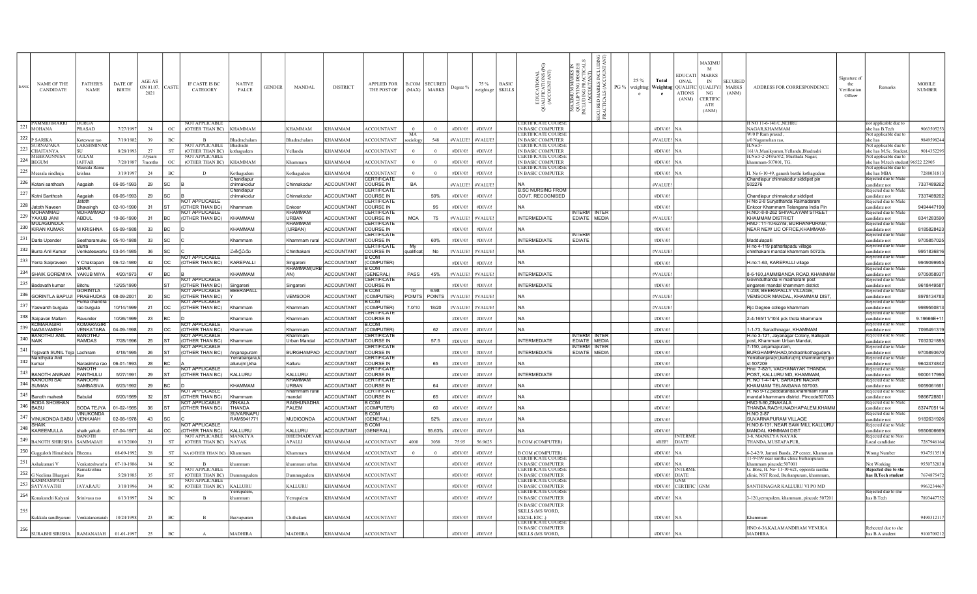| NAME OF THE<br><b>RANK</b><br>CANDIDATE                     | <b>FATHER'S</b><br><b>NAME</b>        | <b>DATE OF</b><br><b>BIRTH</b> | AGE AS<br>ON 01.07.<br>2021 | CASTE       | IF CASTE IS BC<br>CATEGORY               | <b>NATIVE</b><br><b>PALCE</b>   | <b>GENDER</b> | MANDAL                      | <b>DISTRICT</b>   | <b>APPLIED FOR</b><br><b>THE POST OF</b> | (MAX)      | <b>B.COM SECURED</b><br><b>MARKS</b> | Degree % | 75 %<br>weightage | <b>BASIC</b><br><b>SKILLS</b> | EDUCATIONAL<br>IALIFICATIONS (I<br>(ACCOUNTANT)<br>3 | 5È<br>XIMUM M.<br>ALIFYING I<br>UDING PR.<br>(ACCOUT<br><b>MAXIM</b><br>QUALI<br>MCLUD | S X<br>MAR<br>ALS (<br>eς<br>₿Ç<br>5 F | PG % | 25 %<br>$\mathbf{c}$ | Total<br>ONAL<br>weightag   Weightag   QUALIFIC   QUALIFYI   MARKS<br>e | MAXIMU<br>M<br><b>EDUCATI</b><br><b>MARKS</b><br>IN<br><b>ATIONS</b><br>NG<br><b>CERTIFIC</b><br>(ANM)<br>${\rm ATE}$<br>(ANM) | <b>SECURED</b><br>(ANM) | ADDRESS FOR CORRESPONDENCE                                                           | Signature of<br>the<br>Verification<br>Officer | Remarks                                                     | <b>MOBILE</b><br><b>NUMBER</b> |
|-------------------------------------------------------------|---------------------------------------|--------------------------------|-----------------------------|-------------|------------------------------------------|---------------------------------|---------------|-----------------------------|-------------------|------------------------------------------|------------|--------------------------------------|----------|-------------------|-------------------------------|------------------------------------------------------|----------------------------------------------------------------------------------------|----------------------------------------|------|----------------------|-------------------------------------------------------------------------|--------------------------------------------------------------------------------------------------------------------------------|-------------------------|--------------------------------------------------------------------------------------|------------------------------------------------|-------------------------------------------------------------|--------------------------------|
| $221$ MOHANA                                                | <b>PRASAD</b>                         | 7/27/1997                      | 24                          | OC          | OT APPLICABLI<br>(OTHER THAN BC)         | KHAMMAM                         |               | <b>KHAMMAM</b>              | <b>KHAMMAM</b>    | <b>ACCOUNTANT</b>                        | $\Omega$   | $\Omega$                             | #DIV/01  | #DIV/0!           |                               | ERTIFICATE COURS<br><b>IN BASIC COMPUTER</b>         |                                                                                        |                                        |      |                      | $\#$ DIV/0! NA                                                          |                                                                                                                                |                         | NAGAR.KHAMMAM                                                                        |                                                | ot applicable due to<br>she has B.Tech                      | 9063505253                     |
| 222 P SARIKA                                                | Koteswar rao                          | 7/19/198                       | 39                          | BC          |                                          | hadrachalan                     |               | Rhadrachalam                | <b>CHAMMAM</b>    | <b>CCOUNTANT</b>                         | MA         | 548                                  | #VALUE!  | #VALUE            |                               | <b>ERTIFICATE COURSE</b><br>IN BASIC COMPUTER        |                                                                                        |                                        |      |                      | #VALUE! NA                                                              |                                                                                                                                |                         | W/0 P Ram prasad.                                                                    |                                                | Not applicable due<br>she has                               |                                |
| <b>SURNAPAKA</b>                                            | LAKSHMINA                             |                                |                             |             | NOT APPLICABLE                           | Bhadradri                       |               |                             |                   |                                          | sociology  |                                      |          |                   |                               | ERTIFICATE COURS                                     |                                                                                        |                                        |      |                      |                                                                         |                                                                                                                                |                         | s/0 Nagamohan rao,<br>H No 5                                                         |                                                | Not applicable due to                                       | 9849598244                     |
| 223 CHAITANYA<br><b>MEHRAUNNIS</b>                          | GULAN                                 | 8/28/199                       | 27<br>33 years              | ST          | (OTHER THAN BC)<br><b>NOT APPLICABLE</b> | kothagudem                      |               | Yellandu                    | KHAMMAM           | <b>ACCOUNTANT</b>                        | $\Omega$   | $\Omega$                             | #DIV/0!  | #DIV/0!           |                               | IN BASIC COMPUTER<br><b>ERTIFICATE COURS</b>         |                                                                                        |                                        |      |                      | $#DIV/0!$ NA                                                            |                                                                                                                                |                         | 161/A,Manikyaram,Yellandu,Bhadradri<br>H.No:5-2-248/a/8/2; Musthafa Nagar;           |                                                | she has M.Sc. Student<br>Not applicable due to              | 9014352295                     |
| $224$ BEGUM                                                 | <b>JAFFAR</b><br>Meesala Ram          | 7/20/198                       | 7months                     | $_{\rm OC}$ | (OTHER THAN BC)                          | <b>KHAMMAM</b>                  |               | Khammam                     | KHAMMAM           | <b>ACCOUNTANT</b>                        | $\Omega$   | $\theta$                             | #DIV/0!  | #DIV/0!           |                               | N BASIC COMPUTER<br>ERTIFICATE COURSE                |                                                                                        |                                        |      |                      | #DIV/0! NA                                                              |                                                                                                                                |                         | khammam-507001, TG.                                                                  |                                                | she has M.tech student 96522 22905<br>Not applicable due to |                                |
| $225$ Meesala sindhuja                                      | rishna:                               | 3/19/199                       | 24                          | BC          |                                          | othagudem<br>Chandlapur         |               | .othagudem                  | KHAMMAM           | <b>CCOUNTANT</b><br>CERTIFICATE          |            | $\theta$                             | #DIV/0!  | #DIV/0!           |                               | IN BASIC COMPUTER                                    |                                                                                        |                                        |      |                      | #DIV/0! NA                                                              |                                                                                                                                |                         | H. No 6-10-49, ganesh basthi kothagudem<br>Chandlapur chinnakodur siddipet pin       |                                                | she has MBA<br>eiected due to M                             | 7288031813                     |
| 226 Kotani santhosh                                         | Aagaiah                               | 06-05-1993                     | 29                          | <b>SC</b>   |                                          | chinnakodur                     |               | Chinnakodur                 | <b>ACCOUNTANT</b> | COURSE IN                                | BA         |                                      | #VALUE   | #VALUE            |                               |                                                      |                                                                                        |                                        |      |                      | #VALUE!                                                                 |                                                                                                                                |                         | 502276                                                                               |                                                | ndidate not                                                 | 7337489262                     |
| 227 Kotni Santhosh                                          | Aagaiah                               | 06-05-1993                     | 29                          | <b>SC</b>   |                                          | Chandlapur<br>chinnakodur       |               | Chinnakodur                 | <b>ACCOUNTANT</b> | <b>ERTIFICATE</b><br>COURSE IN           |            | 50%                                  | #DIV/0!  | #DIV/0!           |                               | <b>B.SC NURSING FROM</b><br>GOVT. RECOGNISED         |                                                                                        |                                        |      |                      | #DIV/0!                                                                 |                                                                                                                                |                         | Chandlapur chinnakodur siddipet                                                      |                                                | Rejected due to M<br>andidate not                           | 7337489262                     |
| 228<br>Jatoth Naveen                                        | atoth<br>Bhavsingh                    | 02-10-1990                     | 31                          | lsт         | <b>NOT APPLICABL</b><br>(OTHER THAN BC)  | Khammam                         |               | Enkoor                      | ACCOUNTANT        | <b>ERTIFICATI</b><br>COURSE IN           |            | 95                                   | #DIV/0   | #DIV/0!           |                               |                                                      |                                                                                        |                                        |      |                      | #DIV/0!                                                                 |                                                                                                                                |                         | H No 2-8 Suryathanda Raimadaram<br>Enkoor Khammam Telangana India Pin                |                                                | Rejected due to Male<br>andidate not                        | 9494447190                     |
| <b>MOHAMMAD</b><br>229 YAKUB JANI                           | <b>MOHAMMAI</b><br>ABDUL              | 10-06-1990                     | 31                          | Івс         | <b>NOT APPLICABLE</b><br>(OTHER THAN BC) | KHAMMAM                         |               | <b>KHAMMAN</b><br>URBAN     | <b>ACCOUNTANT</b> | <b>ERTIFICATI</b><br>COURSE IN           | <b>MCA</b> | 75                                   | #VALUE!  | #VALUE!           |                               | <b>INTERMEDIATE</b>                                  | NTERM INTER<br>EDIATE   MEDIA                                                          |                                        |      |                      | #VALUE!                                                                 |                                                                                                                                |                         | H.NO:-8-8-262 SHIVALAYAM STREET<br><b>KHAMMAM DISTRICT</b>                           |                                                | Rejected due to Ma<br>andidate not                          | 8341283590                     |
| <b>MULAGUNDLA</b>                                           |                                       |                                |                             |             |                                          |                                 |               | <b>KHAMMAM</b>              |                   | <b>ERTIFICAT</b>                         |            |                                      |          |                   |                               |                                                      |                                                                                        |                                        |      |                      |                                                                         |                                                                                                                                |                         | HNO: 11-10-627/B, BURHANPURAM.                                                       |                                                | ejected due to Ma                                           |                                |
| 230 KIRAN KUMAR                                             | <b>M KRISHNA</b>                      | 05-09-1988                     | 33                          | <b>BC</b>   |                                          | KHAMMAM                         |               | (URBAN)                     | <b>ACCOUNTANT</b> | COURSE IN<br><b>ERTIFICAT</b>            |            |                                      | #DIV/0   | #DIV/01           |                               | İNA                                                  | NTERN                                                                                  |                                        |      |                      | #DIV/0!                                                                 |                                                                                                                                |                         | NEAR NEW LIC OFFICE, KHAMMAM-                                                        |                                                | andidate not<br>ejected due to Mal                          | 8185828423                     |
| $231$ Darla Upender                                         | Seetharamuku<br>Ruma                  | 05-10-1988                     | 33                          | <b>SC</b>   |                                          | Khammam                         |               | Khammam rura                | <b>ACCOUNTANT</b> | COURSE IN<br>CERTIFICATI                 |            | 60%                                  | #DIV/0!  | #DIV/0!           |                               | <b>INTERMEDIATE</b>                                  | <b>EDIATE</b>                                                                          |                                        |      |                      | #DIV/0!                                                                 |                                                                                                                                |                         | Maddulapalli<br>H no 4-119 patharlapadu village                                      |                                                | andidate not<br>Rejected due to Ma                          | 9705857025                     |
| 232 Burra Anil Kumar                                        | Venkateswarlu                         | 03-04-1985                     | 36                          | <b>SC</b>   | NOT APPLICARLE                           | తర్లపడు                         |               | Chinthakani                 | <b>ACCOUNTANT</b> | COURSE IN<br>COM                         | qualificat | No                                   | #VALUE   | #VALUE!           |                               | NA                                                   |                                                                                        |                                        |      |                      | #VALUE!                                                                 |                                                                                                                                |                         | chinthakani mandal khammam 50720u                                                    |                                                | andidate not<br>Rejected due to Mal                         | 9951836816                     |
| 233 Yerra Saipraveen                                        | Chakrapani                            | 06-12-198                      | 42                          | loc         | (OTHER THAN BC)                          | KAREPALLI                       |               | Singareni                   | <b>ACCOUNTANT</b> | <b>COMPUTER</b>                          |            |                                      | #DIV/0!  | #DIV/01           |                               | lΝA                                                  |                                                                                        |                                        |      |                      | #DIV/0!                                                                 |                                                                                                                                |                         | H.no:1-63, KAREPALLI village                                                         |                                                | indidate not                                                | 9949099955                     |
| 234 SHAIK GOREMIYA                                          | <b>ЗНАІК</b><br>YAKUB MIYA            | 4/20/1973                      | 47                          | BC          |                                          | <b>CHAMMAM</b>                  |               | KHĂMMAM(UI<br>AN)           | <b>ACCOUNTANT</b> | COM<br><b>GENERAL</b> )                  | PASS       | 45%                                  | #VALUE!  | #VALUE            |                               | INTERMEDIATE                                         |                                                                                        |                                        |      |                      | #VALUE!                                                                 |                                                                                                                                |                         | 8-6-160, JAMMIBANDA ROAD, KHAMMAM                                                    |                                                | ejected due to M<br>andidate not                            | 9705058937                     |
| 235 Badavath kumar                                          | Bitchu                                | 12/25/1990                     |                             | ST          | <b>NOT APPLICABLE</b><br>(OTHER THAN BC) | Singareni                       |               | Singareni                   | ACCOUNTANT        | <b>ERTIFICATE</b><br>COURSE IN           |            |                                      | #DIV/0!  | #DIV/0!           |                               | <b>INTERMEDIATE</b>                                  |                                                                                        |                                        |      |                      | #DIV/0!                                                                 |                                                                                                                                |                         | Govinduthanda vi madharam post<br>singareni mandal khammam district                  |                                                | ejected due to Ma<br>andidate not                           | 9618449587                     |
| 236 GORINTLA BAPUJI                                         | <b>GORINTI A</b><br><b>PRABHUDAS</b>  | 08-09-2001                     | 20                          | lsc         | <b>VOT APPLICABLE</b><br>(OTHER THAN BC) | <b>BEERAPALL</b>                |               | <b>VEMSOOR</b>              | <b>ACCOUNTANT</b> | <b>COM</b><br>COMPUTER)                  |            | 6.98<br>POIMTS POINTS                | #VALUE!  | #VALUE!           |                               | lΝA                                                  |                                                                                        |                                        |      |                      | #VALUE!                                                                 |                                                                                                                                |                         | 1-238, BEERAPALLY VILLAGE,<br>VEMSOOR MANDAL, KHAMMAM DIST                           |                                                | Rejected due to Ma<br>andidate not                          | 8978134783                     |
| 237                                                         | urna chandra                          |                                |                             |             | <b>NOT APPLICABLE</b>                    |                                 |               |                             |                   | COM                                      |            |                                      |          |                   |                               |                                                      |                                                                                        |                                        |      |                      |                                                                         |                                                                                                                                |                         |                                                                                      |                                                | ejected due to Ma                                           |                                |
| Yaswanth burgula                                            | rao burgula                           | 10/14/1999                     | 21                          | loc         | (OTHER THAN BC)                          | Khammam                         |               | Khammam                     | <b>ACCOUNTANT</b> | COMPUTER)<br><b>ERTIFICATI</b>           | 7.0/10     | 18/20                                | #VALUE   | #VALUE            |                               | lna                                                  |                                                                                        |                                        |      |                      | #VALUE!                                                                 |                                                                                                                                |                         | Rjc Degree college khammam                                                           |                                                | andidate not<br>ejected due to Ma                           | 9989550813                     |
| 238 Saipavan Mallam<br>KOMARAGIRI                           | Ravunder<br>KOMARAGI                  | 10/26/1999                     | 23                          | Івс         | NOT APPLICABLE                           | Khammam                         |               | Khammam                     | <b>ACCOUNTANT</b> | COURSE IN<br><b>COM</b>                  |            |                                      | #DIV/0!  | #DIV/0!           |                               | lna                                                  |                                                                                        |                                        |      |                      | #DIV/0!                                                                 |                                                                                                                                |                         | 2-4-165/11/10/4 pck thota khammam                                                    |                                                | andidate not<br>ejected due to M                            | 9.19666E+11                    |
| 239 NAGAVAMSHI<br><b>BANOTHU ANIL</b>                       | VENKATARA<br><b>BANOTHLI</b>          | 04-09-1998                     | 23                          | loc         | (OTHER THAN BC)<br>NOT APPLICARLE        | Khammam                         |               | Khammam<br>Khammam          | ACCOUNTANT        | COMPUTER)<br><b>FRTIFICATE</b>           |            | 62                                   | #DIV/0!  | #DIV/0!           |                               | NA                                                   | NTERM I INTEF                                                                          |                                        |      |                      | #DIV/0!                                                                 |                                                                                                                                |                         | 1-1-73, Saradhinagar, KHAMMAM                                                        |                                                | andidate not<br>Rejected due to Ma                          | 7095491319                     |
| $240$ NAIK                                                  | RAMDAS                                | 7/28/199                       | 25                          | lsт         | (OTHER THAN BC)                          | <b>Chammam</b>                  |               | Urban Mandal                | <b>ACCOUNTANT</b> | COURSE IN                                |            | 57.5                                 | #DIV/0   | #DIV/01           |                               | <b>INTERMEDIATE</b>                                  | EDIATE MEDIA                                                                           |                                        |      |                      | #DIV/0!                                                                 |                                                                                                                                |                         | H.no 3-121, Jayanagar Colony, Ballepalli<br>post, Khammam Urban Mandal,              |                                                | indidate not                                                | 7032321885                     |
| 241 Tejavath SUNIL Teja Lachiram                            |                                       | 4/18/1995                      | 26                          | lst         | NOT APPLICABLE<br>(OTHER THAN BC)        | Anianapuram                     |               | <b>BURGHAMPAD</b>           | <b>ACCOUNTANT</b> | <b>FRTIFICATI</b><br>COURSE IN           |            |                                      | #DIV/0!  | #DIV/0!           |                               | <b>INTERMEDIATE</b>                                  | NTERM I INTEF<br>EDIATE MEDIA                                                          |                                        |      |                      | #DIV/0!                                                                 |                                                                                                                                |                         | 7-150, anjamapuram,<br>BURGHAMPAHAD, bhdradrikothagudem.                             |                                                | Rejected due to Ma<br>andidate not                          | 9705893670                     |
| Nandhyala Anil<br>$242$ $\frac{\text{kumar}}{\text{kumar}}$ | Narasimha rac                         | 06-01-1993                     | 28                          | <b>BC</b>   |                                          | /errabaniara.<br>alluru(m),kha  |               | Kalluru                     | <b>ACCOUNTANT</b> | <b><i>CERTIFICATE</i></b><br>COURSE IN   |            | 65                                   | #DIV/0   | #DIV/0!           |                               |                                                      |                                                                                        |                                        |      |                      | #DIV/0                                                                  |                                                                                                                                |                         | Yerrabaniara(v).kalluru(m).khammam(d)po<br>st 507209                                 |                                                | Rejected due to Ma<br>indidate not                          | 9642474842                     |
| 243 BANOTH ANIRAM                                           | BANOTH<br>PANTHULU                    |                                |                             | lsт         | <b>NOT APPLICABLE</b>                    |                                 |               | KALLURL                     |                   | <b>ERTIFICATI</b>                        |            |                                      |          | #DIV/0!           |                               | <b>INTERMEDIATE</b>                                  |                                                                                        |                                        |      |                      | #DIV/0!                                                                 |                                                                                                                                |                         | Hno: 7-82/1, VACHANAYAK THANDA<br>POST. KALLURU MD. KHAMMAM.                         |                                                | Rejected due to Mal                                         |                                |
| <b>KANOORI SAI</b>                                          | KANOORI                               | 5/27/1991                      | 29                          |             | (OTHER THAN BC)                          | KALLURU                         |               | KHAMMAM                     | <b>ACCOUNTANT</b> | COURSE IN<br><b>ERTIFICATE</b>           |            |                                      | #DIV/0!  |                   |                               |                                                      |                                                                                        |                                        |      |                      |                                                                         |                                                                                                                                |                         | H. NO 1-4-14/1. SARADHI NAGAR                                                        |                                                | andidate not<br>ejected due to Ma                           | 9000117990                     |
| $244$ SUMAN                                                 | SAMBASIVA                             | 6/23/1992                      | 29                          | <b>BC</b>   | NOT APPLICABL                            | KHAMMAM                         |               | <b>URBAN</b><br>Khammam rur | ACCOUNTANT        | COURSE IN<br><b>ERTIFICATI</b>           |            | 64                                   | #DIV/0!  | #DIV/0!           |                               | ١Ν۵                                                  |                                                                                        |                                        |      |                      | #DIV/0!                                                                 |                                                                                                                                |                         | KHAMMAM TELANGANA 507003.<br>H. No 9-12.peddatanda.khammam rura                      |                                                | indidate not<br>ejected due to Ma                           | 9059061661                     |
| 245 Banoth mahesh<br><b>BODA SHOBHAN</b>                    | Babulal                               | 6/20/1989                      | 32                          | lst.        | (OTHER THAN BC)<br><b>VOT APPLICABLE</b> | Khammam<br>INKALA               |               | mandal<br><b>RAGHUNADH</b>  | <b>ACCOUNTANT</b> | COURSE IN<br>COM                         |            | 65                                   | #DIV/0!  | #DIV/0!           |                               | lna                                                  |                                                                                        |                                        |      |                      | #DIV/0!                                                                 |                                                                                                                                |                         | mandal khammam district. Pincode507003<br>HNO:5-90, ZINAKALA                         |                                                | andidate not<br>ejected due to Ma                           | 9866728801                     |
| $246$ BABU                                                  | <b>BODA TEJYA</b><br><b>/INUKONDA</b> | 01-02-198                      | 36                          | lsт         | (OTHER THAN BC)                          | <b>HANDA</b><br><b>SUVARNAP</b> |               | PALEM                       | <b>ACCOUNTANT</b> | (COMPUTER)<br><b>COM</b>                 |            | 60                                   | #DIV/0!  | #DIV/0!           |                               | lna                                                  |                                                                                        |                                        |      |                      | #DIV/0!                                                                 |                                                                                                                                |                         | THANDA, RAGHUNADHAPALEM, KHAMM<br>H.NO 2-87                                          |                                                | candidate not<br>ejected due to M.                          | 8374705114                     |
| 247 VINUKONDA BABU                                          | <b>VENKAIAH</b>                       | 02-08-1978                     | 43                          | <b>SC</b>   |                                          | RAM5941771                      |               | <b>MUDIGONDA</b>            | <b>ACCOUNTANT</b> | <b>GENERAL</b> )                         |            | 52%                                  | #DIV/0!  | #DIV/0!           |                               | lna                                                  |                                                                                        |                                        |      |                      | #DIV/0!                                                                 |                                                                                                                                |                         | SUVARNAPURAM VILLAGE                                                                 |                                                | andidate not                                                | 9182631926                     |
| <b>ISHAIK</b><br>248 KAREEMULLA                             | shaik yakub                           | 07-04-197                      | 44                          | loc         | NOT APPLICABLE<br>(OTHER THAN BC)        | KALLURU                         |               | KALLURU                     | <b>ACCOUNTANT</b> | COM<br>GENERAL)                          |            | 55.63%                               | #DIV/0!  | #DIV/0!           |                               | lΝA                                                  |                                                                                        |                                        |      |                      | #DIV/0!                                                                 |                                                                                                                                |                         | H.NO.6-131, NEAR SAW MILL KALLURU<br>MANDAL KHMMAM DIST                              |                                                | Reiected due to Mal<br>andidate not                         | 9550606669                     |
| 249 BANOTH SHIRISHA                                         | 3ANOTH<br>SAMMAIAH                    | 6/13/200                       | 21                          | ST          | NOT APPLICABLE<br>(OTHER THAN BC)        | <b>MANKTYA</b><br><b>NAYAK</b>  |               | <b>BHEEMADEVA</b><br>APALLI | KHAMMAM           | <b>CCOUNTANT</b>                         | 4000       | 3038                                 | 75.95    | 56.9625           |                               | <b>B COM (COMPUTER)</b>                              |                                                                                        |                                        |      |                      | #REF!<br><b>DIATE</b>                                                   | <b>NTERMI</b>                                                                                                                  |                         | 3-8. MANKTYA NAYAK<br>THANDA, MUSTAFAPUR.                                            |                                                | ejected due to No<br>ocal candidate                         | 7287946164                     |
| 250                                                         |                                       |                                |                             |             |                                          |                                 |               |                             |                   |                                          |            |                                      |          |                   |                               |                                                      |                                                                                        |                                        |      |                      |                                                                         |                                                                                                                                |                         |                                                                                      |                                                |                                                             |                                |
| Gugguloth Himabind<br>251                                   |                                       | 08-09-1992                     | 28                          | <b>ST</b>   | NA (OTHER THAN BC)                       | Khammam                         |               | Khamman                     | KHAMMAM           | <b>ACCOUNTANT</b>                        |            |                                      | #DIV/0!  | #DIV/0!           |                               | <b>B COM (COMPUTER)</b><br><b>ERTIFICATE COURS</b>   |                                                                                        |                                        |      |                      | #DIV/0! NA                                                              |                                                                                                                                |                         | -2-42/9, Jammi Banda, ZP center, Khammam<br>11-9-199 near saritha clinic burhanpuram |                                                | Wrong Number                                                | 9347513519                     |
| Ashakumari V                                                | enkateshwarlu<br>Ramakrishna          | $07 - 10 - 198$                | 34                          | <b>SC</b>   | OT APPLICABLE                            |                                 |               | mmam urha                   | <b>HAMMAM</b>     | <b>ACCOUNTANT</b>                        |            |                                      | #DIV/0   | #DIV/01           |                               | IN BASIC COMPUTER<br><b>ERTIFICATE COURS</b>         |                                                                                        |                                        |      |                      | #DIV/0! NA<br>NTERM                                                     |                                                                                                                                |                         | khammam pincode: 507001<br>G. Bose, H. No- 11-10-621, opposite saritha               |                                                | Not Working<br>Rejected due to sh                           | 9550732830                     |
| 252 G Neelima Bhargavi<br><b>KAMMAMPAT</b>                  | Ra∩                                   | 5/28/198                       | 35                          | ${\rm ST}$  | (OTHER THAN BC)<br><b>NOT APPLICABLE</b> | ummugudem                       |               | Dummuguden                  | KHAMMAM           | <b>ACCOUNTANT</b>                        |            |                                      | #DIV/0!  | #DIV/0!           |                               | <b>IN BASIC COMPUTER</b><br><b>ERTIFICATE COURS</b>  |                                                                                        |                                        |      |                      | <b>#DIV/0! DIATE</b>                                                    |                                                                                                                                |                         | clinic, NST Road, Burhanpuram, khammam,                                              |                                                | has B.Tech student                                          | 7674875472                     |
| 253<br><b>SATYAVATHI</b>                                    | <b>JAYARAJU</b>                       | 3/18/1996                      | 34                          | SC          | (OTHER THAN BC)                          | KALLURU                         |               | KALLURU                     | KHAMMAM           | <b>ACCOUNTANT</b>                        |            |                                      | #DIV/0   | #DIV/0!           |                               | <b>IN BASIC COMPUTER</b>                             |                                                                                        |                                        |      |                      | #DIV/0! CERTIFIC GNM                                                    |                                                                                                                                |                         | SANTHINAGAR KALLURU VI PO MD                                                         |                                                |                                                             | 9963234467                     |
| 254 Konakanchi Kalyani                                      | Sriniyasa rao                         | 6/13/1997                      | 24                          | BC          |                                          | :rrupaleı<br>hammam             |               | Yerrupalem                  | KHAMMAM           | <b>ACCOUNTANT</b>                        |            |                                      | #DIV/0!  | #DIV/0!           |                               | <b>ERTIFICATE COURS</b><br>IN BASIC COMPUTER         |                                                                                        |                                        |      |                      | $#DIV/0!$ NA                                                            |                                                                                                                                |                         | 3-120, yerrupalem, khammam, pincode 507201                                           |                                                | <b>Rejected</b> due to sh<br>has B.Tech                     | 7893447752                     |
| 255                                                         |                                       |                                |                             |             |                                          |                                 |               |                             |                   |                                          |            |                                      |          |                   |                               | <b>IN BASIC COMPUTER</b>                             |                                                                                        |                                        |      |                      |                                                                         |                                                                                                                                |                         |                                                                                      |                                                |                                                             |                                |
| Kukkala sandhyarani                                         | Venkatanarsaiah                       | 10/24/1998                     | 23                          | BC          | $\overline{B}$                           | <b>Basvapuram</b>               |               | Chithakani                  | <b>CHAMMAM</b>    | <b>ACCOUNTANT</b>                        |            |                                      | #DIV/0!  | #DIV/0!           |                               | <b>SKILLS (MS WORD.</b><br>EXCEL ETC.                |                                                                                        |                                        |      |                      | $#DIV/0!$ NA                                                            |                                                                                                                                |                         | Khammam                                                                              |                                                |                                                             | 9490312117                     |
| 256                                                         |                                       |                                |                             |             |                                          |                                 |               |                             |                   |                                          |            |                                      |          |                   |                               | ERTIFICATE COURS!<br>IN BASIC COMPUTER               |                                                                                        |                                        |      |                      |                                                                         |                                                                                                                                |                         | HNO:6-36, KALAMANDIRAM VENUKA                                                        |                                                | Rehected due to she                                         |                                |
| <b>SURABHI SIRISHA</b>                                      | RAMANAIAH                             | 01-01-1997                     | 25                          | BC          |                                          | MADHIRA                         |               | <b>MADHIRA</b>              | <b>KHAMMAM</b>    | <b>ACCOUNTANT</b>                        |            |                                      | #DIV/0!  | #DIV/0!           |                               | <b>SKILLS (MS WORD,</b>                              |                                                                                        |                                        |      |                      | #DIV/0! NA                                                              |                                                                                                                                |                         | <b>MADHIRA</b>                                                                       |                                                | has B.A student                                             | 9100709212                     |